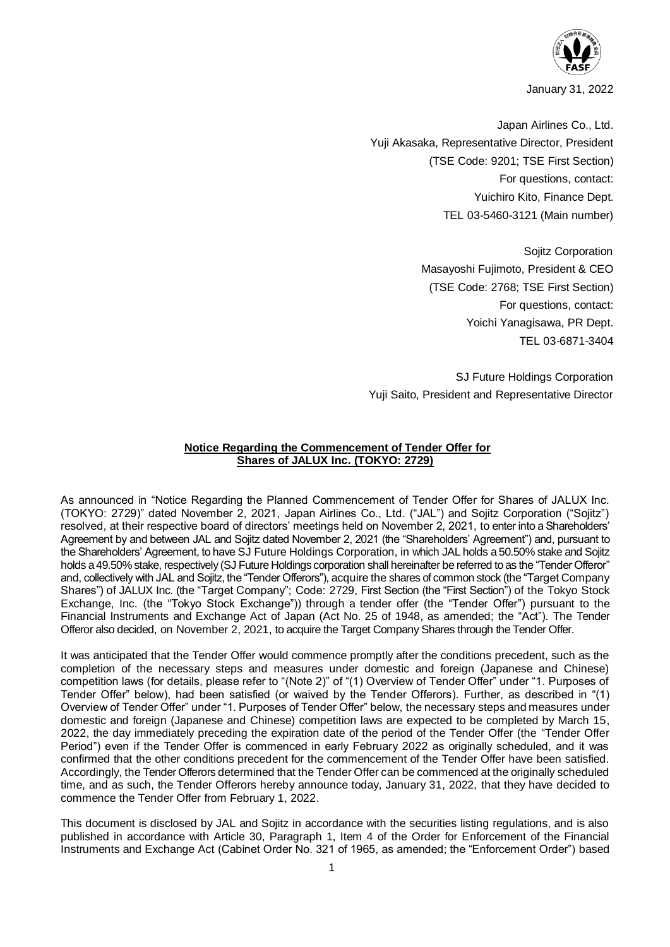

January 31, 2022

Japan Airlines Co., Ltd. Yuji Akasaka, Representative Director, President (TSE Code: 9201; TSE First Section) For questions, contact: Yuichiro Kito, Finance Dept. TEL 03-5460-3121 (Main number)

> Sojitz Corporation Masayoshi Fujimoto, President & CEO (TSE Code: 2768; TSE First Section) For questions, contact: Yoichi Yanagisawa, PR Dept. TEL 03-6871-3404

SJ Future Holdings Corporation Yuji Saito, President and Representative Director

# **Notice Regarding the Commencement of Tender Offer for Shares of JALUX Inc. (TOKYO: 2729)**

As announced in "Notice Regarding the Planned Commencement of Tender Offer for Shares of JALUX Inc. (TOKYO: 2729)" dated November 2, 2021, Japan Airlines Co., Ltd. ("JAL") and Sojitz Corporation ("Sojitz") resolved, at their respective board of directors' meetings held on November 2, 2021, to enter into a Shareholders' Agreement by and between JAL and Sojitz dated November 2, 2021 (the "Shareholders' Agreement") and, pursuant to the Shareholders' Agreement, to have SJ Future Holdings Corporation, in which JAL holds a 50.50% stake and Sojitz holds a 49.50% stake, respectively (SJ Future Holdings corporation shall hereinafter be referred to as the "Tender Offeror" and, collectively with JAL and Sojitz, the "Tender Offerors"), acquire the shares of common stock (the "Target Company Shares") of JALUX Inc. (the "Target Company"; Code: 2729, First Section (the "First Section") of the Tokyo Stock Exchange, Inc. (the "Tokyo Stock Exchange")) through a tender offer (the "Tender Offer") pursuant to the Financial Instruments and Exchange Act of Japan (Act No. 25 of 1948, as amended; the "Act"). The Tender Offeror also decided, on November 2, 2021, to acquire the Target Company Shares through the Tender Offer.

It was anticipated that the Tender Offer would commence promptly after the conditions precedent, such as the completion of the necessary steps and measures under domestic and foreign (Japanese and Chinese) competition laws (for details, please refer to "(Note 2)" of "(1) Overview of Tender Offer" under "1. Purposes of Tender Offer" below), had been satisfied (or waived by the Tender Offerors). Further, as described in "(1) Overview of Tender Offer" under "1. Purposes of Tender Offer" below, the necessary steps and measures under domestic and foreign (Japanese and Chinese) competition laws are expected to be completed by March 15, 2022, the day immediately preceding the expiration date of the period of the Tender Offer (the "Tender Offer Period") even if the Tender Offer is commenced in early February 2022 as originally scheduled, and it was confirmed that the other conditions precedent for the commencement of the Tender Offer have been satisfied. Accordingly, the Tender Offerors determined that the Tender Offer can be commenced at the originally scheduled time, and as such, the Tender Offerors hereby announce today, January 31, 2022, that they have decided to commence the Tender Offer from February 1, 2022.

This document is disclosed by JAL and Sojitz in accordance with the securities listing regulations, and is also published in accordance with Article 30, Paragraph 1, Item 4 of the Order for Enforcement of the Financial Instruments and Exchange Act (Cabinet Order No. 321 of 1965, as amended; the "Enforcement Order") based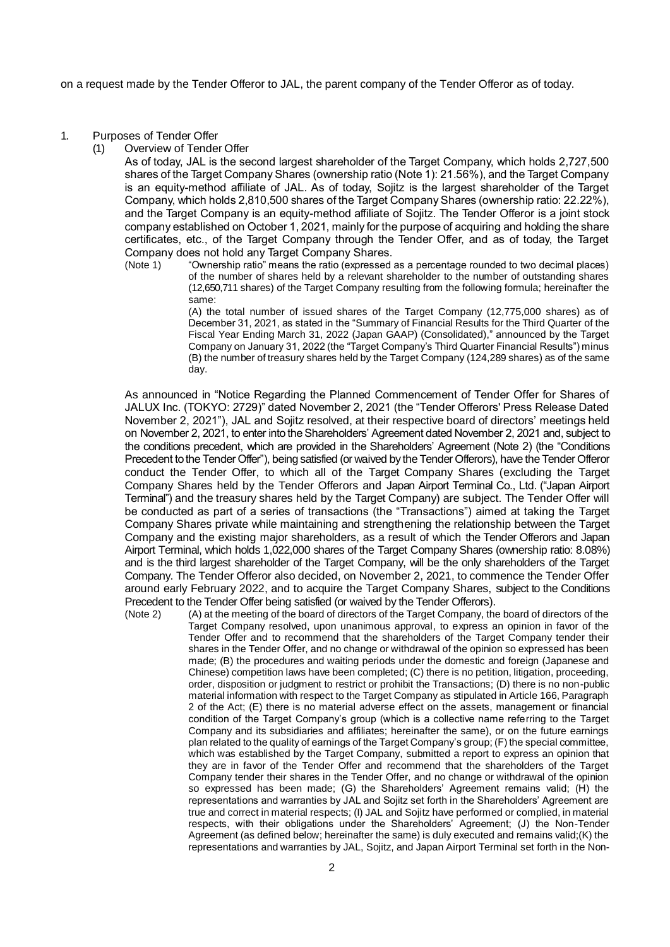on a request made by the Tender Offeror to JAL, the parent company of the Tender Offeror as of today.

- 1. Purposes of Tender Offer
	- (1) Overview of Tender Offer

As of today, JAL is the second largest shareholder of the Target Company, which holds 2,727,500 shares of the Target Company Shares (ownership ratio (Note 1): 21.56%), and the Target Company is an equity-method affiliate of JAL. As of today, Sojitz is the largest shareholder of the Target Company, which holds 2,810,500 shares of the Target Company Shares (ownership ratio: 22.22%), and the Target Company is an equity-method affiliate of Sojitz. The Tender Offeror is a joint stock company established on October 1, 2021, mainly for the purpose of acquiring and holding the share certificates, etc., of the Target Company through the Tender Offer, and as of today, the Target Company does not hold any Target Company Shares.<br>(Note 1) "Ownership ratio" means the ratio (expressed

"Ownership ratio" means the ratio (expressed as a percentage rounded to two decimal places) of the number of shares held by a relevant shareholder to the number of outstanding shares (12,650,711 shares) of the Target Company resulting from the following formula; hereinafter the same:

> (A) the total number of issued shares of the Target Company (12,775,000 shares) as of December 31, 2021, as stated in the "Summary of Financial Results for the Third Quarter of the Fiscal Year Ending March 31, 2022 (Japan GAAP) (Consolidated)," announced by the Target Company on January 31, 2022 (the "Target Company's Third Quarter Financial Results") minus (B) the number of treasury shares held by the Target Company (124,289 shares) as of the same day.

As announced in "Notice Regarding the Planned Commencement of Tender Offer for Shares of JALUX Inc. (TOKYO: 2729)" dated November 2, 2021 (the "Tender Offerors' Press Release Dated November 2, 2021"), JAL and Sojitz resolved, at their respective board of directors' meetings held on November 2, 2021, to enter into the Shareholders' Agreement dated November 2, 2021 and, subject to the conditions precedent, which are provided in the Shareholders' Agreement (Note 2) (the "Conditions Precedent to the Tender Offer"), being satisfied (or waived by the Tender Offerors), have the Tender Offeror conduct the Tender Offer, to which all of the Target Company Shares (excluding the Target Company Shares held by the Tender Offerors and Japan Airport Terminal Co., Ltd. ("Japan Airport Terminal") and the treasury shares held by the Target Company) are subject. The Tender Offer will be conducted as part of a series of transactions (the "Transactions") aimed at taking the Target Company Shares private while maintaining and strengthening the relationship between the Target Company and the existing major shareholders, as a result of which the Tender Offerors and Japan Airport Terminal, which holds 1,022,000 shares of the Target Company Shares (ownership ratio: 8.08%) and is the third largest shareholder of the Target Company, will be the only shareholders of the Target Company. The Tender Offeror also decided, on November 2, 2021, to commence the Tender Offer around early February 2022, and to acquire the Target Company Shares, subject to the Conditions Precedent to the Tender Offer being satisfied (or waived by the Tender Offerors).

(Note 2) (A) at the meeting of the board of directors of the Target Company, the board of directors of the Target Company resolved, upon unanimous approval, to express an opinion in favor of the Tender Offer and to recommend that the shareholders of the Target Company tender their shares in the Tender Offer, and no change or withdrawal of the opinion so expressed has been made; (B) the procedures and waiting periods under the domestic and foreign (Japanese and Chinese) competition laws have been completed; (C) there is no petition, litigation, proceeding, order, disposition or judgment to restrict or prohibit the Transactions; (D) there is no non-public material information with respect to the Target Company as stipulated in Article 166, Paragraph 2 of the Act; (E) there is no material adverse effect on the assets, management or financial condition of the Target Company's group (which is a collective name referring to the Target Company and its subsidiaries and affiliates; hereinafter the same), or on the future earnings plan related to the quality of earnings of the Target Company's group; (F) the special committee, which was established by the Target Company, submitted a report to express an opinion that they are in favor of the Tender Offer and recommend that the shareholders of the Target Company tender their shares in the Tender Offer, and no change or withdrawal of the opinion so expressed has been made; (G) the Shareholders' Agreement remains valid; (H) the representations and warranties by JAL and Sojitz set forth in the Shareholders' Agreement are true and correct in material respects; (I) JAL and Sojitz have performed or complied, in material respects, with their obligations under the Shareholders' Agreement; (J) the Non-Tender Agreement (as defined below; hereinafter the same) is duly executed and remains valid;(K) the representations and warranties by JAL, Sojitz, and Japan Airport Terminal set forth in the Non-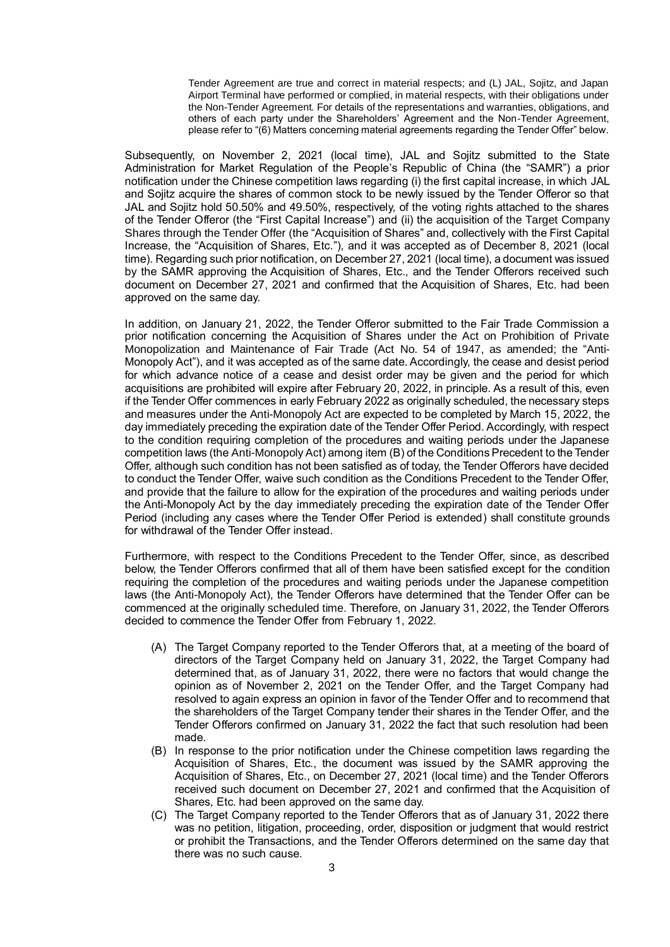Tender Agreement are true and correct in material respects; and (L) JAL, Sojitz, and Japan Airport Terminal have performed or complied, in material respects, with their obligations under the Non-Tender Agreement. For details of the representations and warranties, obligations, and others of each party under the Shareholders' Agreement and the Non-Tender Agreement, please refer to "(6) Matters concerning material agreements regarding the Tender Offer" below.

Subsequently, on November 2, 2021 (local time), JAL and Sojitz submitted to the State Administration for Market Regulation of the People's Republic of China (the "SAMR") a prior notification under the Chinese competition laws regarding (i) the first capital increase, in which JAL and Sojitz acquire the shares of common stock to be newly issued by the Tender Offeror so that JAL and Sojitz hold 50.50% and 49.50%, respectively, of the voting rights attached to the shares of the Tender Offeror (the "First Capital Increase") and (ii) the acquisition of the Target Company Shares through the Tender Offer (the "Acquisition of Shares" and, collectively with the First Capital Increase, the "Acquisition of Shares, Etc."), and it was accepted as of December 8, 2021 (local time). Regarding such prior notification, on December 27, 2021 (local time), a document was issued by the SAMR approving the Acquisition of Shares, Etc., and the Tender Offerors received such document on December 27, 2021 and confirmed that the Acquisition of Shares, Etc. had been approved on the same day.

In addition, on January 21, 2022, the Tender Offeror submitted to the Fair Trade Commission a prior notification concerning the Acquisition of Shares under the Act on Prohibition of Private Monopolization and Maintenance of Fair Trade (Act No. 54 of 1947, as amended; the "Anti-Monopoly Act"), and it was accepted as of the same date. Accordingly, the cease and desist period for which advance notice of a cease and desist order may be given and the period for which acquisitions are prohibited will expire after February 20, 2022, in principle. As a result of this, even if the Tender Offer commences in early February 2022 as originally scheduled, the necessary steps and measures under the Anti-Monopoly Act are expected to be completed by March 15, 2022, the day immediately preceding the expiration date of the Tender Offer Period. Accordingly, with respect to the condition requiring completion of the procedures and waiting periods under the Japanese competition laws (the Anti-Monopoly Act) among item (B) of the Conditions Precedent to the Tender Offer, although such condition has not been satisfied as of today, the Tender Offerors have decided to conduct the Tender Offer, waive such condition as the Conditions Precedent to the Tender Offer, and provide that the failure to allow for the expiration of the procedures and waiting periods under the Anti-Monopoly Act by the day immediately preceding the expiration date of the Tender Offer Period (including any cases where the Tender Offer Period is extended) shall constitute grounds for withdrawal of the Tender Offer instead.

Furthermore, with respect to the Conditions Precedent to the Tender Offer, since, as described below, the Tender Offerors confirmed that all of them have been satisfied except for the condition requiring the completion of the procedures and waiting periods under the Japanese competition laws (the Anti-Monopoly Act), the Tender Offerors have determined that the Tender Offer can be commenced at the originally scheduled time. Therefore, on January 31, 2022, the Tender Offerors decided to commence the Tender Offer from February 1, 2022.

- (A) The Target Company reported to the Tender Offerors that, at a meeting of the board of directors of the Target Company held on January 31, 2022, the Target Company had determined that, as of January 31, 2022, there were no factors that would change the opinion as of November 2, 2021 on the Tender Offer, and the Target Company had resolved to again express an opinion in favor of the Tender Offer and to recommend that the shareholders of the Target Company tender their shares in the Tender Offer, and the Tender Offerors confirmed on January 31, 2022 the fact that such resolution had been made.
- (B) In response to the prior notification under the Chinese competition laws regarding the Acquisition of Shares, Etc., the document was issued by the SAMR approving the Acquisition of Shares, Etc., on December 27, 2021 (local time) and the Tender Offerors received such document on December 27, 2021 and confirmed that the Acquisition of Shares, Etc. had been approved on the same day.
- (C) The Target Company reported to the Tender Offerors that as of January 31, 2022 there was no petition, litigation, proceeding, order, disposition or judgment that would restrict or prohibit the Transactions, and the Tender Offerors determined on the same day that there was no such cause.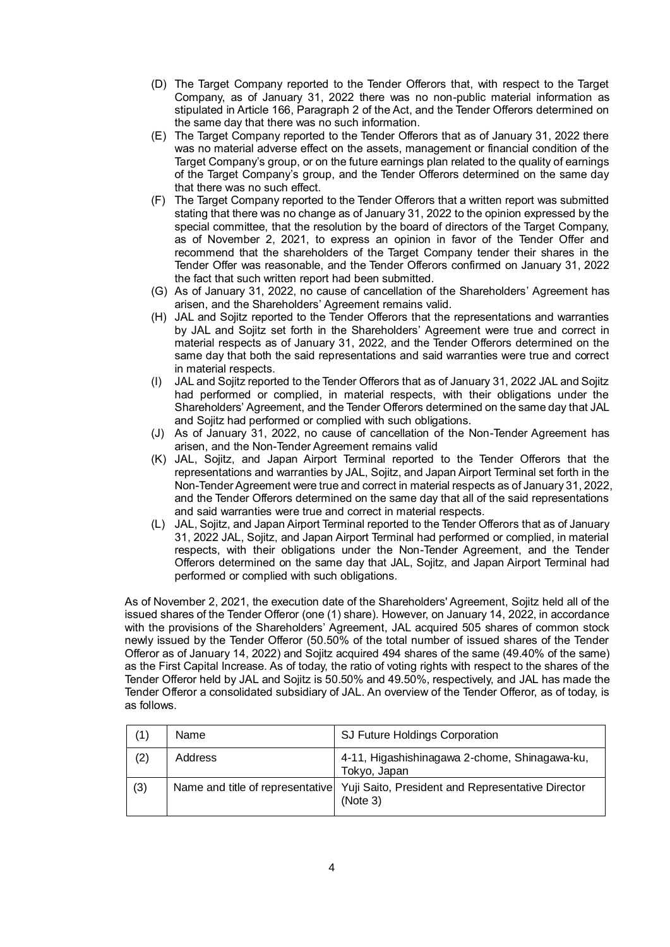- (D) The Target Company reported to the Tender Offerors that, with respect to the Target Company, as of January 31, 2022 there was no non-public material information as stipulated in Article 166, Paragraph 2 of the Act, and the Tender Offerors determined on the same day that there was no such information.
- (E) The Target Company reported to the Tender Offerors that as of January 31, 2022 there was no material adverse effect on the assets, management or financial condition of the Target Company's group, or on the future earnings plan related to the quality of earnings of the Target Company's group, and the Tender Offerors determined on the same day that there was no such effect.
- (F) The Target Company reported to the Tender Offerors that a written report was submitted stating that there was no change as of January 31, 2022 to the opinion expressed by the special committee, that the resolution by the board of directors of the Target Company, as of November 2, 2021, to express an opinion in favor of the Tender Offer and recommend that the shareholders of the Target Company tender their shares in the Tender Offer was reasonable, and the Tender Offerors confirmed on January 31, 2022 the fact that such written report had been submitted.
- (G) As of January 31, 2022, no cause of cancellation of the Shareholders' Agreement has arisen, and the Shareholders' Agreement remains valid.
- (H) JAL and Sojitz reported to the Tender Offerors that the representations and warranties by JAL and Sojitz set forth in the Shareholders' Agreement were true and correct in material respects as of January 31, 2022, and the Tender Offerors determined on the same day that both the said representations and said warranties were true and correct in material respects.
- (I) JAL and Sojitz reported to the Tender Offerors that as of January 31, 2022 JAL and Sojitz had performed or complied, in material respects, with their obligations under the Shareholders' Agreement, and the Tender Offerors determined on the same day that JAL and Sojitz had performed or complied with such obligations.
- (J) As of January 31, 2022, no cause of cancellation of the Non-Tender Agreement has arisen, and the Non-Tender Agreement remains valid
- (K) JAL, Sojitz, and Japan Airport Terminal reported to the Tender Offerors that the representations and warranties by JAL, Sojitz, and Japan Airport Terminal set forth in the Non-Tender Agreement were true and correct in material respects as of January 31, 2022, and the Tender Offerors determined on the same day that all of the said representations and said warranties were true and correct in material respects.
- (L) JAL, Sojitz, and Japan Airport Terminal reported to the Tender Offerors that as of January 31, 2022 JAL, Sojitz, and Japan Airport Terminal had performed or complied, in material respects, with their obligations under the Non-Tender Agreement, and the Tender Offerors determined on the same day that JAL, Sojitz, and Japan Airport Terminal had performed or complied with such obligations.

As of November 2, 2021, the execution date of the Shareholders' Agreement, Sojitz held all of the issued shares of the Tender Offeror (one (1) share). However, on January 14, 2022, in accordance with the provisions of the Shareholders' Agreement, JAL acquired 505 shares of common stock newly issued by the Tender Offeror (50.50% of the total number of issued shares of the Tender Offeror as of January 14, 2022) and Sojitz acquired 494 shares of the same (49.40% of the same) as the First Capital Increase. As of today, the ratio of voting rights with respect to the shares of the Tender Offeror held by JAL and Sojitz is 50.50% and 49.50%, respectively, and JAL has made the Tender Offeror a consolidated subsidiary of JAL. An overview of the Tender Offeror, as of today, is as follows.

| (1) | Name                             | SJ Future Holdings Corporation                                |
|-----|----------------------------------|---------------------------------------------------------------|
| (2) | Address                          | 4-11, Higashishinagawa 2-chome, Shinagawa-ku,<br>Tokyo, Japan |
| (3) | Name and title of representative | Yuji Saito, President and Representative Director<br>(Note 3) |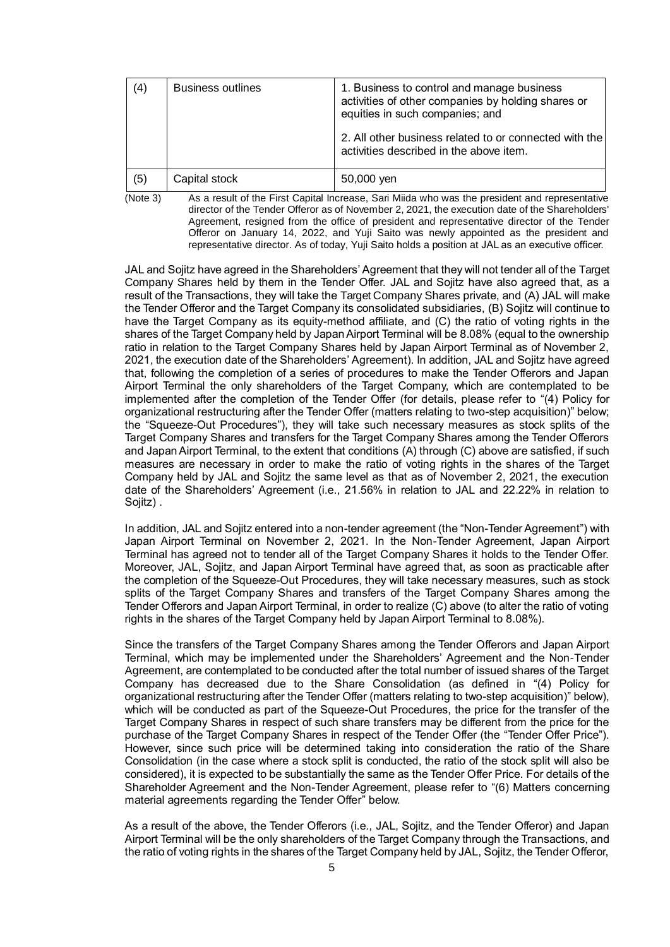| (4) | <b>Business outlines</b> | 1. Business to control and manage business<br>activities of other companies by holding shares or<br>equities in such companies; and<br>2. All other business related to or connected with the<br>activities described in the above item. |
|-----|--------------------------|------------------------------------------------------------------------------------------------------------------------------------------------------------------------------------------------------------------------------------------|
| (5) | Capital stock            | 50,000 yen                                                                                                                                                                                                                               |

(Note 3) As a result of the First Capital Increase, Sari Miida who was the president and representative director of the Tender Offeror as of November 2, 2021, the execution date of the Shareholders' Agreement, resigned from the office of president and representative director of the Tender Offeror on January 14, 2022, and Yuji Saito was newly appointed as the president and representative director. As of today, Yuji Saito holds a position at JAL as an executive officer.

JAL and Sojitz have agreed in the Shareholders' Agreement that they will not tender all of the Target Company Shares held by them in the Tender Offer. JAL and Sojitz have also agreed that, as a result of the Transactions, they will take the Target Company Shares private, and (A) JAL will make the Tender Offeror and the Target Company its consolidated subsidiaries, (B) Sojitz will continue to have the Target Company as its equity-method affiliate, and (C) the ratio of voting rights in the shares of the Target Company held by Japan Airport Terminal will be 8.08% (equal to the ownership ratio in relation to the Target Company Shares held by Japan Airport Terminal as of November 2, 2021, the execution date of the Shareholders' Agreement). In addition, JAL and Sojitz have agreed that, following the completion of a series of procedures to make the Tender Offerors and Japan Airport Terminal the only shareholders of the Target Company, which are contemplated to be implemented after the completion of the Tender Offer (for details, please refer to "(4) Policy for organizational restructuring after the Tender Offer (matters relating to two-step acquisition)" below; the "Squeeze-Out Procedures"), they will take such necessary measures as stock splits of the Target Company Shares and transfers for the Target Company Shares among the Tender Offerors and Japan Airport Terminal, to the extent that conditions (A) through (C) above are satisfied, if such measures are necessary in order to make the ratio of voting rights in the shares of the Target Company held by JAL and Sojitz the same level as that as of November 2, 2021, the execution date of the Shareholders' Agreement (i.e., 21.56% in relation to JAL and 22.22% in relation to Sojitz) .

In addition, JAL and Sojitz entered into a non-tender agreement (the "Non-Tender Agreement") with Japan Airport Terminal on November 2, 2021. In the Non-Tender Agreement, Japan Airport Terminal has agreed not to tender all of the Target Company Shares it holds to the Tender Offer. Moreover, JAL, Sojitz, and Japan Airport Terminal have agreed that, as soon as practicable after the completion of the Squeeze-Out Procedures, they will take necessary measures, such as stock splits of the Target Company Shares and transfers of the Target Company Shares among the Tender Offerors and Japan Airport Terminal, in order to realize (C) above (to alter the ratio of voting rights in the shares of the Target Company held by Japan Airport Terminal to 8.08%).

Since the transfers of the Target Company Shares among the Tender Offerors and Japan Airport Terminal, which may be implemented under the Shareholders' Agreement and the Non-Tender Agreement, are contemplated to be conducted after the total number of issued shares of the Target Company has decreased due to the Share Consolidation (as defined in "(4) Policy for organizational restructuring after the Tender Offer (matters relating to two-step acquisition)" below), which will be conducted as part of the Squeeze-Out Procedures, the price for the transfer of the Target Company Shares in respect of such share transfers may be different from the price for the purchase of the Target Company Shares in respect of the Tender Offer (the "Tender Offer Price"). However, since such price will be determined taking into consideration the ratio of the Share Consolidation (in the case where a stock split is conducted, the ratio of the stock split will also be considered), it is expected to be substantially the same as the Tender Offer Price. For details of the Shareholder Agreement and the Non-Tender Agreement, please refer to "(6) Matters concerning material agreements regarding the Tender Offer" below.

As a result of the above, the Tender Offerors (i.e., JAL, Sojitz, and the Tender Offeror) and Japan Airport Terminal will be the only shareholders of the Target Company through the Transactions, and the ratio of voting rights in the shares of the Target Company held by JAL, Sojitz, the Tender Offeror,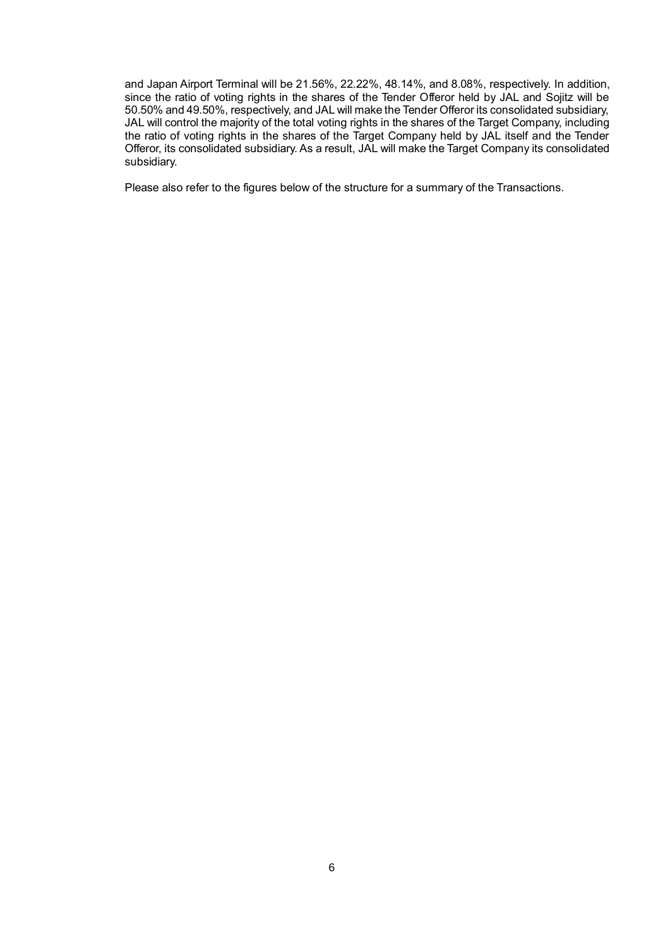and Japan Airport Terminal will be 21.56%, 22.22%, 48.14%, and 8.08%, respectively. In addition, since the ratio of voting rights in the shares of the Tender Offeror held by JAL and Sojitz will be 50.50% and 49.50%, respectively, and JAL will make the Tender Offeror its consolidated subsidiary, JAL will control the majority of the total voting rights in the shares of the Target Company, including the ratio of voting rights in the shares of the Target Company held by JAL itself and the Tender Offeror, its consolidated subsidiary. As a result, JAL will make the Target Company its consolidated subsidiary.

Please also refer to the figures below of the structure for a summary of the Transactions.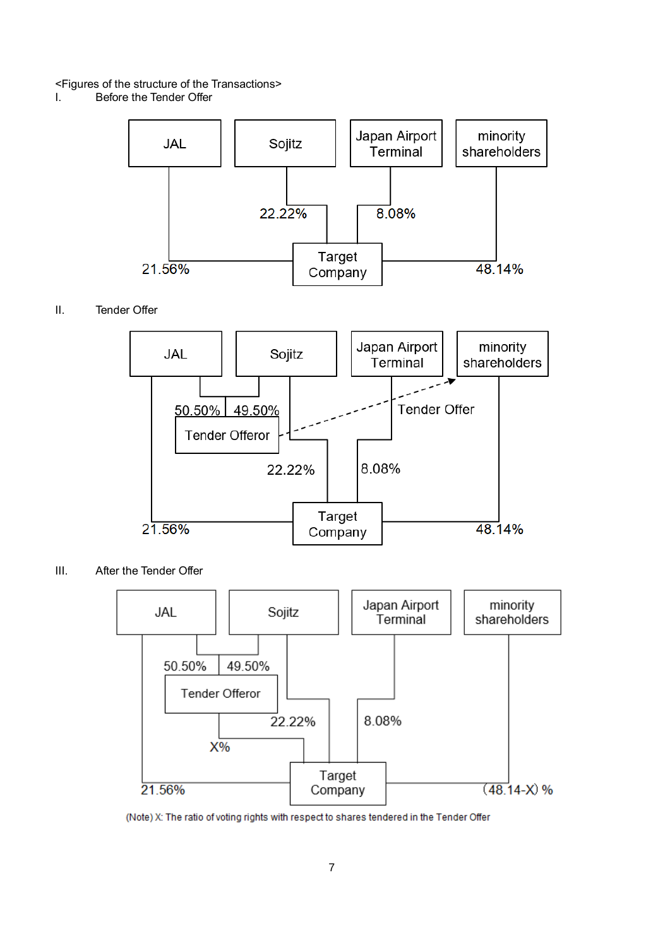# <Figures of the structure of the Transactions>

Before the Tender Offer



# II. Tender Offer



III. After the Tender Offer



(Note) X: The ratio of voting rights with respect to shares tendered in the Tender Offer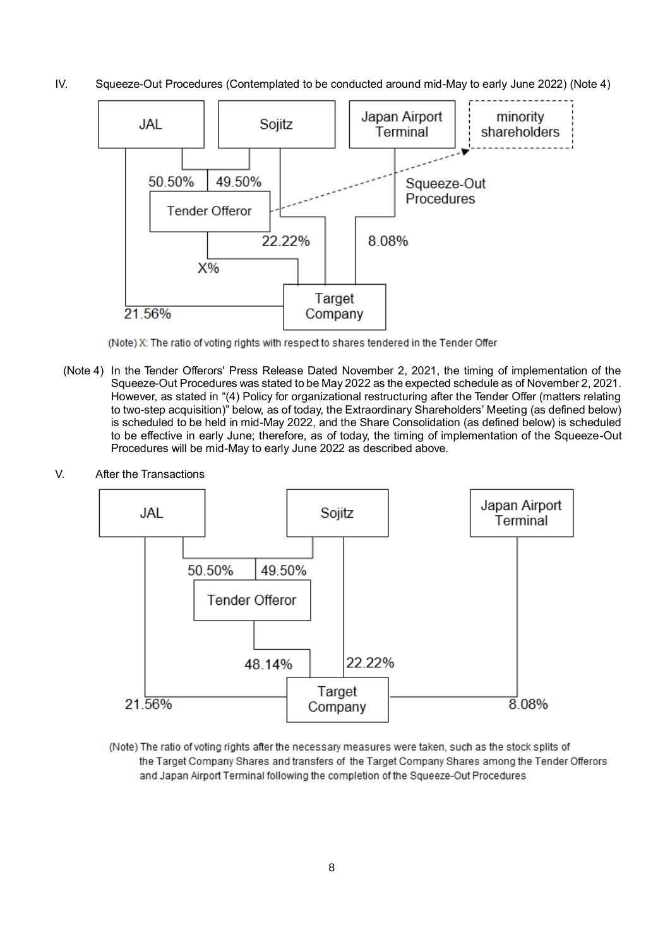IV. Squeeze-Out Procedures (Contemplated to be conducted around mid-May to early June 2022) (Note 4)



(Note) X: The ratio of voting rights with respect to shares tendered in the Tender Offer

- (Note 4) In the Tender Offerors' Press Release Dated November 2, 2021, the timing of implementation of the Squeeze-Out Procedures was stated to be May 2022 as the expected schedule as of November 2, 2021. However, as stated in "(4) Policy for organizational restructuring after the Tender Offer (matters relating to two-step acquisition)" below, as of today, the Extraordinary Shareholders' Meeting (as defined below) is scheduled to be held in mid-May 2022, and the Share Consolidation (as defined below) is scheduled to be effective in early June; therefore, as of today, the timing of implementation of the Squeeze-Out Procedures will be mid-May to early June 2022 as described above.
- V. After the Transactions



(Note) The ratio of voting rights after the necessary measures were taken, such as the stock splits of the Target Company Shares and transfers of the Target Company Shares among the Tender Offerors and Japan Airport Terminal following the completion of the Squeeze-Out Procedures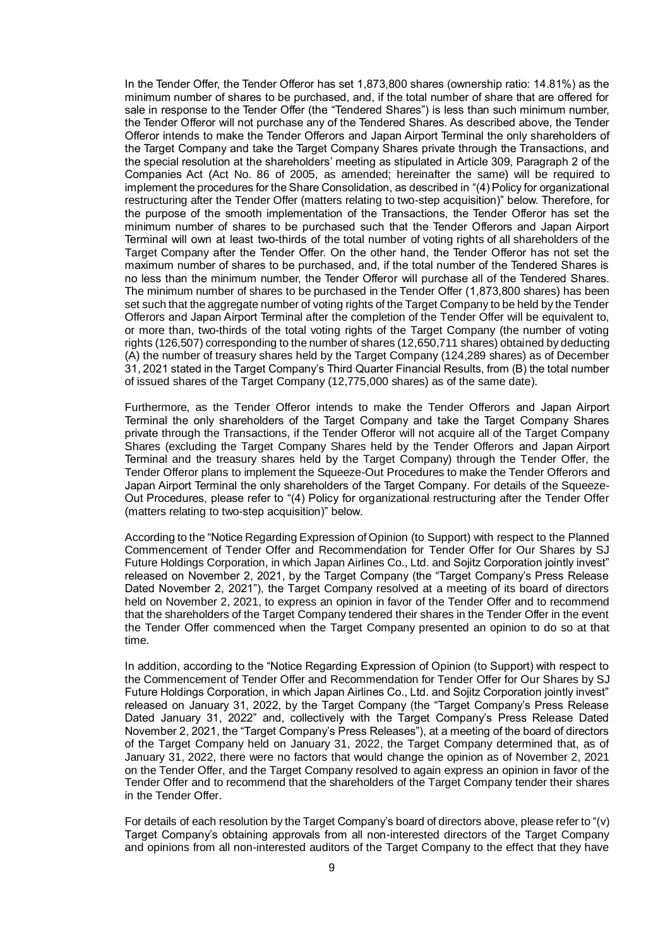In the Tender Offer, the Tender Offeror has set 1,873,800 shares (ownership ratio: 14.81%) as the minimum number of shares to be purchased, and, if the total number of share that are offered for sale in response to the Tender Offer (the "Tendered Shares") is less than such minimum number, the Tender Offeror will not purchase any of the Tendered Shares. As described above, the Tender Offeror intends to make the Tender Offerors and Japan Airport Terminal the only shareholders of the Target Company and take the Target Company Shares private through the Transactions, and the special resolution at the shareholders' meeting as stipulated in Article 309, Paragraph 2 of the Companies Act (Act No. 86 of 2005, as amended; hereinafter the same) will be required to implement the procedures for the Share Consolidation, as described in "(4) Policy for organizational restructuring after the Tender Offer (matters relating to two-step acquisition)" below. Therefore, for the purpose of the smooth implementation of the Transactions, the Tender Offeror has set the minimum number of shares to be purchased such that the Tender Offerors and Japan Airport Terminal will own at least two-thirds of the total number of voting rights of all shareholders of the Target Company after the Tender Offer. On the other hand, the Tender Offeror has not set the maximum number of shares to be purchased, and, if the total number of the Tendered Shares is no less than the minimum number, the Tender Offeror will purchase all of the Tendered Shares. The minimum number of shares to be purchased in the Tender Offer (1,873,800 shares) has been set such that the aggregate number of voting rights of the Target Company to be held by the Tender Offerors and Japan Airport Terminal after the completion of the Tender Offer will be equivalent to, or more than, two-thirds of the total voting rights of the Target Company (the number of voting rights (126,507) corresponding to the number of shares (12,650,711 shares) obtained by deducting (A) the number of treasury shares held by the Target Company (124,289 shares) as of December 31, 2021 stated in the Target Company's Third Quarter Financial Results, from (B) the total number of issued shares of the Target Company (12,775,000 shares) as of the same date).

Furthermore, as the Tender Offeror intends to make the Tender Offerors and Japan Airport Terminal the only shareholders of the Target Company and take the Target Company Shares private through the Transactions, if the Tender Offeror will not acquire all of the Target Company Shares (excluding the Target Company Shares held by the Tender Offerors and Japan Airport Terminal and the treasury shares held by the Target Company) through the Tender Offer, the Tender Offeror plans to implement the Squeeze-Out Procedures to make the Tender Offerors and Japan Airport Terminal the only shareholders of the Target Company. For details of the Squeeze-Out Procedures, please refer to "(4) Policy for organizational restructuring after the Tender Offer (matters relating to two-step acquisition)" below.

According to the "Notice Regarding Expression of Opinion (to Support) with respect to the Planned Commencement of Tender Offer and Recommendation for Tender Offer for Our Shares by SJ Future Holdings Corporation, in which Japan Airlines Co., Ltd. and Sojitz Corporation jointly invest" released on November 2, 2021, by the Target Company (the "Target Company's Press Release Dated November 2, 2021"), the Target Company resolved at a meeting of its board of directors held on November 2, 2021, to express an opinion in favor of the Tender Offer and to recommend that the shareholders of the Target Company tendered their shares in the Tender Offer in the event the Tender Offer commenced when the Target Company presented an opinion to do so at that time.

In addition, according to the "Notice Regarding Expression of Opinion (to Support) with respect to the Commencement of Tender Offer and Recommendation for Tender Offer for Our Shares by SJ Future Holdings Corporation, in which Japan Airlines Co., Ltd. and Sojitz Corporation jointly invest" released on January 31, 2022, by the Target Company (the "Target Company's Press Release Dated January 31, 2022" and, collectively with the Target Company's Press Release Dated November 2, 2021, the "Target Company's Press Releases"), at a meeting of the board of directors of the Target Company held on January 31, 2022, the Target Company determined that, as of January 31, 2022, there were no factors that would change the opinion as of November 2, 2021 on the Tender Offer, and the Target Company resolved to again express an opinion in favor of the Tender Offer and to recommend that the shareholders of the Target Company tender their shares in the Tender Offer.

For details of each resolution by the Target Company's board of directors above, please refer to "(v) Target Company's obtaining approvals from all non-interested directors of the Target Company and opinions from all non-interested auditors of the Target Company to the effect that they have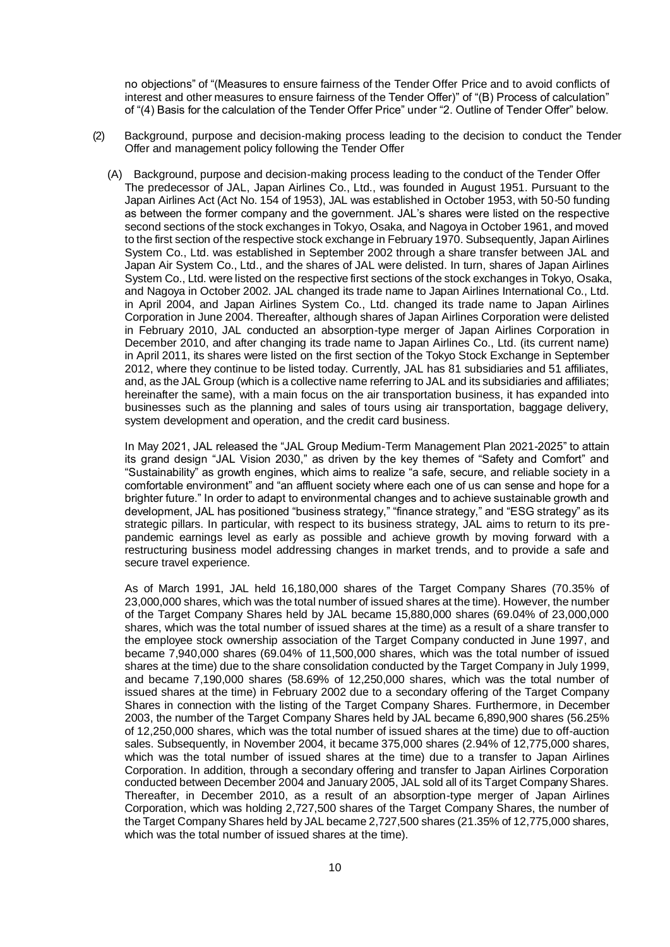no objections" of "(Measures to ensure fairness of the Tender Offer Price and to avoid conflicts of interest and other measures to ensure fairness of the Tender Offer)" of "(B) Process of calculation" of "(4) Basis for the calculation of the Tender Offer Price" under "2. Outline of Tender Offer" below.

- (2) Background, purpose and decision-making process leading to the decision to conduct the Tender Offer and management policy following the Tender Offer
	- (A) Background, purpose and decision-making process leading to the conduct of the Tender Offer The predecessor of JAL, Japan Airlines Co., Ltd., was founded in August 1951. Pursuant to the Japan Airlines Act (Act No. 154 of 1953), JAL was established in October 1953, with 50-50 funding as between the former company and the government. JAL's shares were listed on the respective second sections of the stock exchanges in Tokyo, Osaka, and Nagoya in October 1961, and moved to the first section of the respective stock exchange in February 1970. Subsequently, Japan Airlines System Co., Ltd. was established in September 2002 through a share transfer between JAL and Japan Air System Co., Ltd., and the shares of JAL were delisted. In turn, shares of Japan Airlines System Co., Ltd. were listed on the respective first sections of the stock exchanges in Tokyo, Osaka, and Nagoya in October 2002. JAL changed its trade name to Japan Airlines International Co., Ltd. in April 2004, and Japan Airlines System Co., Ltd. changed its trade name to Japan Airlines Corporation in June 2004. Thereafter, although shares of Japan Airlines Corporation were delisted in February 2010, JAL conducted an absorption-type merger of Japan Airlines Corporation in December 2010, and after changing its trade name to Japan Airlines Co., Ltd. (its current name) in April 2011, its shares were listed on the first section of the Tokyo Stock Exchange in September 2012, where they continue to be listed today. Currently, JAL has 81 subsidiaries and 51 affiliates, and, as the JAL Group (which is a collective name referring to JAL and its subsidiaries and affiliates; hereinafter the same), with a main focus on the air transportation business, it has expanded into businesses such as the planning and sales of tours using air transportation, baggage delivery, system development and operation, and the credit card business.

In May 2021, JAL released the "JAL Group Medium-Term Management Plan 2021-2025" to attain its grand design "JAL Vision 2030," as driven by the key themes of "Safety and Comfort" and "Sustainability" as growth engines, which aims to realize "a safe, secure, and reliable society in a comfortable environment" and "an affluent society where each one of us can sense and hope for a brighter future." In order to adapt to environmental changes and to achieve sustainable growth and development, JAL has positioned "business strategy," "finance strategy," and "ESG strategy" as its strategic pillars. In particular, with respect to its business strategy, JAL aims to return to its prepandemic earnings level as early as possible and achieve growth by moving forward with a restructuring business model addressing changes in market trends, and to provide a safe and secure travel experience.

As of March 1991, JAL held 16,180,000 shares of the Target Company Shares (70.35% of 23,000,000 shares, which was the total number of issued shares at the time). However, the number of the Target Company Shares held by JAL became 15,880,000 shares (69.04% of 23,000,000 shares, which was the total number of issued shares at the time) as a result of a share transfer to the employee stock ownership association of the Target Company conducted in June 1997, and became 7,940,000 shares (69.04% of 11,500,000 shares, which was the total number of issued shares at the time) due to the share consolidation conducted by the Target Company in July 1999, and became 7,190,000 shares (58.69% of 12,250,000 shares, which was the total number of issued shares at the time) in February 2002 due to a secondary offering of the Target Company Shares in connection with the listing of the Target Company Shares. Furthermore, in December 2003, the number of the Target Company Shares held by JAL became 6,890,900 shares (56.25% of 12,250,000 shares, which was the total number of issued shares at the time) due to off-auction sales. Subsequently, in November 2004, it became 375,000 shares (2.94% of 12,775,000 shares, which was the total number of issued shares at the time) due to a transfer to Japan Airlines Corporation. In addition, through a secondary offering and transfer to Japan Airlines Corporation conducted between December 2004 and January 2005, JAL sold all of its Target Company Shares. Thereafter, in December 2010, as a result of an absorption-type merger of Japan Airlines Corporation, which was holding 2,727,500 shares of the Target Company Shares, the number of the Target Company Shares held by JAL became 2,727,500 shares (21.35% of 12,775,000 shares, which was the total number of issued shares at the time).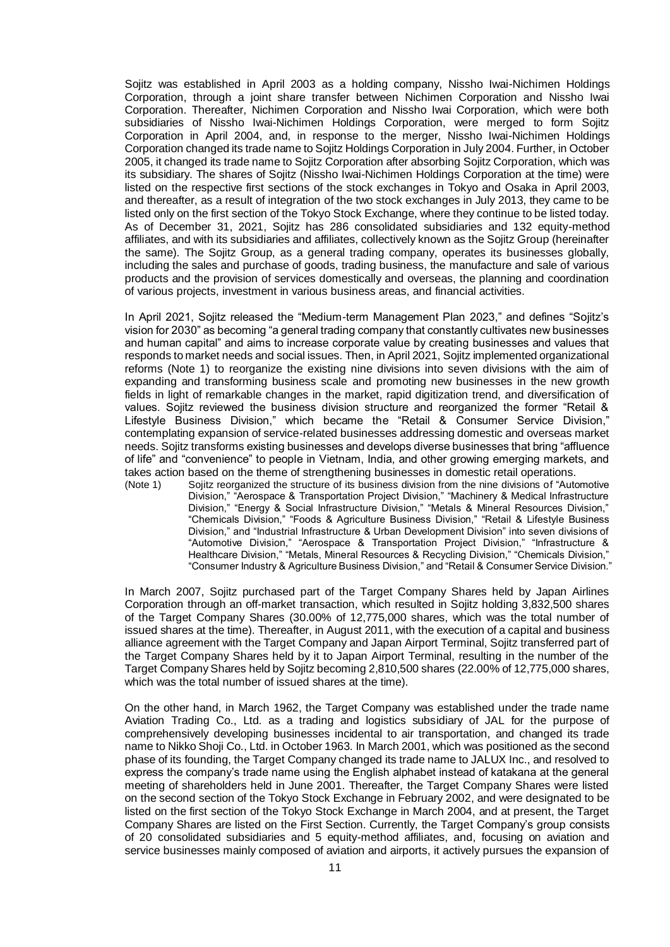Sojitz was established in April 2003 as a holding company, Nissho Iwai-Nichimen Holdings Corporation, through a joint share transfer between Nichimen Corporation and Nissho Iwai Corporation. Thereafter, Nichimen Corporation and Nissho Iwai Corporation, which were both subsidiaries of Nissho Iwai-Nichimen Holdings Corporation, were merged to form Sojitz Corporation in April 2004, and, in response to the merger, Nissho Iwai-Nichimen Holdings Corporation changed its trade name to Sojitz Holdings Corporation in July 2004. Further, in October 2005, it changed its trade name to Sojitz Corporation after absorbing Sojitz Corporation, which was its subsidiary. The shares of Sojitz (Nissho Iwai-Nichimen Holdings Corporation at the time) were listed on the respective first sections of the stock exchanges in Tokyo and Osaka in April 2003, and thereafter, as a result of integration of the two stock exchanges in July 2013, they came to be listed only on the first section of the Tokyo Stock Exchange, where they continue to be listed today. As of December 31, 2021, Sojitz has 286 consolidated subsidiaries and 132 equity-method affiliates, and with its subsidiaries and affiliates, collectively known as the Sojitz Group (hereinafter the same). The Sojitz Group, as a general trading company, operates its businesses globally, including the sales and purchase of goods, trading business, the manufacture and sale of various products and the provision of services domestically and overseas, the planning and coordination of various projects, investment in various business areas, and financial activities.

In April 2021, Sojitz released the "Medium-term Management Plan 2023," and defines "Sojitz's vision for 2030" as becoming "a general trading company that constantly cultivates new businesses and human capital" and aims to increase corporate value by creating businesses and values that responds to market needs and social issues. Then, in April 2021, Sojitz implemented organizational reforms (Note 1) to reorganize the existing nine divisions into seven divisions with the aim of expanding and transforming business scale and promoting new businesses in the new growth fields in light of remarkable changes in the market, rapid digitization trend, and diversification of values. Sojitz reviewed the business division structure and reorganized the former "Retail & Lifestyle Business Division," which became the "Retail & Consumer Service Division," contemplating expansion of service-related businesses addressing domestic and overseas market needs. Sojitz transforms existing businesses and develops diverse businesses that bring "affluence of life" and "convenience" to people in Vietnam, India, and other growing emerging markets, and takes action based on the theme of strengthening businesses in domestic retail operations.<br>(Note 1) Sojitz reorganized the structure of its business division from the nine divisions of "Auto

Sojitz reorganized the structure of its business division from the nine divisions of "Automotive Division," "Aerospace & Transportation Project Division," "Machinery & Medical Infrastructure Division," "Energy & Social Infrastructure Division," "Metals & Mineral Resources Division," "Chemicals Division," "Foods & Agriculture Business Division," "Retail & Lifestyle Business Division," and "Industrial Infrastructure & Urban Development Division" into seven divisions of "Automotive Division," "Aerospace & Transportation Project Division," "Infrastructure & Healthcare Division," "Metals, Mineral Resources & Recycling Division," "Chemicals Division," "Consumer Industry & Agriculture Business Division," and "Retail & Consumer Service Division."

In March 2007, Sojitz purchased part of the Target Company Shares held by Japan Airlines Corporation through an off-market transaction, which resulted in Sojitz holding 3,832,500 shares of the Target Company Shares (30.00% of 12,775,000 shares, which was the total number of issued shares at the time). Thereafter, in August 2011, with the execution of a capital and business alliance agreement with the Target Company and Japan Airport Terminal, Sojitz transferred part of the Target Company Shares held by it to Japan Airport Terminal, resulting in the number of the Target Company Shares held by Sojitz becoming 2,810,500 shares (22.00% of 12,775,000 shares, which was the total number of issued shares at the time).

On the other hand, in March 1962, the Target Company was established under the trade name Aviation Trading Co., Ltd. as a trading and logistics subsidiary of JAL for the purpose of comprehensively developing businesses incidental to air transportation, and changed its trade name to Nikko Shoji Co., Ltd. in October 1963. In March 2001, which was positioned as the second phase of its founding, the Target Company changed its trade name to JALUX Inc., and resolved to express the company's trade name using the English alphabet instead of katakana at the general meeting of shareholders held in June 2001. Thereafter, the Target Company Shares were listed on the second section of the Tokyo Stock Exchange in February 2002, and were designated to be listed on the first section of the Tokyo Stock Exchange in March 2004, and at present, the Target Company Shares are listed on the First Section. Currently, the Target Company's group consists of 20 consolidated subsidiaries and 5 equity-method affiliates, and, focusing on aviation and service businesses mainly composed of aviation and airports, it actively pursues the expansion of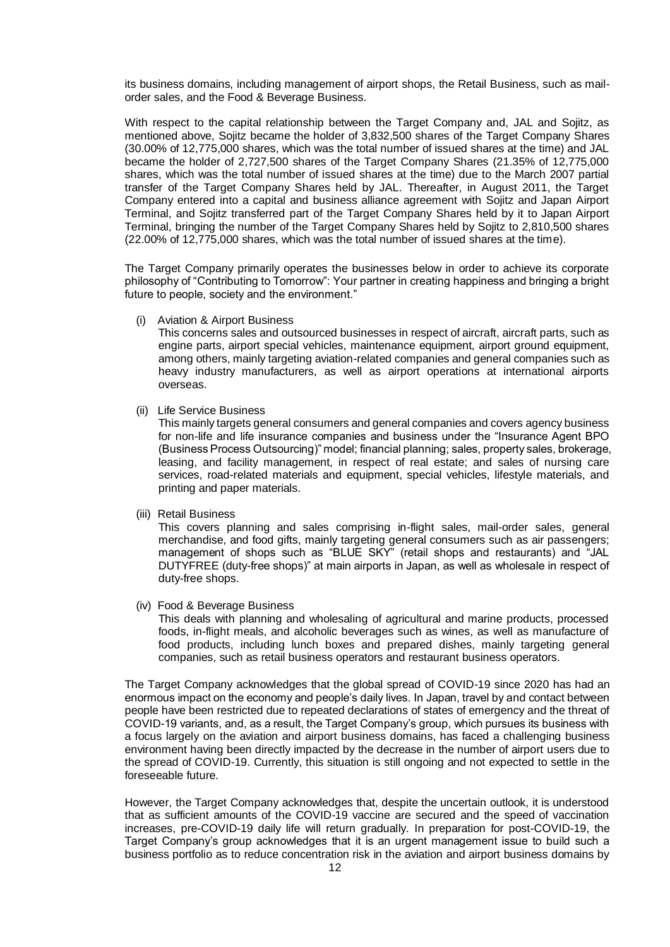its business domains, including management of airport shops, the Retail Business, such as mailorder sales, and the Food & Beverage Business.

With respect to the capital relationship between the Target Company and, JAL and Sojitz, as mentioned above, Sojitz became the holder of 3,832,500 shares of the Target Company Shares (30.00% of 12,775,000 shares, which was the total number of issued shares at the time) and JAL became the holder of 2,727,500 shares of the Target Company Shares (21.35% of 12,775,000 shares, which was the total number of issued shares at the time) due to the March 2007 partial transfer of the Target Company Shares held by JAL. Thereafter, in August 2011, the Target Company entered into a capital and business alliance agreement with Sojitz and Japan Airport Terminal, and Sojitz transferred part of the Target Company Shares held by it to Japan Airport Terminal, bringing the number of the Target Company Shares held by Sojitz to 2,810,500 shares (22.00% of 12,775,000 shares, which was the total number of issued shares at the time).

The Target Company primarily operates the businesses below in order to achieve its corporate philosophy of "Contributing to Tomorrow": Your partner in creating happiness and bringing a bright future to people, society and the environment."

(i) Aviation & Airport Business

This concerns sales and outsourced businesses in respect of aircraft, aircraft parts, such as engine parts, airport special vehicles, maintenance equipment, airport ground equipment, among others, mainly targeting aviation-related companies and general companies such as heavy industry manufacturers, as well as airport operations at international airports overseas.

(ii) Life Service Business

This mainly targets general consumers and general companies and covers agency business for non-life and life insurance companies and business under the "Insurance Agent BPO (Business Process Outsourcing)" model; financial planning; sales, property sales, brokerage, leasing, and facility management, in respect of real estate; and sales of nursing care services, road-related materials and equipment, special vehicles, lifestyle materials, and printing and paper materials.

(iii) Retail Business

This covers planning and sales comprising in-flight sales, mail-order sales, general merchandise, and food gifts, mainly targeting general consumers such as air passengers; management of shops such as "BLUE SKY" (retail shops and restaurants) and "JAL DUTYFREE (duty-free shops)" at main airports in Japan, as well as wholesale in respect of duty-free shops.

(iv) Food & Beverage Business

This deals with planning and wholesaling of agricultural and marine products, processed foods, in-flight meals, and alcoholic beverages such as wines, as well as manufacture of food products, including lunch boxes and prepared dishes, mainly targeting general companies, such as retail business operators and restaurant business operators.

The Target Company acknowledges that the global spread of COVID-19 since 2020 has had an enormous impact on the economy and people's daily lives. In Japan, travel by and contact between people have been restricted due to repeated declarations of states of emergency and the threat of COVID-19 variants, and, as a result, the Target Company's group, which pursues its business with a focus largely on the aviation and airport business domains, has faced a challenging business environment having been directly impacted by the decrease in the number of airport users due to the spread of COVID-19. Currently, this situation is still ongoing and not expected to settle in the foreseeable future.

However, the Target Company acknowledges that, despite the uncertain outlook, it is understood that as sufficient amounts of the COVID-19 vaccine are secured and the speed of vaccination increases, pre-COVID-19 daily life will return gradually. In preparation for post-COVID-19, the Target Company's group acknowledges that it is an urgent management issue to build such a business portfolio as to reduce concentration risk in the aviation and airport business domains by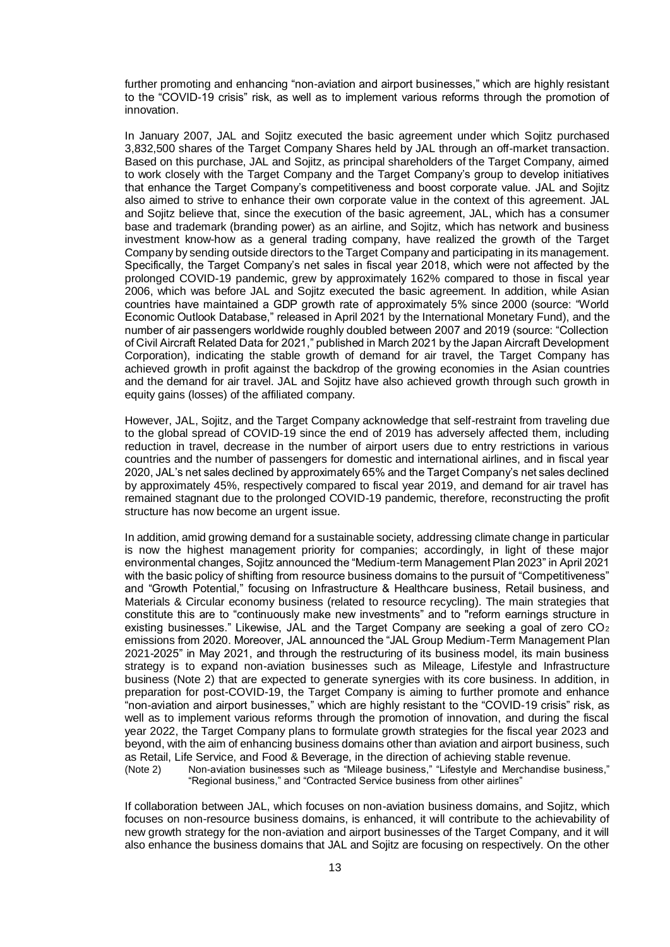further promoting and enhancing "non-aviation and airport businesses," which are highly resistant to the "COVID-19 crisis" risk, as well as to implement various reforms through the promotion of innovation.

In January 2007, JAL and Sojitz executed the basic agreement under which Sojitz purchased 3,832,500 shares of the Target Company Shares held by JAL through an off-market transaction. Based on this purchase, JAL and Sojitz, as principal shareholders of the Target Company, aimed to work closely with the Target Company and the Target Company's group to develop initiatives that enhance the Target Company's competitiveness and boost corporate value. JAL and Sojitz also aimed to strive to enhance their own corporate value in the context of this agreement. JAL and Sojitz believe that, since the execution of the basic agreement, JAL, which has a consumer base and trademark (branding power) as an airline, and Sojitz, which has network and business investment know-how as a general trading company, have realized the growth of the Target Company by sending outside directors to the Target Company and participating in its management. Specifically, the Target Company's net sales in fiscal year 2018, which were not affected by the prolonged COVID-19 pandemic, grew by approximately 162% compared to those in fiscal year 2006, which was before JAL and Sojitz executed the basic agreement. In addition, while Asian countries have maintained a GDP growth rate of approximately 5% since 2000 (source: "World Economic Outlook Database," released in April 2021 by the International Monetary Fund), and the number of air passengers worldwide roughly doubled between 2007 and 2019 (source: "Collection of Civil Aircraft Related Data for 2021," published in March 2021 by the Japan Aircraft Development Corporation), indicating the stable growth of demand for air travel, the Target Company has achieved growth in profit against the backdrop of the growing economies in the Asian countries and the demand for air travel. JAL and Sojitz have also achieved growth through such growth in equity gains (losses) of the affiliated company.

However, JAL, Sojitz, and the Target Company acknowledge that self-restraint from traveling due to the global spread of COVID-19 since the end of 2019 has adversely affected them, including reduction in travel, decrease in the number of airport users due to entry restrictions in various countries and the number of passengers for domestic and international airlines, and in fiscal year 2020, JAL's net sales declined by approximately 65% and the Target Company's net sales declined by approximately 45%, respectively compared to fiscal year 2019, and demand for air travel has remained stagnant due to the prolonged COVID-19 pandemic, therefore, reconstructing the profit structure has now become an urgent issue.

In addition, amid growing demand for a sustainable society, addressing climate change in particular is now the highest management priority for companies; accordingly, in light of these major environmental changes, Sojitz announced the "Medium-term Management Plan 2023" in April 2021 with the basic policy of shifting from resource business domains to the pursuit of "Competitiveness" and "Growth Potential," focusing on Infrastructure & Healthcare business, Retail business, and Materials & Circular economy business (related to resource recycling). The main strategies that constitute this are to "continuously make new investments" and to "reform earnings structure in existing businesses." Likewise, JAL and the Target Company are seeking a goal of zero  $CO<sub>2</sub>$ emissions from 2020. Moreover, JAL announced the "JAL Group Medium-Term Management Plan 2021-2025" in May 2021, and through the restructuring of its business model, its main business strategy is to expand non-aviation businesses such as Mileage, Lifestyle and Infrastructure business (Note 2) that are expected to generate synergies with its core business. In addition, in preparation for post-COVID-19, the Target Company is aiming to further promote and enhance "non-aviation and airport businesses," which are highly resistant to the "COVID-19 crisis" risk, as well as to implement various reforms through the promotion of innovation, and during the fiscal year 2022, the Target Company plans to formulate growth strategies for the fiscal year 2023 and beyond, with the aim of enhancing business domains other than aviation and airport business, such as Retail, Life Service, and Food & Beverage, in the direction of achieving stable revenue. (Note 2) Non-aviation businesses such as "Mileage business," "Lifestyle and Merchandise business,"

"Regional business," and "Contracted Service business from other airlines"

If collaboration between JAL, which focuses on non-aviation business domains, and Sojitz, which focuses on non-resource business domains, is enhanced, it will contribute to the achievability of new growth strategy for the non-aviation and airport businesses of the Target Company, and it will also enhance the business domains that JAL and Sojitz are focusing on respectively. On the other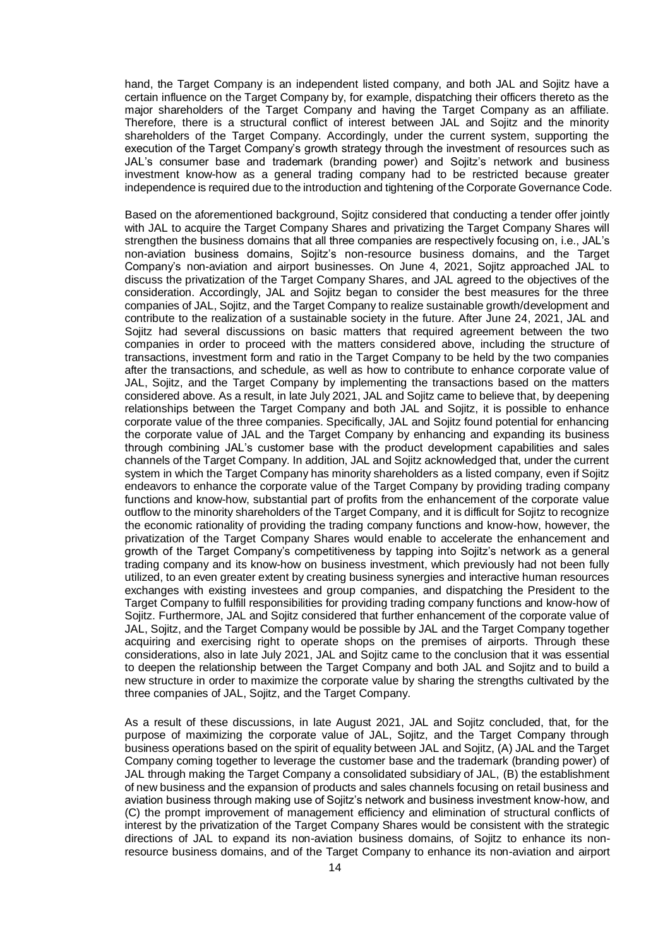hand, the Target Company is an independent listed company, and both JAL and Sojitz have a certain influence on the Target Company by, for example, dispatching their officers thereto as the major shareholders of the Target Company and having the Target Company as an affiliate. Therefore, there is a structural conflict of interest between JAL and Sojitz and the minority shareholders of the Target Company. Accordingly, under the current system, supporting the execution of the Target Company's growth strategy through the investment of resources such as JAL's consumer base and trademark (branding power) and Sojitz's network and business investment know-how as a general trading company had to be restricted because greater independence is required due to the introduction and tightening of the Corporate Governance Code.

Based on the aforementioned background, Sojitz considered that conducting a tender offer jointly with JAL to acquire the Target Company Shares and privatizing the Target Company Shares will strengthen the business domains that all three companies are respectively focusing on, i.e., JAL's non-aviation business domains, Sojitz's non-resource business domains, and the Target Company's non-aviation and airport businesses. On June 4, 2021, Sojitz approached JAL to discuss the privatization of the Target Company Shares, and JAL agreed to the objectives of the consideration. Accordingly, JAL and Sojitz began to consider the best measures for the three companies of JAL, Sojitz, and the Target Company to realize sustainable growth/development and contribute to the realization of a sustainable society in the future. After June 24, 2021, JAL and Sojitz had several discussions on basic matters that required agreement between the two companies in order to proceed with the matters considered above, including the structure of transactions, investment form and ratio in the Target Company to be held by the two companies after the transactions, and schedule, as well as how to contribute to enhance corporate value of JAL, Sojitz, and the Target Company by implementing the transactions based on the matters considered above. As a result, in late July 2021, JAL and Sojitz came to believe that, by deepening relationships between the Target Company and both JAL and Sojitz, it is possible to enhance corporate value of the three companies. Specifically, JAL and Sojitz found potential for enhancing the corporate value of JAL and the Target Company by enhancing and expanding its business through combining JAL's customer base with the product development capabilities and sales channels of the Target Company. In addition, JAL and Sojitz acknowledged that, under the current system in which the Target Company has minority shareholders as a listed company, even if Sojitz endeavors to enhance the corporate value of the Target Company by providing trading company functions and know-how, substantial part of profits from the enhancement of the corporate value outflow to the minority shareholders of the Target Company, and it is difficult for Sojitz to recognize the economic rationality of providing the trading company functions and know-how, however, the privatization of the Target Company Shares would enable to accelerate the enhancement and growth of the Target Company's competitiveness by tapping into Sojitz's network as a general trading company and its know-how on business investment, which previously had not been fully utilized, to an even greater extent by creating business synergies and interactive human resources exchanges with existing investees and group companies, and dispatching the President to the Target Company to fulfill responsibilities for providing trading company functions and know-how of Sojitz. Furthermore, JAL and Sojitz considered that further enhancement of the corporate value of JAL, Sojitz, and the Target Company would be possible by JAL and the Target Company together acquiring and exercising right to operate shops on the premises of airports. Through these considerations, also in late July 2021, JAL and Sojitz came to the conclusion that it was essential to deepen the relationship between the Target Company and both JAL and Sojitz and to build a new structure in order to maximize the corporate value by sharing the strengths cultivated by the three companies of JAL, Sojitz, and the Target Company.

As a result of these discussions, in late August 2021, JAL and Sojitz concluded, that, for the purpose of maximizing the corporate value of JAL, Sojitz, and the Target Company through business operations based on the spirit of equality between JAL and Sojitz, (A) JAL and the Target Company coming together to leverage the customer base and the trademark (branding power) of JAL through making the Target Company a consolidated subsidiary of JAL, (B) the establishment of new business and the expansion of products and sales channels focusing on retail business and aviation business through making use of Sojitz's network and business investment know-how, and (C) the prompt improvement of management efficiency and elimination of structural conflicts of interest by the privatization of the Target Company Shares would be consistent with the strategic directions of JAL to expand its non-aviation business domains, of Sojitz to enhance its nonresource business domains, and of the Target Company to enhance its non-aviation and airport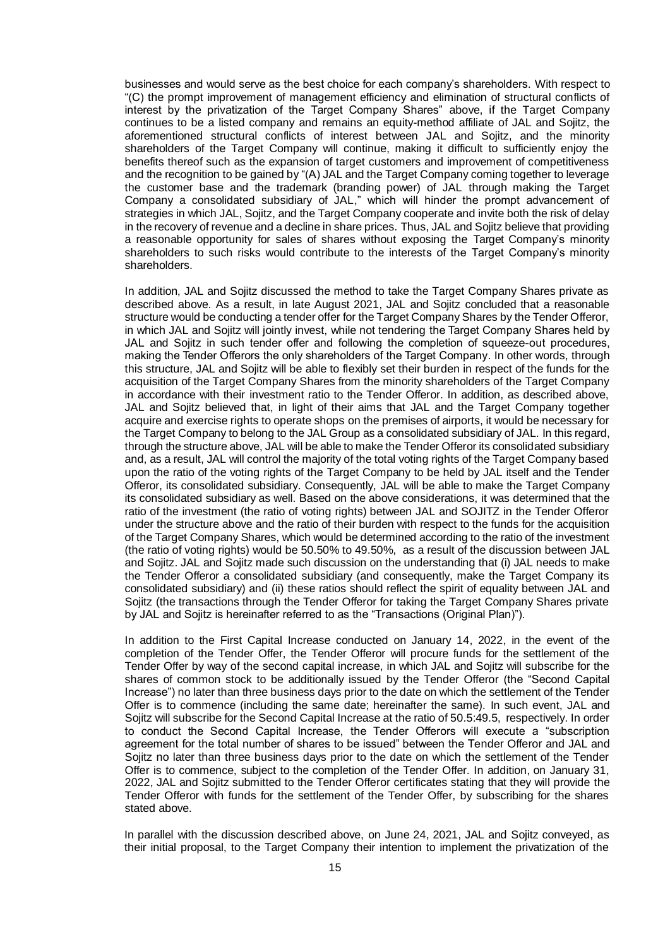businesses and would serve as the best choice for each company's shareholders. With respect to "(C) the prompt improvement of management efficiency and elimination of structural conflicts of interest by the privatization of the Target Company Shares" above, if the Target Company continues to be a listed company and remains an equity-method affiliate of JAL and Sojitz, the aforementioned structural conflicts of interest between JAL and Sojitz, and the minority shareholders of the Target Company will continue, making it difficult to sufficiently enjoy the benefits thereof such as the expansion of target customers and improvement of competitiveness and the recognition to be gained by "(A) JAL and the Target Company coming together to leverage the customer base and the trademark (branding power) of JAL through making the Target Company a consolidated subsidiary of JAL," which will hinder the prompt advancement of strategies in which JAL, Sojitz, and the Target Company cooperate and invite both the risk of delay in the recovery of revenue and a decline in share prices. Thus, JAL and Sojitz believe that providing a reasonable opportunity for sales of shares without exposing the Target Company's minority shareholders to such risks would contribute to the interests of the Target Company's minority shareholders.

In addition, JAL and Sojitz discussed the method to take the Target Company Shares private as described above. As a result, in late August 2021, JAL and Sojitz concluded that a reasonable structure would be conducting a tender offer for the Target Company Shares by the Tender Offeror, in which JAL and Sojitz will jointly invest, while not tendering the Target Company Shares held by JAL and Sojitz in such tender offer and following the completion of squeeze-out procedures, making the Tender Offerors the only shareholders of the Target Company. In other words, through this structure, JAL and Sojitz will be able to flexibly set their burden in respect of the funds for the acquisition of the Target Company Shares from the minority shareholders of the Target Company in accordance with their investment ratio to the Tender Offeror. In addition, as described above, JAL and Sojitz believed that, in light of their aims that JAL and the Target Company together acquire and exercise rights to operate shops on the premises of airports, it would be necessary for the Target Company to belong to the JAL Group as a consolidated subsidiary of JAL. In this regard, through the structure above, JAL will be able to make the Tender Offeror its consolidated subsidiary and, as a result, JAL will control the majority of the total voting rights of the Target Company based upon the ratio of the voting rights of the Target Company to be held by JAL itself and the Tender Offeror, its consolidated subsidiary. Consequently, JAL will be able to make the Target Company its consolidated subsidiary as well. Based on the above considerations, it was determined that the ratio of the investment (the ratio of voting rights) between JAL and SOJITZ in the Tender Offeror under the structure above and the ratio of their burden with respect to the funds for the acquisition of the Target Company Shares, which would be determined according to the ratio of the investment (the ratio of voting rights) would be 50.50% to 49.50%, as a result of the discussion between JAL and Sojitz. JAL and Sojitz made such discussion on the understanding that (i) JAL needs to make the Tender Offeror a consolidated subsidiary (and consequently, make the Target Company its consolidated subsidiary) and (ii) these ratios should reflect the spirit of equality between JAL and Sojitz (the transactions through the Tender Offeror for taking the Target Company Shares private by JAL and Sojitz is hereinafter referred to as the "Transactions (Original Plan)").

In addition to the First Capital Increase conducted on January 14, 2022, in the event of the completion of the Tender Offer, the Tender Offeror will procure funds for the settlement of the Tender Offer by way of the second capital increase, in which JAL and Sojitz will subscribe for the shares of common stock to be additionally issued by the Tender Offeror (the "Second Capital Increase") no later than three business days prior to the date on which the settlement of the Tender Offer is to commence (including the same date; hereinafter the same). In such event, JAL and Sojitz will subscribe for the Second Capital Increase at the ratio of 50.5:49.5, respectively. In order to conduct the Second Capital Increase, the Tender Offerors will execute a "subscription agreement for the total number of shares to be issued" between the Tender Offeror and JAL and Sojitz no later than three business days prior to the date on which the settlement of the Tender Offer is to commence, subject to the completion of the Tender Offer. In addition, on January 31, 2022, JAL and Sojitz submitted to the Tender Offeror certificates stating that they will provide the Tender Offeror with funds for the settlement of the Tender Offer, by subscribing for the shares stated above.

In parallel with the discussion described above, on June 24, 2021, JAL and Sojitz conveyed, as their initial proposal, to the Target Company their intention to implement the privatization of the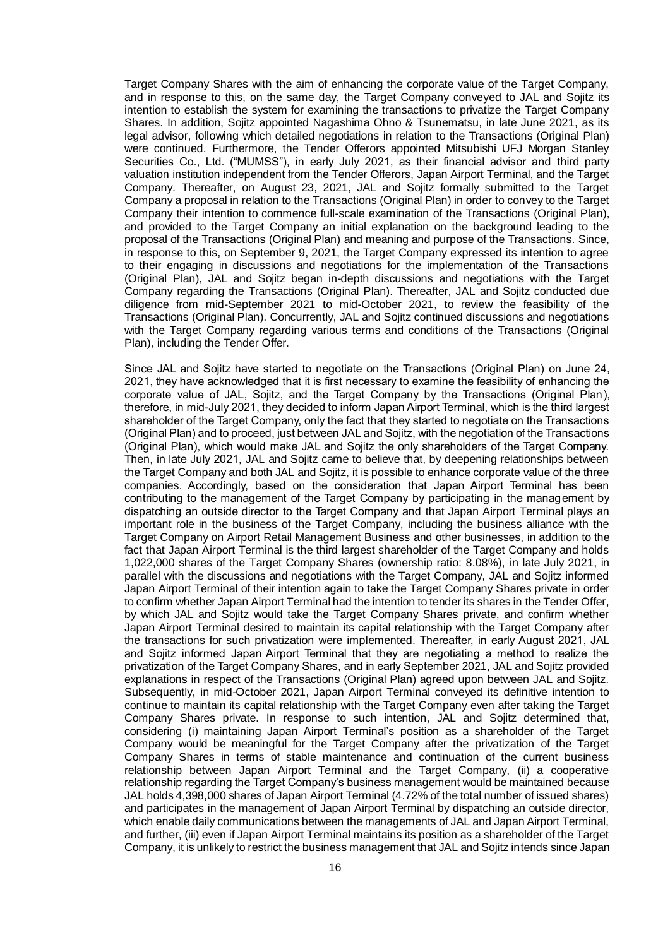Target Company Shares with the aim of enhancing the corporate value of the Target Company, and in response to this, on the same day, the Target Company conveyed to JAL and Sojitz its intention to establish the system for examining the transactions to privatize the Target Company Shares. In addition, Sojitz appointed Nagashima Ohno & Tsunematsu, in late June 2021, as its legal advisor, following which detailed negotiations in relation to the Transactions (Original Plan) were continued. Furthermore, the Tender Offerors appointed Mitsubishi UFJ Morgan Stanley Securities Co., Ltd. ("MUMSS"), in early July 2021, as their financial advisor and third party valuation institution independent from the Tender Offerors, Japan Airport Terminal, and the Target Company. Thereafter, on August 23, 2021, JAL and Sojitz formally submitted to the Target Company a proposal in relation to the Transactions (Original Plan) in order to convey to the Target Company their intention to commence full-scale examination of the Transactions (Original Plan), and provided to the Target Company an initial explanation on the background leading to the proposal of the Transactions (Original Plan) and meaning and purpose of the Transactions. Since, in response to this, on September 9, 2021, the Target Company expressed its intention to agree to their engaging in discussions and negotiations for the implementation of the Transactions (Original Plan), JAL and Sojitz began in-depth discussions and negotiations with the Target Company regarding the Transactions (Original Plan). Thereafter, JAL and Sojitz conducted due diligence from mid-September 2021 to mid-October 2021, to review the feasibility of the Transactions (Original Plan). Concurrently, JAL and Sojitz continued discussions and negotiations with the Target Company regarding various terms and conditions of the Transactions (Original Plan), including the Tender Offer.

Since JAL and Sojitz have started to negotiate on the Transactions (Original Plan) on June 24, 2021, they have acknowledged that it is first necessary to examine the feasibility of enhancing the corporate value of JAL, Sojitz, and the Target Company by the Transactions (Original Plan), therefore, in mid-July 2021, they decided to inform Japan Airport Terminal, which is the third largest shareholder of the Target Company, only the fact that they started to negotiate on the Transactions (Original Plan) and to proceed, just between JAL and Sojitz, with the negotiation of the Transactions (Original Plan), which would make JAL and Sojitz the only shareholders of the Target Company. Then, in late July 2021, JAL and Sojitz came to believe that, by deepening relationships between the Target Company and both JAL and Sojitz, it is possible to enhance corporate value of the three companies. Accordingly, based on the consideration that Japan Airport Terminal has been contributing to the management of the Target Company by participating in the management by dispatching an outside director to the Target Company and that Japan Airport Terminal plays an important role in the business of the Target Company, including the business alliance with the Target Company on Airport Retail Management Business and other businesses, in addition to the fact that Japan Airport Terminal is the third largest shareholder of the Target Company and holds 1,022,000 shares of the Target Company Shares (ownership ratio: 8.08%), in late July 2021, in parallel with the discussions and negotiations with the Target Company, JAL and Sojitz informed Japan Airport Terminal of their intention again to take the Target Company Shares private in order to confirm whether Japan Airport Terminal had the intention to tender its shares in the Tender Offer, by which JAL and Sojitz would take the Target Company Shares private, and confirm whether Japan Airport Terminal desired to maintain its capital relationship with the Target Company after the transactions for such privatization were implemented. Thereafter, in early August 2021, JAL and Sojitz informed Japan Airport Terminal that they are negotiating a method to realize the privatization of the Target Company Shares, and in early September 2021, JAL and Sojitz provided explanations in respect of the Transactions (Original Plan) agreed upon between JAL and Sojitz. Subsequently, in mid-October 2021, Japan Airport Terminal conveyed its definitive intention to continue to maintain its capital relationship with the Target Company even after taking the Target Company Shares private. In response to such intention, JAL and Sojitz determined that, considering (i) maintaining Japan Airport Terminal's position as a shareholder of the Target Company would be meaningful for the Target Company after the privatization of the Target Company Shares in terms of stable maintenance and continuation of the current business relationship between Japan Airport Terminal and the Target Company, (ii) a cooperative relationship regarding the Target Company's business management would be maintained because JAL holds 4,398,000 shares of Japan Airport Terminal (4.72% of the total number of issued shares) and participates in the management of Japan Airport Terminal by dispatching an outside director, which enable daily communications between the managements of JAL and Japan Airport Terminal, and further, (iii) even if Japan Airport Terminal maintains its position as a shareholder of the Target Company, it is unlikely to restrict the business management that JAL and Sojitz intends since Japan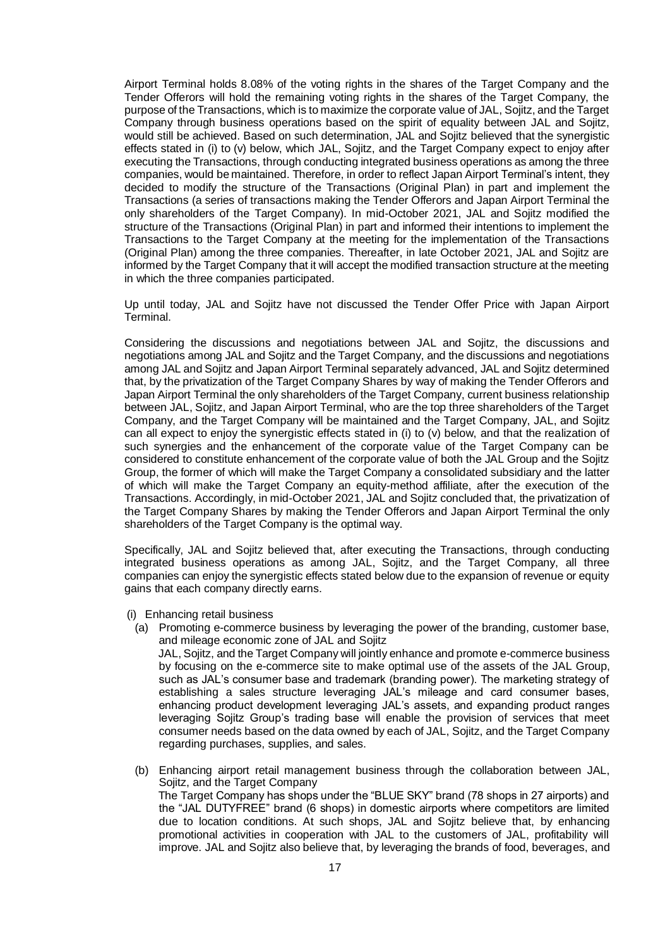Airport Terminal holds 8.08% of the voting rights in the shares of the Target Company and the Tender Offerors will hold the remaining voting rights in the shares of the Target Company, the purpose of the Transactions, which is to maximize the corporate value of JAL, Sojitz, and the Target Company through business operations based on the spirit of equality between JAL and Sojitz, would still be achieved. Based on such determination, JAL and Sojitz believed that the synergistic effects stated in (i) to (v) below, which JAL, Sojitz, and the Target Company expect to enjoy after executing the Transactions, through conducting integrated business operations as among the three companies, would be maintained. Therefore, in order to reflect Japan Airport Terminal's intent, they decided to modify the structure of the Transactions (Original Plan) in part and implement the Transactions (a series of transactions making the Tender Offerors and Japan Airport Terminal the only shareholders of the Target Company). In mid-October 2021, JAL and Sojitz modified the structure of the Transactions (Original Plan) in part and informed their intentions to implement the Transactions to the Target Company at the meeting for the implementation of the Transactions (Original Plan) among the three companies. Thereafter, in late October 2021, JAL and Sojitz are informed by the Target Company that it will accept the modified transaction structure at the meeting in which the three companies participated.

Up until today, JAL and Sojitz have not discussed the Tender Offer Price with Japan Airport Terminal.

Considering the discussions and negotiations between JAL and Sojitz, the discussions and negotiations among JAL and Sojitz and the Target Company, and the discussions and negotiations among JAL and Sojitz and Japan Airport Terminal separately advanced, JAL and Sojitz determined that, by the privatization of the Target Company Shares by way of making the Tender Offerors and Japan Airport Terminal the only shareholders of the Target Company, current business relationship between JAL, Sojitz, and Japan Airport Terminal, who are the top three shareholders of the Target Company, and the Target Company will be maintained and the Target Company, JAL, and Sojitz can all expect to enjoy the synergistic effects stated in (i) to (v) below, and that the realization of such synergies and the enhancement of the corporate value of the Target Company can be considered to constitute enhancement of the corporate value of both the JAL Group and the Sojitz Group, the former of which will make the Target Company a consolidated subsidiary and the latter of which will make the Target Company an equity-method affiliate, after the execution of the Transactions. Accordingly, in mid-October 2021, JAL and Sojitz concluded that, the privatization of the Target Company Shares by making the Tender Offerors and Japan Airport Terminal the only shareholders of the Target Company is the optimal way.

Specifically, JAL and Sojitz believed that, after executing the Transactions, through conducting integrated business operations as among JAL, Sojitz, and the Target Company, all three companies can enjoy the synergistic effects stated below due to the expansion of revenue or equity gains that each company directly earns.

- (i) Enhancing retail business
	- (a) Promoting e-commerce business by leveraging the power of the branding, customer base, and mileage economic zone of JAL and Sojitz JAL, Sojitz, and the Target Company will jointly enhance and promote e-commerce business by focusing on the e-commerce site to make optimal use of the assets of the JAL Group, such as JAL's consumer base and trademark (branding power). The marketing strategy of establishing a sales structure leveraging JAL's mileage and card consumer bases, enhancing product development leveraging JAL's assets, and expanding product ranges leveraging Sojitz Group's trading base will enable the provision of services that meet consumer needs based on the data owned by each of JAL, Sojitz, and the Target Company regarding purchases, supplies, and sales.
	- (b) Enhancing airport retail management business through the collaboration between JAL, Sojitz, and the Target Company The Target Company has shops under the "BLUE SKY" brand (78 shops in 27 airports) and the "JAL DUTYFREE" brand (6 shops) in domestic airports where competitors are limited due to location conditions. At such shops, JAL and Sojitz believe that, by enhancing promotional activities in cooperation with JAL to the customers of JAL, profitability will improve. JAL and Sojitz also believe that, by leveraging the brands of food, beverages, and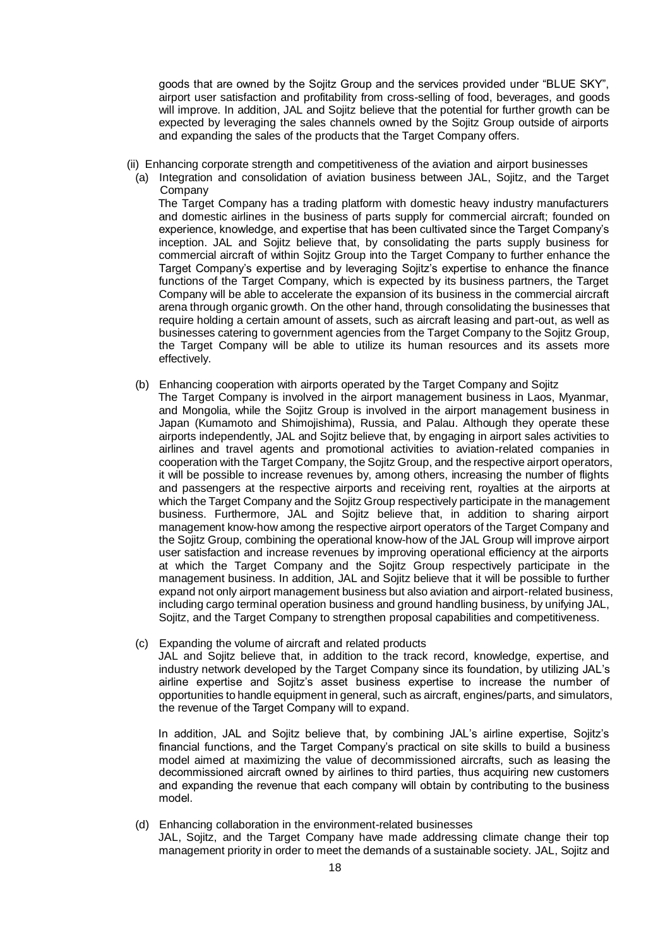goods that are owned by the Sojitz Group and the services provided under "BLUE SKY", airport user satisfaction and profitability from cross-selling of food, beverages, and goods will improve. In addition, JAL and Sojitz believe that the potential for further growth can be expected by leveraging the sales channels owned by the Sojitz Group outside of airports and expanding the sales of the products that the Target Company offers.

- (ii) Enhancing corporate strength and competitiveness of the aviation and airport businesses
	- (a) Integration and consolidation of aviation business between JAL, Sojitz, and the Target Company The Target Company has a trading platform with domestic heavy industry manufacturers

and domestic airlines in the business of parts supply for commercial aircraft; founded on experience, knowledge, and expertise that has been cultivated since the Target Company's inception. JAL and Sojitz believe that, by consolidating the parts supply business for commercial aircraft of within Sojitz Group into the Target Company to further enhance the Target Company's expertise and by leveraging Sojitz's expertise to enhance the finance functions of the Target Company, which is expected by its business partners, the Target Company will be able to accelerate the expansion of its business in the commercial aircraft arena through organic growth. On the other hand, through consolidating the businesses that require holding a certain amount of assets, such as aircraft leasing and part-out, as well as businesses catering to government agencies from the Target Company to the Sojitz Group, the Target Company will be able to utilize its human resources and its assets more effectively.

- (b) Enhancing cooperation with airports operated by the Target Company and Sojitz The Target Company is involved in the airport management business in Laos, Myanmar, and Mongolia, while the Sojitz Group is involved in the airport management business in Japan (Kumamoto and Shimojishima), Russia, and Palau. Although they operate these airports independently, JAL and Sojitz believe that, by engaging in airport sales activities to airlines and travel agents and promotional activities to aviation-related companies in cooperation with the Target Company, the Sojitz Group, and the respective airport operators, it will be possible to increase revenues by, among others, increasing the number of flights and passengers at the respective airports and receiving rent, royalties at the airports at which the Target Company and the Sojitz Group respectively participate in the management business. Furthermore, JAL and Sojitz believe that, in addition to sharing airport management know-how among the respective airport operators of the Target Company and the Sojitz Group, combining the operational know-how of the JAL Group will improve airport user satisfaction and increase revenues by improving operational efficiency at the airports at which the Target Company and the Sojitz Group respectively participate in the management business. In addition, JAL and Sojitz believe that it will be possible to further expand not only airport management business but also aviation and airport-related business, including cargo terminal operation business and ground handling business, by unifying JAL, Sojitz, and the Target Company to strengthen proposal capabilities and competitiveness.
- (c) Expanding the volume of aircraft and related products JAL and Sojitz believe that, in addition to the track record, knowledge, expertise, and industry network developed by the Target Company since its foundation, by utilizing JAL's airline expertise and Sojitz's asset business expertise to increase the number of opportunities to handle equipment in general, such as aircraft, engines/parts, and simulators, the revenue of the Target Company will to expand.

In addition, JAL and Sojitz believe that, by combining JAL's airline expertise, Sojitz's financial functions, and the Target Company's practical on site skills to build a business model aimed at maximizing the value of decommissioned aircrafts, such as leasing the decommissioned aircraft owned by airlines to third parties, thus acquiring new customers and expanding the revenue that each company will obtain by contributing to the business model.

(d) Enhancing collaboration in the environment-related businesses

JAL, Sojitz, and the Target Company have made addressing climate change their top management priority in order to meet the demands of a sustainable society. JAL, Sojitz and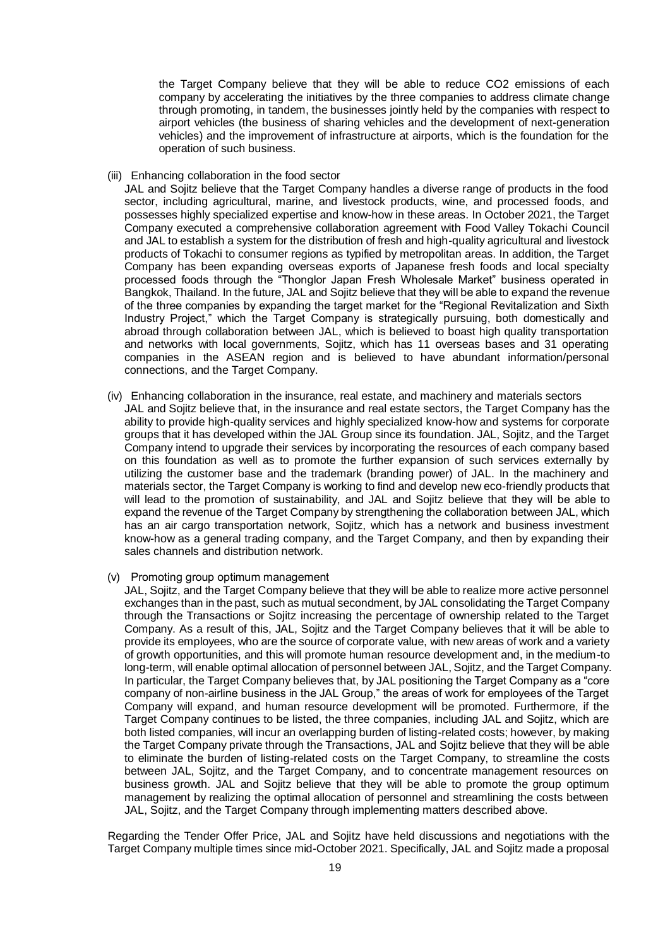the Target Company believe that they will be able to reduce CO2 emissions of each company by accelerating the initiatives by the three companies to address climate change through promoting, in tandem, the businesses jointly held by the companies with respect to airport vehicles (the business of sharing vehicles and the development of next-generation vehicles) and the improvement of infrastructure at airports, which is the foundation for the operation of such business.

(iii) Enhancing collaboration in the food sector

JAL and Sojitz believe that the Target Company handles a diverse range of products in the food sector, including agricultural, marine, and livestock products, wine, and processed foods, and possesses highly specialized expertise and know-how in these areas. In October 2021, the Target Company executed a comprehensive collaboration agreement with Food Valley Tokachi Council and JAL to establish a system for the distribution of fresh and high-quality agricultural and livestock products of Tokachi to consumer regions as typified by metropolitan areas. In addition, the Target Company has been expanding overseas exports of Japanese fresh foods and local specialty processed foods through the "Thonglor Japan Fresh Wholesale Market" business operated in Bangkok, Thailand. In the future, JAL and Sojitz believe that they will be able to expand the revenue of the three companies by expanding the target market for the "Regional Revitalization and Sixth Industry Project," which the Target Company is strategically pursuing, both domestically and abroad through collaboration between JAL, which is believed to boast high quality transportation and networks with local governments, Sojitz, which has 11 overseas bases and 31 operating companies in the ASEAN region and is believed to have abundant information/personal connections, and the Target Company.

- (iv) Enhancing collaboration in the insurance, real estate, and machinery and materials sectors JAL and Sojitz believe that, in the insurance and real estate sectors, the Target Company has the ability to provide high-quality services and highly specialized know-how and systems for corporate groups that it has developed within the JAL Group since its foundation. JAL, Sojitz, and the Target Company intend to upgrade their services by incorporating the resources of each company based on this foundation as well as to promote the further expansion of such services externally by utilizing the customer base and the trademark (branding power) of JAL. In the machinery and materials sector, the Target Company is working to find and develop new eco-friendly products that will lead to the promotion of sustainability, and JAL and Sojitz believe that they will be able to expand the revenue of the Target Company by strengthening the collaboration between JAL, which has an air cargo transportation network, Sojitz, which has a network and business investment know-how as a general trading company, and the Target Company, and then by expanding their sales channels and distribution network.
- (v) Promoting group optimum management
	- JAL, Sojitz, and the Target Company believe that they will be able to realize more active personnel exchanges than in the past, such as mutual secondment, by JAL consolidating the Target Company through the Transactions or Sojitz increasing the percentage of ownership related to the Target Company. As a result of this, JAL, Sojitz and the Target Company believes that it will be able to provide its employees, who are the source of corporate value, with new areas of work and a variety of growth opportunities, and this will promote human resource development and, in the medium-to long-term, will enable optimal allocation of personnel between JAL, Sojitz, and the Target Company. In particular, the Target Company believes that, by JAL positioning the Target Company as a "core company of non-airline business in the JAL Group," the areas of work for employees of the Target Company will expand, and human resource development will be promoted. Furthermore, if the Target Company continues to be listed, the three companies, including JAL and Sojitz, which are both listed companies, will incur an overlapping burden of listing-related costs; however, by making the Target Company private through the Transactions, JAL and Sojitz believe that they will be able to eliminate the burden of listing-related costs on the Target Company, to streamline the costs between JAL, Sojitz, and the Target Company, and to concentrate management resources on business growth. JAL and Sojitz believe that they will be able to promote the group optimum management by realizing the optimal allocation of personnel and streamlining the costs between JAL, Sojitz, and the Target Company through implementing matters described above.

Regarding the Tender Offer Price, JAL and Sojitz have held discussions and negotiations with the Target Company multiple times since mid-October 2021. Specifically, JAL and Sojitz made a proposal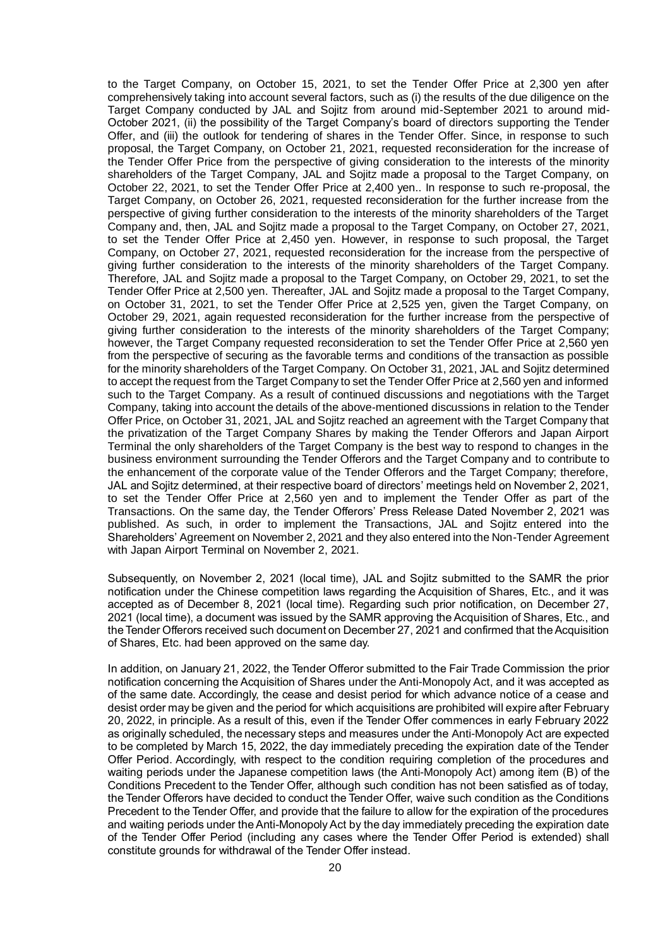to the Target Company, on October 15, 2021, to set the Tender Offer Price at 2,300 yen after comprehensively taking into account several factors, such as (i) the results of the due diligence on the Target Company conducted by JAL and Sojitz from around mid-September 2021 to around mid-October 2021, (ii) the possibility of the Target Company's board of directors supporting the Tender Offer, and (iii) the outlook for tendering of shares in the Tender Offer. Since, in response to such proposal, the Target Company, on October 21, 2021, requested reconsideration for the increase of the Tender Offer Price from the perspective of giving consideration to the interests of the minority shareholders of the Target Company, JAL and Sojitz made a proposal to the Target Company, on October 22, 2021, to set the Tender Offer Price at 2,400 yen.. In response to such re-proposal, the Target Company, on October 26, 2021, requested reconsideration for the further increase from the perspective of giving further consideration to the interests of the minority shareholders of the Target Company and, then, JAL and Sojitz made a proposal to the Target Company, on October 27, 2021, to set the Tender Offer Price at 2,450 yen. However, in response to such proposal, the Target Company, on October 27, 2021, requested reconsideration for the increase from the perspective of giving further consideration to the interests of the minority shareholders of the Target Company. Therefore, JAL and Sojitz made a proposal to the Target Company, on October 29, 2021, to set the Tender Offer Price at 2,500 yen. Thereafter, JAL and Sojitz made a proposal to the Target Company, on October 31, 2021, to set the Tender Offer Price at 2,525 yen, given the Target Company, on October 29, 2021, again requested reconsideration for the further increase from the perspective of giving further consideration to the interests of the minority shareholders of the Target Company; however, the Target Company requested reconsideration to set the Tender Offer Price at 2,560 yen from the perspective of securing as the favorable terms and conditions of the transaction as possible for the minority shareholders of the Target Company. On October 31, 2021, JAL and Sojitz determined to accept the request from the Target Company to set the Tender Offer Price at 2,560 yen and informed such to the Target Company. As a result of continued discussions and negotiations with the Target Company, taking into account the details of the above-mentioned discussions in relation to the Tender Offer Price, on October 31, 2021, JAL and Sojitz reached an agreement with the Target Company that the privatization of the Target Company Shares by making the Tender Offerors and Japan Airport Terminal the only shareholders of the Target Company is the best way to respond to changes in the business environment surrounding the Tender Offerors and the Target Company and to contribute to the enhancement of the corporate value of the Tender Offerors and the Target Company; therefore, JAL and Sojitz determined, at their respective board of directors' meetings held on November 2, 2021, to set the Tender Offer Price at 2,560 yen and to implement the Tender Offer as part of the Transactions. On the same day, the Tender Offerors' Press Release Dated November 2, 2021 was published. As such, in order to implement the Transactions, JAL and Sojitz entered into the Shareholders' Agreement on November 2, 2021 and they also entered into the Non-Tender Agreement with Japan Airport Terminal on November 2, 2021.

Subsequently, on November 2, 2021 (local time), JAL and Sojitz submitted to the SAMR the prior notification under the Chinese competition laws regarding the Acquisition of Shares, Etc., and it was accepted as of December 8, 2021 (local time). Regarding such prior notification, on December 27, 2021 (local time), a document was issued by the SAMR approving the Acquisition of Shares, Etc., and the Tender Offerors received such document on December 27, 2021 and confirmed that the Acquisition of Shares, Etc. had been approved on the same day.

In addition, on January 21, 2022, the Tender Offeror submitted to the Fair Trade Commission the prior notification concerning the Acquisition of Shares under the Anti-Monopoly Act, and it was accepted as of the same date. Accordingly, the cease and desist period for which advance notice of a cease and desist order may be given and the period for which acquisitions are prohibited will expire after February 20, 2022, in principle. As a result of this, even if the Tender Offer commences in early February 2022 as originally scheduled, the necessary steps and measures under the Anti-Monopoly Act are expected to be completed by March 15, 2022, the day immediately preceding the expiration date of the Tender Offer Period. Accordingly, with respect to the condition requiring completion of the procedures and waiting periods under the Japanese competition laws (the Anti-Monopoly Act) among item (B) of the Conditions Precedent to the Tender Offer, although such condition has not been satisfied as of today, the Tender Offerors have decided to conduct the Tender Offer, waive such condition as the Conditions Precedent to the Tender Offer, and provide that the failure to allow for the expiration of the procedures and waiting periods under the Anti-Monopoly Act by the day immediately preceding the expiration date of the Tender Offer Period (including any cases where the Tender Offer Period is extended) shall constitute grounds for withdrawal of the Tender Offer instead.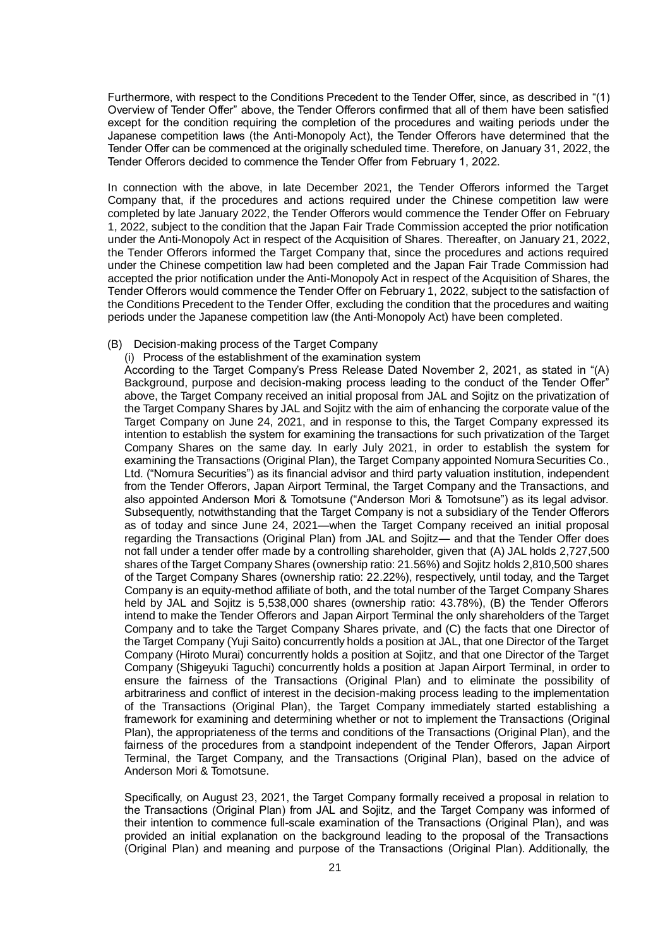Furthermore, with respect to the Conditions Precedent to the Tender Offer, since, as described in "(1) Overview of Tender Offer" above, the Tender Offerors confirmed that all of them have been satisfied except for the condition requiring the completion of the procedures and waiting periods under the Japanese competition laws (the Anti-Monopoly Act), the Tender Offerors have determined that the Tender Offer can be commenced at the originally scheduled time. Therefore, on January 31, 2022, the Tender Offerors decided to commence the Tender Offer from February 1, 2022.

In connection with the above, in late December 2021, the Tender Offerors informed the Target Company that, if the procedures and actions required under the Chinese competition law were completed by late January 2022, the Tender Offerors would commence the Tender Offer on February 1, 2022, subject to the condition that the Japan Fair Trade Commission accepted the prior notification under the Anti-Monopoly Act in respect of the Acquisition of Shares. Thereafter, on January 21, 2022, the Tender Offerors informed the Target Company that, since the procedures and actions required under the Chinese competition law had been completed and the Japan Fair Trade Commission had accepted the prior notification under the Anti-Monopoly Act in respect of the Acquisition of Shares, the Tender Offerors would commence the Tender Offer on February 1, 2022, subject to the satisfaction of the Conditions Precedent to the Tender Offer, excluding the condition that the procedures and waiting periods under the Japanese competition law (the Anti-Monopoly Act) have been completed.

#### (B) Decision-making process of the Target Company

#### (i) Process of the establishment of the examination system

According to the Target Company's Press Release Dated November 2, 2021, as stated in "(A) Background, purpose and decision-making process leading to the conduct of the Tender Offer" above, the Target Company received an initial proposal from JAL and Sojitz on the privatization of the Target Company Shares by JAL and Sojitz with the aim of enhancing the corporate value of the Target Company on June 24, 2021, and in response to this, the Target Company expressed its intention to establish the system for examining the transactions for such privatization of the Target Company Shares on the same day. In early July 2021, in order to establish the system for examining the Transactions (Original Plan), the Target Company appointed Nomura Securities Co., Ltd. ("Nomura Securities") as its financial advisor and third party valuation institution, independent from the Tender Offerors, Japan Airport Terminal, the Target Company and the Transactions, and also appointed Anderson Mori & Tomotsune ("Anderson Mori & Tomotsune") as its legal advisor. Subsequently, notwithstanding that the Target Company is not a subsidiary of the Tender Offerors as of today and since June 24, 2021—when the Target Company received an initial proposal regarding the Transactions (Original Plan) from JAL and Sojitz— and that the Tender Offer does not fall under a tender offer made by a controlling shareholder, given that (A) JAL holds 2,727,500 shares of the Target Company Shares (ownership ratio: 21.56%) and Sojitz holds 2,810,500 shares of the Target Company Shares (ownership ratio: 22.22%), respectively, until today, and the Target Company is an equity-method affiliate of both, and the total number of the Target Company Shares held by JAL and Sojitz is 5,538,000 shares (ownership ratio: 43.78%), (B) the Tender Offerors intend to make the Tender Offerors and Japan Airport Terminal the only shareholders of the Target Company and to take the Target Company Shares private, and (C) the facts that one Director of the Target Company (Yuji Saito) concurrently holds a position at JAL, that one Director of the Target Company (Hiroto Murai) concurrently holds a position at Sojitz, and that one Director of the Target Company (Shigeyuki Taguchi) concurrently holds a position at Japan Airport Terminal, in order to ensure the fairness of the Transactions (Original Plan) and to eliminate the possibility of arbitrariness and conflict of interest in the decision-making process leading to the implementation of the Transactions (Original Plan), the Target Company immediately started establishing a framework for examining and determining whether or not to implement the Transactions (Original Plan), the appropriateness of the terms and conditions of the Transactions (Original Plan), and the fairness of the procedures from a standpoint independent of the Tender Offerors, Japan Airport Terminal, the Target Company, and the Transactions (Original Plan), based on the advice of Anderson Mori & Tomotsune.

Specifically, on August 23, 2021, the Target Company formally received a proposal in relation to the Transactions (Original Plan) from JAL and Sojitz, and the Target Company was informed of their intention to commence full-scale examination of the Transactions (Original Plan), and was provided an initial explanation on the background leading to the proposal of the Transactions (Original Plan) and meaning and purpose of the Transactions (Original Plan). Additionally, the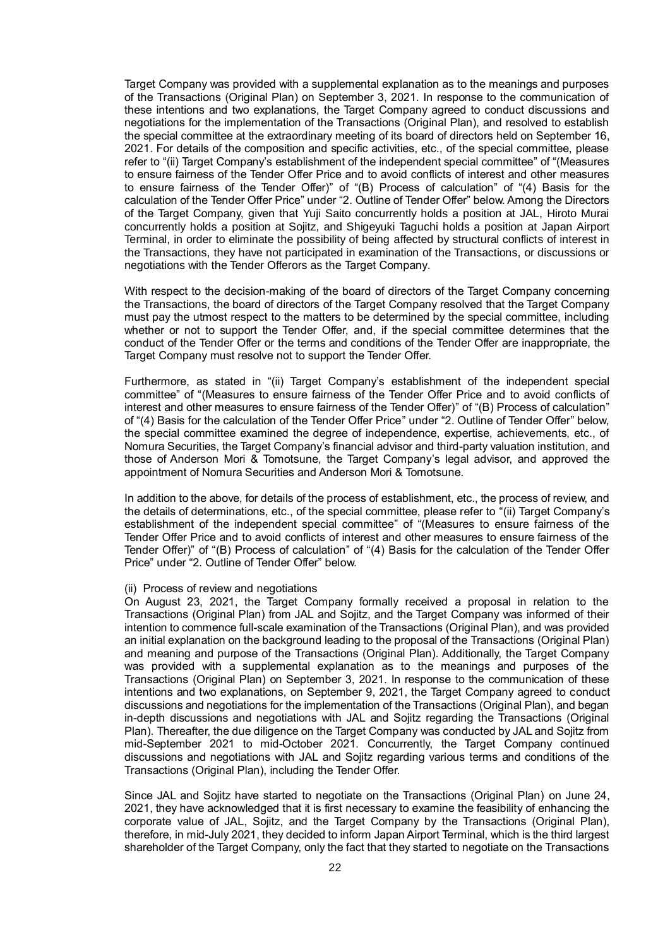Target Company was provided with a supplemental explanation as to the meanings and purposes of the Transactions (Original Plan) on September 3, 2021. In response to the communication of these intentions and two explanations, the Target Company agreed to conduct discussions and negotiations for the implementation of the Transactions (Original Plan), and resolved to establish the special committee at the extraordinary meeting of its board of directors held on September 16, 2021. For details of the composition and specific activities, etc., of the special committee, please refer to "(ii) Target Company's establishment of the independent special committee" of "(Measures to ensure fairness of the Tender Offer Price and to avoid conflicts of interest and other measures to ensure fairness of the Tender Offer)" of "(B) Process of calculation" of "(4) Basis for the calculation of the Tender Offer Price" under "2. Outline of Tender Offer" below. Among the Directors of the Target Company, given that Yuji Saito concurrently holds a position at JAL, Hiroto Murai concurrently holds a position at Sojitz, and Shigeyuki Taguchi holds a position at Japan Airport Terminal, in order to eliminate the possibility of being affected by structural conflicts of interest in the Transactions, they have not participated in examination of the Transactions, or discussions or negotiations with the Tender Offerors as the Target Company.

With respect to the decision-making of the board of directors of the Target Company concerning the Transactions, the board of directors of the Target Company resolved that the Target Company must pay the utmost respect to the matters to be determined by the special committee, including whether or not to support the Tender Offer, and, if the special committee determines that the conduct of the Tender Offer or the terms and conditions of the Tender Offer are inappropriate, the Target Company must resolve not to support the Tender Offer.

Furthermore, as stated in "(ii) Target Company's establishment of the independent special committee" of "(Measures to ensure fairness of the Tender Offer Price and to avoid conflicts of interest and other measures to ensure fairness of the Tender Offer)" of "(B) Process of calculation" of "(4) Basis for the calculation of the Tender Offer Price" under "2. Outline of Tender Offer" below, the special committee examined the degree of independence, expertise, achievements, etc., of Nomura Securities, the Target Company's financial advisor and third-party valuation institution, and those of Anderson Mori & Tomotsune, the Target Company's legal advisor, and approved the appointment of Nomura Securities and Anderson Mori & Tomotsune.

In addition to the above, for details of the process of establishment, etc., the process of review, and the details of determinations, etc., of the special committee, please refer to "(ii) Target Company's establishment of the independent special committee" of "(Measures to ensure fairness of the Tender Offer Price and to avoid conflicts of interest and other measures to ensure fairness of the Tender Offer)" of "(B) Process of calculation" of "(4) Basis for the calculation of the Tender Offer Price" under "2. Outline of Tender Offer" below.

#### (ii) Process of review and negotiations

On August 23, 2021, the Target Company formally received a proposal in relation to the Transactions (Original Plan) from JAL and Sojitz, and the Target Company was informed of their intention to commence full-scale examination of the Transactions (Original Plan), and was provided an initial explanation on the background leading to the proposal of the Transactions (Original Plan) and meaning and purpose of the Transactions (Original Plan). Additionally, the Target Company was provided with a supplemental explanation as to the meanings and purposes of the Transactions (Original Plan) on September 3, 2021. In response to the communication of these intentions and two explanations, on September 9, 2021, the Target Company agreed to conduct discussions and negotiations for the implementation of the Transactions (Original Plan), and began in-depth discussions and negotiations with JAL and Sojitz regarding the Transactions (Original Plan). Thereafter, the due diligence on the Target Company was conducted by JAL and Sojitz from mid-September 2021 to mid-October 2021. Concurrently, the Target Company continued discussions and negotiations with JAL and Sojitz regarding various terms and conditions of the Transactions (Original Plan), including the Tender Offer.

Since JAL and Sojitz have started to negotiate on the Transactions (Original Plan) on June 24, 2021, they have acknowledged that it is first necessary to examine the feasibility of enhancing the corporate value of JAL, Sojitz, and the Target Company by the Transactions (Original Plan), therefore, in mid-July 2021, they decided to inform Japan Airport Terminal, which is the third largest shareholder of the Target Company, only the fact that they started to negotiate on the Transactions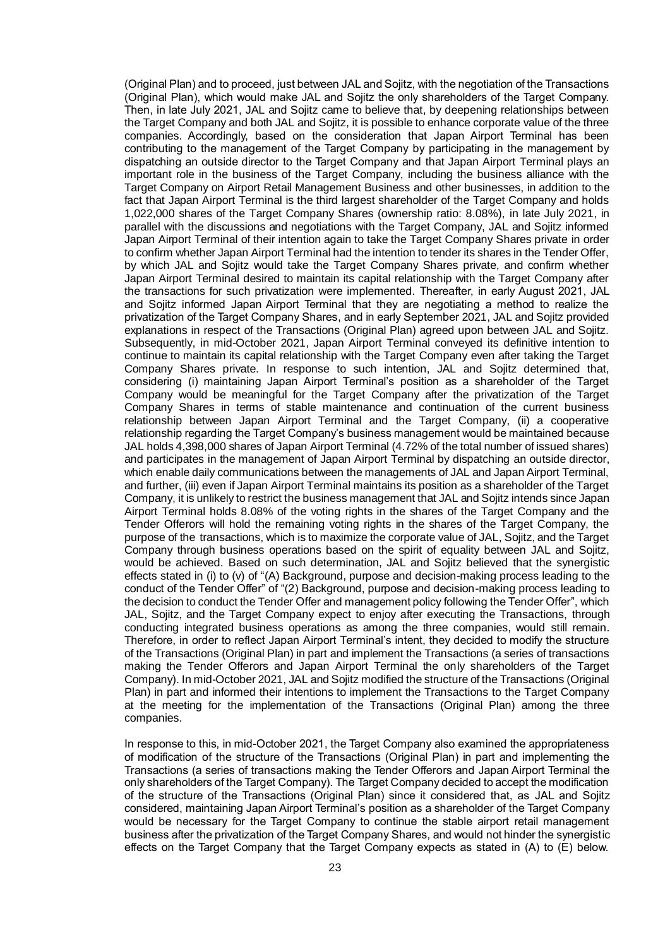(Original Plan) and to proceed, just between JAL and Sojitz, with the negotiation of the Transactions (Original Plan), which would make JAL and Sojitz the only shareholders of the Target Company. Then, in late July 2021, JAL and Sojitz came to believe that, by deepening relationships between the Target Company and both JAL and Sojitz, it is possible to enhance corporate value of the three companies. Accordingly, based on the consideration that Japan Airport Terminal has been contributing to the management of the Target Company by participating in the management by dispatching an outside director to the Target Company and that Japan Airport Terminal plays an important role in the business of the Target Company, including the business alliance with the Target Company on Airport Retail Management Business and other businesses, in addition to the fact that Japan Airport Terminal is the third largest shareholder of the Target Company and holds 1,022,000 shares of the Target Company Shares (ownership ratio: 8.08%), in late July 2021, in parallel with the discussions and negotiations with the Target Company, JAL and Sojitz informed Japan Airport Terminal of their intention again to take the Target Company Shares private in order to confirm whether Japan Airport Terminal had the intention to tender its shares in the Tender Offer, by which JAL and Sojitz would take the Target Company Shares private, and confirm whether Japan Airport Terminal desired to maintain its capital relationship with the Target Company after the transactions for such privatization were implemented. Thereafter, in early August 2021, JAL and Sojitz informed Japan Airport Terminal that they are negotiating a method to realize the privatization of the Target Company Shares, and in early September 2021, JAL and Sojitz provided explanations in respect of the Transactions (Original Plan) agreed upon between JAL and Sojitz. Subsequently, in mid-October 2021, Japan Airport Terminal conveyed its definitive intention to continue to maintain its capital relationship with the Target Company even after taking the Target Company Shares private. In response to such intention, JAL and Sojitz determined that, considering (i) maintaining Japan Airport Terminal's position as a shareholder of the Target Company would be meaningful for the Target Company after the privatization of the Target Company Shares in terms of stable maintenance and continuation of the current business relationship between Japan Airport Terminal and the Target Company, (ii) a cooperative relationship regarding the Target Company's business management would be maintained because JAL holds 4,398,000 shares of Japan Airport Terminal (4.72% of the total number of issued shares) and participates in the management of Japan Airport Terminal by dispatching an outside director, which enable daily communications between the managements of JAL and Japan Airport Terminal, and further, (iii) even if Japan Airport Terminal maintains its position as a shareholder of the Target Company, it is unlikely to restrict the business management that JAL and Sojitz intends since Japan Airport Terminal holds 8.08% of the voting rights in the shares of the Target Company and the Tender Offerors will hold the remaining voting rights in the shares of the Target Company, the purpose of the transactions, which is to maximize the corporate value of JAL, Sojitz, and the Target Company through business operations based on the spirit of equality between JAL and Sojitz, would be achieved. Based on such determination, JAL and Sojitz believed that the synergistic effects stated in (i) to (v) of "(A) Background, purpose and decision-making process leading to the conduct of the Tender Offer" of "(2) Background, purpose and decision-making process leading to the decision to conduct the Tender Offer and management policy following the Tender Offer", which JAL, Sojitz, and the Target Company expect to enjoy after executing the Transactions, through conducting integrated business operations as among the three companies, would still remain. Therefore, in order to reflect Japan Airport Terminal's intent, they decided to modify the structure of the Transactions (Original Plan) in part and implement the Transactions (a series of transactions making the Tender Offerors and Japan Airport Terminal the only shareholders of the Target Company). In mid-October 2021, JAL and Sojitz modified the structure of the Transactions (Original Plan) in part and informed their intentions to implement the Transactions to the Target Company at the meeting for the implementation of the Transactions (Original Plan) among the three companies.

In response to this, in mid-October 2021, the Target Company also examined the appropriateness of modification of the structure of the Transactions (Original Plan) in part and implementing the Transactions (a series of transactions making the Tender Offerors and Japan Airport Terminal the only shareholders of the Target Company). The Target Company decided to accept the modification of the structure of the Transactions (Original Plan) since it considered that, as JAL and Sojitz considered, maintaining Japan Airport Terminal's position as a shareholder of the Target Company would be necessary for the Target Company to continue the stable airport retail management business after the privatization of the Target Company Shares, and would not hinder the synergistic effects on the Target Company that the Target Company expects as stated in (A) to (E) below.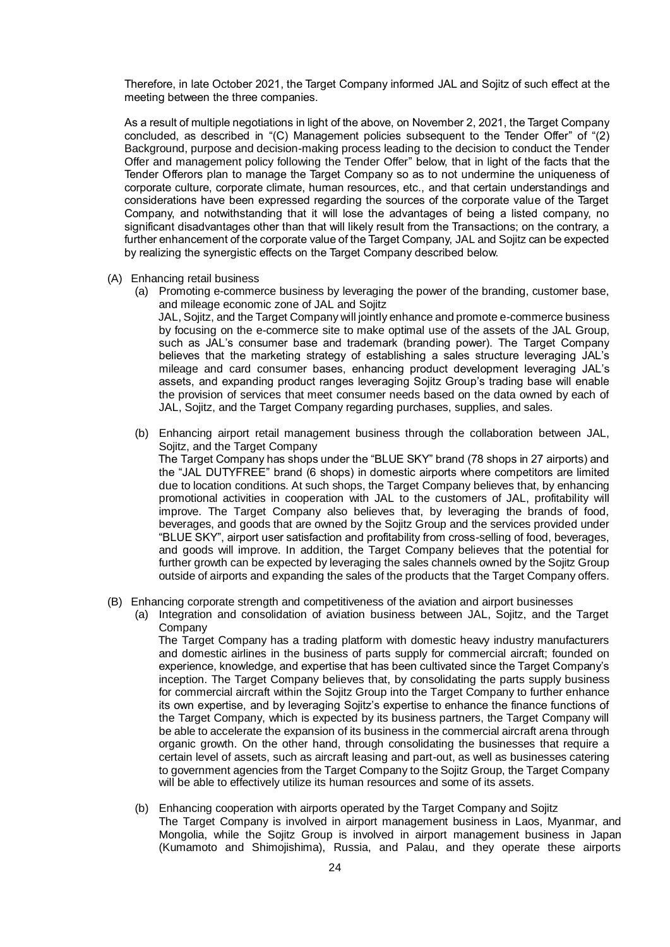Therefore, in late October 2021, the Target Company informed JAL and Sojitz of such effect at the meeting between the three companies.

As a result of multiple negotiations in light of the above, on November 2, 2021, the Target Company concluded, as described in "(C) Management policies subsequent to the Tender Offer" of "(2) Background, purpose and decision-making process leading to the decision to conduct the Tender Offer and management policy following the Tender Offer" below, that in light of the facts that the Tender Offerors plan to manage the Target Company so as to not undermine the uniqueness of corporate culture, corporate climate, human resources, etc., and that certain understandings and considerations have been expressed regarding the sources of the corporate value of the Target Company, and notwithstanding that it will lose the advantages of being a listed company, no significant disadvantages other than that will likely result from the Transactions; on the contrary, a further enhancement of the corporate value of the Target Company, JAL and Sojitz can be expected by realizing the synergistic effects on the Target Company described below.

- (A) Enhancing retail business
	- (a) Promoting e-commerce business by leveraging the power of the branding, customer base, and mileage economic zone of JAL and Sojitz

JAL, Sojitz, and the Target Company will jointly enhance and promote e-commerce business by focusing on the e-commerce site to make optimal use of the assets of the JAL Group, such as JAL's consumer base and trademark (branding power). The Target Company believes that the marketing strategy of establishing a sales structure leveraging JAL's mileage and card consumer bases, enhancing product development leveraging JAL's assets, and expanding product ranges leveraging Sojitz Group's trading base will enable the provision of services that meet consumer needs based on the data owned by each of JAL, Sojitz, and the Target Company regarding purchases, supplies, and sales.

- (b) Enhancing airport retail management business through the collaboration between JAL, Sojitz, and the Target Company The Target Company has shops under the "BLUE SKY" brand (78 shops in 27 airports) and the "JAL DUTYFREE" brand (6 shops) in domestic airports where competitors are limited due to location conditions. At such shops, the Target Company believes that, by enhancing promotional activities in cooperation with JAL to the customers of JAL, profitability will improve. The Target Company also believes that, by leveraging the brands of food, beverages, and goods that are owned by the Sojitz Group and the services provided under "BLUE SKY", airport user satisfaction and profitability from cross-selling of food, beverages, and goods will improve. In addition, the Target Company believes that the potential for further growth can be expected by leveraging the sales channels owned by the Sojitz Group outside of airports and expanding the sales of the products that the Target Company offers.
- (B) Enhancing corporate strength and competitiveness of the aviation and airport businesses
	- (a) Integration and consolidation of aviation business between JAL, Sojitz, and the Target Company

The Target Company has a trading platform with domestic heavy industry manufacturers and domestic airlines in the business of parts supply for commercial aircraft; founded on experience, knowledge, and expertise that has been cultivated since the Target Company's inception. The Target Company believes that, by consolidating the parts supply business for commercial aircraft within the Sojitz Group into the Target Company to further enhance its own expertise, and by leveraging Sojitz's expertise to enhance the finance functions of the Target Company, which is expected by its business partners, the Target Company will be able to accelerate the expansion of its business in the commercial aircraft arena through organic growth. On the other hand, through consolidating the businesses that require a certain level of assets, such as aircraft leasing and part-out, as well as businesses catering to government agencies from the Target Company to the Sojitz Group, the Target Company will be able to effectively utilize its human resources and some of its assets.

(b) Enhancing cooperation with airports operated by the Target Company and Sojitz

The Target Company is involved in airport management business in Laos, Myanmar, and Mongolia, while the Sojitz Group is involved in airport management business in Japan (Kumamoto and Shimojishima), Russia, and Palau, and they operate these airports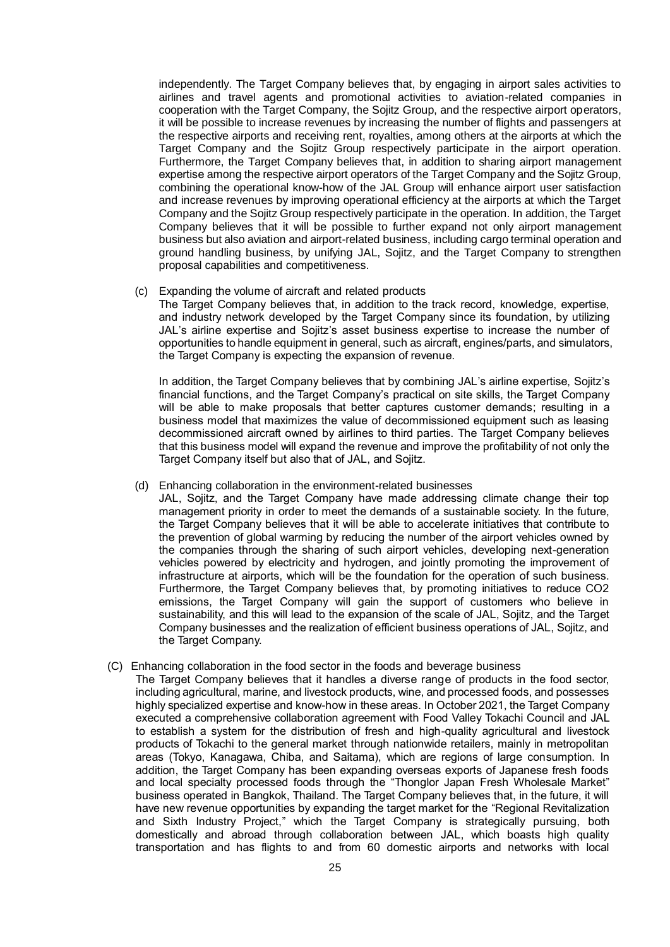independently. The Target Company believes that, by engaging in airport sales activities to airlines and travel agents and promotional activities to aviation-related companies in cooperation with the Target Company, the Sojitz Group, and the respective airport operators, it will be possible to increase revenues by increasing the number of flights and passengers at the respective airports and receiving rent, royalties, among others at the airports at which the Target Company and the Sojitz Group respectively participate in the airport operation. Furthermore, the Target Company believes that, in addition to sharing airport management expertise among the respective airport operators of the Target Company and the Sojitz Group, combining the operational know-how of the JAL Group will enhance airport user satisfaction and increase revenues by improving operational efficiency at the airports at which the Target Company and the Sojitz Group respectively participate in the operation. In addition, the Target Company believes that it will be possible to further expand not only airport management business but also aviation and airport-related business, including cargo terminal operation and ground handling business, by unifying JAL, Sojitz, and the Target Company to strengthen proposal capabilities and competitiveness.

### (c) Expanding the volume of aircraft and related products

The Target Company believes that, in addition to the track record, knowledge, expertise, and industry network developed by the Target Company since its foundation, by utilizing JAL's airline expertise and Sojitz's asset business expertise to increase the number of opportunities to handle equipment in general, such as aircraft, engines/parts, and simulators, the Target Company is expecting the expansion of revenue.

In addition, the Target Company believes that by combining JAL's airline expertise, Sojitz's financial functions, and the Target Company's practical on site skills, the Target Company will be able to make proposals that better captures customer demands; resulting in a business model that maximizes the value of decommissioned equipment such as leasing decommissioned aircraft owned by airlines to third parties. The Target Company believes that this business model will expand the revenue and improve the profitability of not only the Target Company itself but also that of JAL, and Sojitz.

### (d) Enhancing collaboration in the environment-related businesses

JAL, Sojitz, and the Target Company have made addressing climate change their top management priority in order to meet the demands of a sustainable society. In the future, the Target Company believes that it will be able to accelerate initiatives that contribute to the prevention of global warming by reducing the number of the airport vehicles owned by the companies through the sharing of such airport vehicles, developing next-generation vehicles powered by electricity and hydrogen, and jointly promoting the improvement of infrastructure at airports, which will be the foundation for the operation of such business. Furthermore, the Target Company believes that, by promoting initiatives to reduce CO2 emissions, the Target Company will gain the support of customers who believe in sustainability, and this will lead to the expansion of the scale of JAL, Sojitz, and the Target Company businesses and the realization of efficient business operations of JAL, Sojitz, and the Target Company.

# (C) Enhancing collaboration in the food sector in the foods and beverage business

The Target Company believes that it handles a diverse range of products in the food sector, including agricultural, marine, and livestock products, wine, and processed foods, and possesses highly specialized expertise and know-how in these areas. In October 2021, the Target Company executed a comprehensive collaboration agreement with Food Valley Tokachi Council and JAL to establish a system for the distribution of fresh and high-quality agricultural and livestock products of Tokachi to the general market through nationwide retailers, mainly in metropolitan areas (Tokyo, Kanagawa, Chiba, and Saitama), which are regions of large consumption. In addition, the Target Company has been expanding overseas exports of Japanese fresh foods and local specialty processed foods through the "Thonglor Japan Fresh Wholesale Market" business operated in Bangkok, Thailand. The Target Company believes that, in the future, it will have new revenue opportunities by expanding the target market for the "Regional Revitalization and Sixth Industry Project," which the Target Company is strategically pursuing, both domestically and abroad through collaboration between JAL, which boasts high quality transportation and has flights to and from 60 domestic airports and networks with local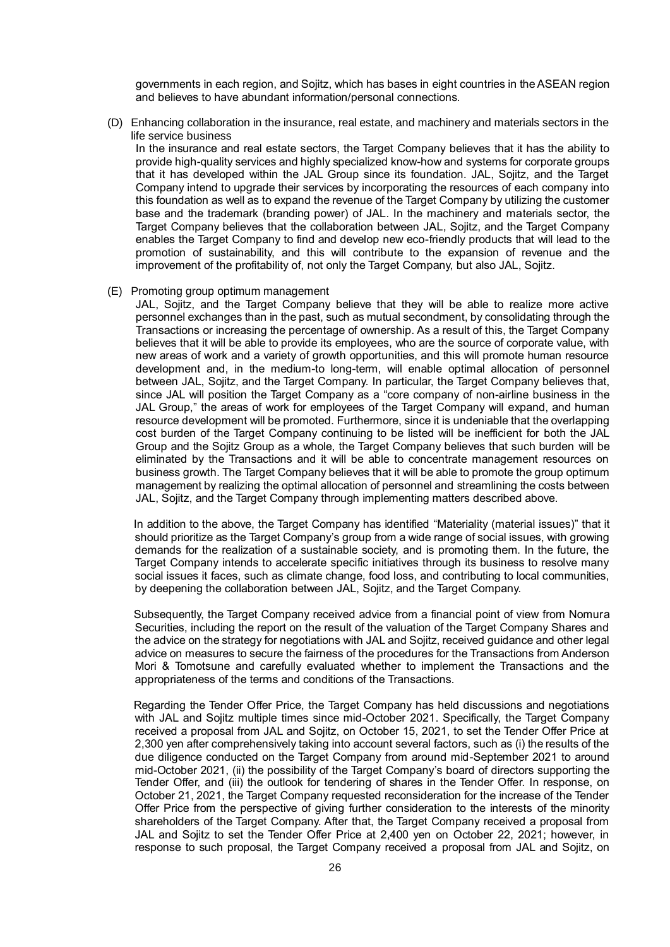governments in each region, and Sojitz, which has bases in eight countries in the ASEAN region and believes to have abundant information/personal connections.

(D) Enhancing collaboration in the insurance, real estate, and machinery and materials sectors in the life service business

In the insurance and real estate sectors, the Target Company believes that it has the ability to provide high-quality services and highly specialized know-how and systems for corporate groups that it has developed within the JAL Group since its foundation. JAL, Sojitz, and the Target Company intend to upgrade their services by incorporating the resources of each company into this foundation as well as to expand the revenue of the Target Company by utilizing the customer base and the trademark (branding power) of JAL. In the machinery and materials sector, the Target Company believes that the collaboration between JAL, Sojitz, and the Target Company enables the Target Company to find and develop new eco-friendly products that will lead to the promotion of sustainability, and this will contribute to the expansion of revenue and the improvement of the profitability of, not only the Target Company, but also JAL, Sojitz.

(E) Promoting group optimum management

JAL, Sojitz, and the Target Company believe that they will be able to realize more active personnel exchanges than in the past, such as mutual secondment, by consolidating through the Transactions or increasing the percentage of ownership. As a result of this, the Target Company believes that it will be able to provide its employees, who are the source of corporate value, with new areas of work and a variety of growth opportunities, and this will promote human resource development and, in the medium-to long-term, will enable optimal allocation of personnel between JAL, Sojitz, and the Target Company. In particular, the Target Company believes that, since JAL will position the Target Company as a "core company of non-airline business in the JAL Group," the areas of work for employees of the Target Company will expand, and human resource development will be promoted. Furthermore, since it is undeniable that the overlapping cost burden of the Target Company continuing to be listed will be inefficient for both the JAL Group and the Sojitz Group as a whole, the Target Company believes that such burden will be eliminated by the Transactions and it will be able to concentrate management resources on business growth. The Target Company believes that it will be able to promote the group optimum management by realizing the optimal allocation of personnel and streamlining the costs between JAL, Sojitz, and the Target Company through implementing matters described above.

In addition to the above, the Target Company has identified "Materiality (material issues)" that it should prioritize as the Target Company's group from a wide range of social issues, with growing demands for the realization of a sustainable society, and is promoting them. In the future, the Target Company intends to accelerate specific initiatives through its business to resolve many social issues it faces, such as climate change, food loss, and contributing to local communities, by deepening the collaboration between JAL, Sojitz, and the Target Company.

Subsequently, the Target Company received advice from a financial point of view from Nomura Securities, including the report on the result of the valuation of the Target Company Shares and the advice on the strategy for negotiations with JAL and Sojitz, received guidance and other legal advice on measures to secure the fairness of the procedures for the Transactions from Anderson Mori & Tomotsune and carefully evaluated whether to implement the Transactions and the appropriateness of the terms and conditions of the Transactions.

Regarding the Tender Offer Price, the Target Company has held discussions and negotiations with JAL and Sojitz multiple times since mid-October 2021. Specifically, the Target Company received a proposal from JAL and Sojitz, on October 15, 2021, to set the Tender Offer Price at 2,300 yen after comprehensively taking into account several factors, such as (i) the results of the due diligence conducted on the Target Company from around mid-September 2021 to around mid-October 2021, (ii) the possibility of the Target Company's board of directors supporting the Tender Offer, and (iii) the outlook for tendering of shares in the Tender Offer. In response, on October 21, 2021, the Target Company requested reconsideration for the increase of the Tender Offer Price from the perspective of giving further consideration to the interests of the minority shareholders of the Target Company. After that, the Target Company received a proposal from JAL and Sojitz to set the Tender Offer Price at 2,400 yen on October 22, 2021; however, in response to such proposal, the Target Company received a proposal from JAL and Sojitz, on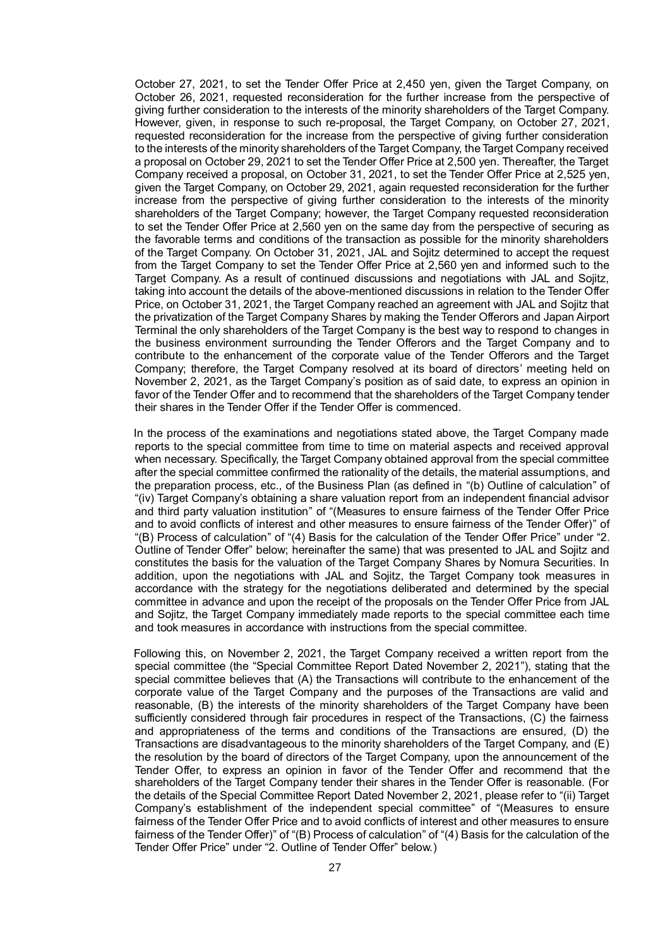October 27, 2021, to set the Tender Offer Price at 2,450 yen, given the Target Company, on October 26, 2021, requested reconsideration for the further increase from the perspective of giving further consideration to the interests of the minority shareholders of the Target Company. However, given, in response to such re-proposal, the Target Company, on October 27, 2021, requested reconsideration for the increase from the perspective of giving further consideration to the interests of the minority shareholders of the Target Company, the Target Company received a proposal on October 29, 2021 to set the Tender Offer Price at 2,500 yen. Thereafter, the Target Company received a proposal, on October 31, 2021, to set the Tender Offer Price at 2,525 yen, given the Target Company, on October 29, 2021, again requested reconsideration for the further increase from the perspective of giving further consideration to the interests of the minority shareholders of the Target Company; however, the Target Company requested reconsideration to set the Tender Offer Price at 2,560 yen on the same day from the perspective of securing as the favorable terms and conditions of the transaction as possible for the minority shareholders of the Target Company. On October 31, 2021, JAL and Sojitz determined to accept the request from the Target Company to set the Tender Offer Price at 2,560 yen and informed such to the Target Company. As a result of continued discussions and negotiations with JAL and Sojitz, taking into account the details of the above-mentioned discussions in relation to the Tender Offer Price, on October 31, 2021, the Target Company reached an agreement with JAL and Sojitz that the privatization of the Target Company Shares by making the Tender Offerors and Japan Airport Terminal the only shareholders of the Target Company is the best way to respond to changes in the business environment surrounding the Tender Offerors and the Target Company and to contribute to the enhancement of the corporate value of the Tender Offerors and the Target Company; therefore, the Target Company resolved at its board of directors' meeting held on November 2, 2021, as the Target Company's position as of said date, to express an opinion in favor of the Tender Offer and to recommend that the shareholders of the Target Company tender their shares in the Tender Offer if the Tender Offer is commenced.

In the process of the examinations and negotiations stated above, the Target Company made reports to the special committee from time to time on material aspects and received approval when necessary. Specifically, the Target Company obtained approval from the special committee after the special committee confirmed the rationality of the details, the material assumptions, and the preparation process, etc., of the Business Plan (as defined in "(b) Outline of calculation" of "(iv) Target Company's obtaining a share valuation report from an independent financial advisor and third party valuation institution" of "(Measures to ensure fairness of the Tender Offer Price and to avoid conflicts of interest and other measures to ensure fairness of the Tender Offer)" of "(B) Process of calculation" of "(4) Basis for the calculation of the Tender Offer Price" under "2. Outline of Tender Offer" below; hereinafter the same) that was presented to JAL and Sojitz and constitutes the basis for the valuation of the Target Company Shares by Nomura Securities. In addition, upon the negotiations with JAL and Sojitz, the Target Company took measures in accordance with the strategy for the negotiations deliberated and determined by the special committee in advance and upon the receipt of the proposals on the Tender Offer Price from JAL and Sojitz, the Target Company immediately made reports to the special committee each time and took measures in accordance with instructions from the special committee.

Following this, on November 2, 2021, the Target Company received a written report from the special committee (the "Special Committee Report Dated November 2, 2021"), stating that the special committee believes that (A) the Transactions will contribute to the enhancement of the corporate value of the Target Company and the purposes of the Transactions are valid and reasonable, (B) the interests of the minority shareholders of the Target Company have been sufficiently considered through fair procedures in respect of the Transactions, (C) the fairness and appropriateness of the terms and conditions of the Transactions are ensured, (D) the Transactions are disadvantageous to the minority shareholders of the Target Company, and (E) the resolution by the board of directors of the Target Company, upon the announcement of the Tender Offer, to express an opinion in favor of the Tender Offer and recommend that the shareholders of the Target Company tender their shares in the Tender Offer is reasonable. (For the details of the Special Committee Report Dated November 2, 2021, please refer to "(ii) Target Company's establishment of the independent special committee" of "(Measures to ensure fairness of the Tender Offer Price and to avoid conflicts of interest and other measures to ensure fairness of the Tender Offer)" of "(B) Process of calculation" of "(4) Basis for the calculation of the Tender Offer Price" under "2. Outline of Tender Offer" below.)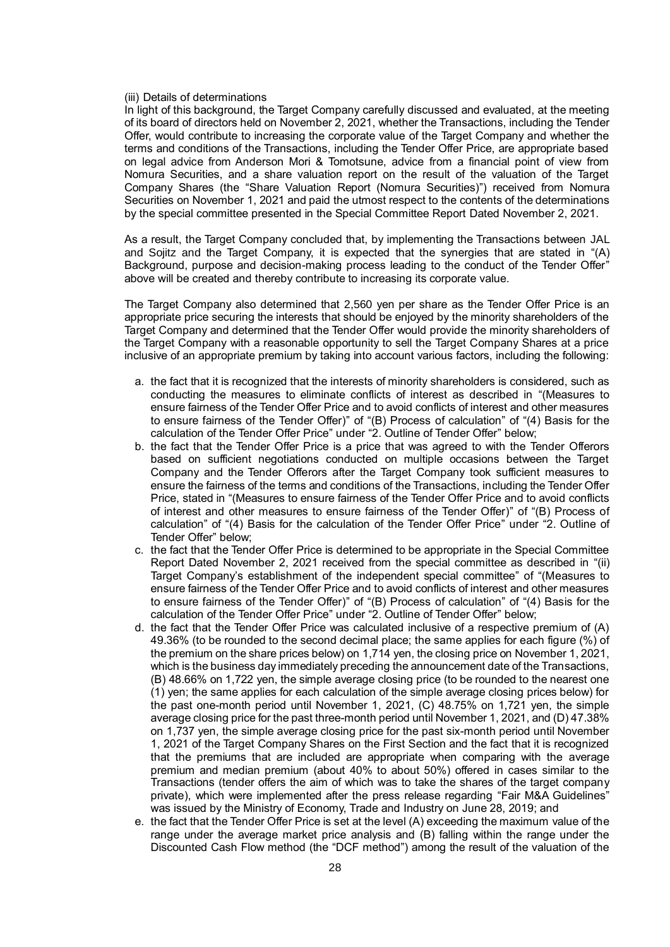#### (iii) Details of determinations

In light of this background, the Target Company carefully discussed and evaluated, at the meeting of its board of directors held on November 2, 2021, whether the Transactions, including the Tender Offer, would contribute to increasing the corporate value of the Target Company and whether the terms and conditions of the Transactions, including the Tender Offer Price, are appropriate based on legal advice from Anderson Mori & Tomotsune, advice from a financial point of view from Nomura Securities, and a share valuation report on the result of the valuation of the Target Company Shares (the "Share Valuation Report (Nomura Securities)") received from Nomura Securities on November 1, 2021 and paid the utmost respect to the contents of the determinations by the special committee presented in the Special Committee Report Dated November 2, 2021.

As a result, the Target Company concluded that, by implementing the Transactions between JAL and Sojitz and the Target Company, it is expected that the synergies that are stated in "(A) Background, purpose and decision-making process leading to the conduct of the Tender Offer" above will be created and thereby contribute to increasing its corporate value.

The Target Company also determined that 2,560 yen per share as the Tender Offer Price is an appropriate price securing the interests that should be enjoyed by the minority shareholders of the Target Company and determined that the Tender Offer would provide the minority shareholders of the Target Company with a reasonable opportunity to sell the Target Company Shares at a price inclusive of an appropriate premium by taking into account various factors, including the following:

- a. the fact that it is recognized that the interests of minority shareholders is considered, such as conducting the measures to eliminate conflicts of interest as described in "(Measures to ensure fairness of the Tender Offer Price and to avoid conflicts of interest and other measures to ensure fairness of the Tender Offer)" of "(B) Process of calculation" of "(4) Basis for the calculation of the Tender Offer Price" under "2. Outline of Tender Offer" below;
- b. the fact that the Tender Offer Price is a price that was agreed to with the Tender Offerors based on sufficient negotiations conducted on multiple occasions between the Target Company and the Tender Offerors after the Target Company took sufficient measures to ensure the fairness of the terms and conditions of the Transactions, including the Tender Offer Price, stated in "(Measures to ensure fairness of the Tender Offer Price and to avoid conflicts of interest and other measures to ensure fairness of the Tender Offer)" of "(B) Process of calculation" of "(4) Basis for the calculation of the Tender Offer Price" under "2. Outline of Tender Offer" below;
- c. the fact that the Tender Offer Price is determined to be appropriate in the Special Committee Report Dated November 2, 2021 received from the special committee as described in "(ii) Target Company's establishment of the independent special committee" of "(Measures to ensure fairness of the Tender Offer Price and to avoid conflicts of interest and other measures to ensure fairness of the Tender Offer)" of "(B) Process of calculation" of "(4) Basis for the calculation of the Tender Offer Price" under "2. Outline of Tender Offer" below;
- d. the fact that the Tender Offer Price was calculated inclusive of a respective premium of (A) 49.36% (to be rounded to the second decimal place; the same applies for each figure (%) of the premium on the share prices below) on 1,714 yen, the closing price on November 1, 2021, which is the business day immediately preceding the announcement date of the Transactions, (B) 48.66% on 1,722 yen, the simple average closing price (to be rounded to the nearest one (1) yen; the same applies for each calculation of the simple average closing prices below) for the past one-month period until November 1, 2021, (C) 48.75% on 1,721 yen, the simple average closing price for the past three-month period until November 1, 2021, and (D) 47.38% on 1,737 yen, the simple average closing price for the past six-month period until November 1, 2021 of the Target Company Shares on the First Section and the fact that it is recognized that the premiums that are included are appropriate when comparing with the average premium and median premium (about 40% to about 50%) offered in cases similar to the Transactions (tender offers the aim of which was to take the shares of the target company private), which were implemented after the press release regarding "Fair M&A Guidelines" was issued by the Ministry of Economy, Trade and Industry on June 28, 2019; and
- e. the fact that the Tender Offer Price is set at the level (A) exceeding the maximum value of the range under the average market price analysis and (B) falling within the range under the Discounted Cash Flow method (the "DCF method") among the result of the valuation of the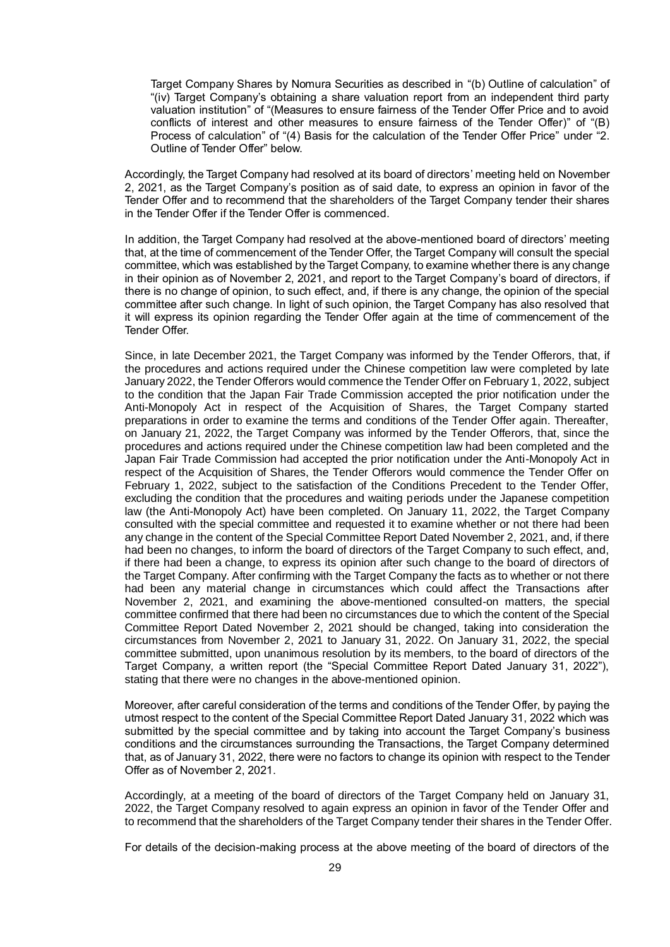Target Company Shares by Nomura Securities as described in "(b) Outline of calculation" of "(iv) Target Company's obtaining a share valuation report from an independent third party valuation institution" of "(Measures to ensure fairness of the Tender Offer Price and to avoid conflicts of interest and other measures to ensure fairness of the Tender Offer)" of "(B) Process of calculation" of "(4) Basis for the calculation of the Tender Offer Price" under "2. Outline of Tender Offer" below.

Accordingly, the Target Company had resolved at its board of directors' meeting held on November 2, 2021, as the Target Company's position as of said date, to express an opinion in favor of the Tender Offer and to recommend that the shareholders of the Target Company tender their shares in the Tender Offer if the Tender Offer is commenced.

In addition, the Target Company had resolved at the above-mentioned board of directors' meeting that, at the time of commencement of the Tender Offer, the Target Company will consult the special committee, which was established by the Target Company, to examine whether there is any change in their opinion as of November 2, 2021, and report to the Target Company's board of directors, if there is no change of opinion, to such effect, and, if there is any change, the opinion of the special committee after such change. In light of such opinion, the Target Company has also resolved that it will express its opinion regarding the Tender Offer again at the time of commencement of the Tender Offer.

Since, in late December 2021, the Target Company was informed by the Tender Offerors, that, if the procedures and actions required under the Chinese competition law were completed by late January 2022, the Tender Offerors would commence the Tender Offer on February 1, 2022, subject to the condition that the Japan Fair Trade Commission accepted the prior notification under the Anti-Monopoly Act in respect of the Acquisition of Shares, the Target Company started preparations in order to examine the terms and conditions of the Tender Offer again. Thereafter, on January 21, 2022, the Target Company was informed by the Tender Offerors, that, since the procedures and actions required under the Chinese competition law had been completed and the Japan Fair Trade Commission had accepted the prior notification under the Anti-Monopoly Act in respect of the Acquisition of Shares, the Tender Offerors would commence the Tender Offer on February 1, 2022, subject to the satisfaction of the Conditions Precedent to the Tender Offer, excluding the condition that the procedures and waiting periods under the Japanese competition law (the Anti-Monopoly Act) have been completed. On January 11, 2022, the Target Company consulted with the special committee and requested it to examine whether or not there had been any change in the content of the Special Committee Report Dated November 2, 2021, and, if there had been no changes, to inform the board of directors of the Target Company to such effect, and, if there had been a change, to express its opinion after such change to the board of directors of the Target Company. After confirming with the Target Company the facts as to whether or not there had been any material change in circumstances which could affect the Transactions after November 2, 2021, and examining the above-mentioned consulted-on matters, the special committee confirmed that there had been no circumstances due to which the content of the Special Committee Report Dated November 2, 2021 should be changed, taking into consideration the circumstances from November 2, 2021 to January 31, 2022. On January 31, 2022, the special committee submitted, upon unanimous resolution by its members, to the board of directors of the Target Company, a written report (the "Special Committee Report Dated January 31, 2022"), stating that there were no changes in the above-mentioned opinion.

Moreover, after careful consideration of the terms and conditions of the Tender Offer, by paying the utmost respect to the content of the Special Committee Report Dated January 31, 2022 which was submitted by the special committee and by taking into account the Target Company's business conditions and the circumstances surrounding the Transactions, the Target Company determined that, as of January 31, 2022, there were no factors to change its opinion with respect to the Tender Offer as of November 2, 2021.

Accordingly, at a meeting of the board of directors of the Target Company held on January 31, 2022, the Target Company resolved to again express an opinion in favor of the Tender Offer and to recommend that the shareholders of the Target Company tender their shares in the Tender Offer.

For details of the decision-making process at the above meeting of the board of directors of the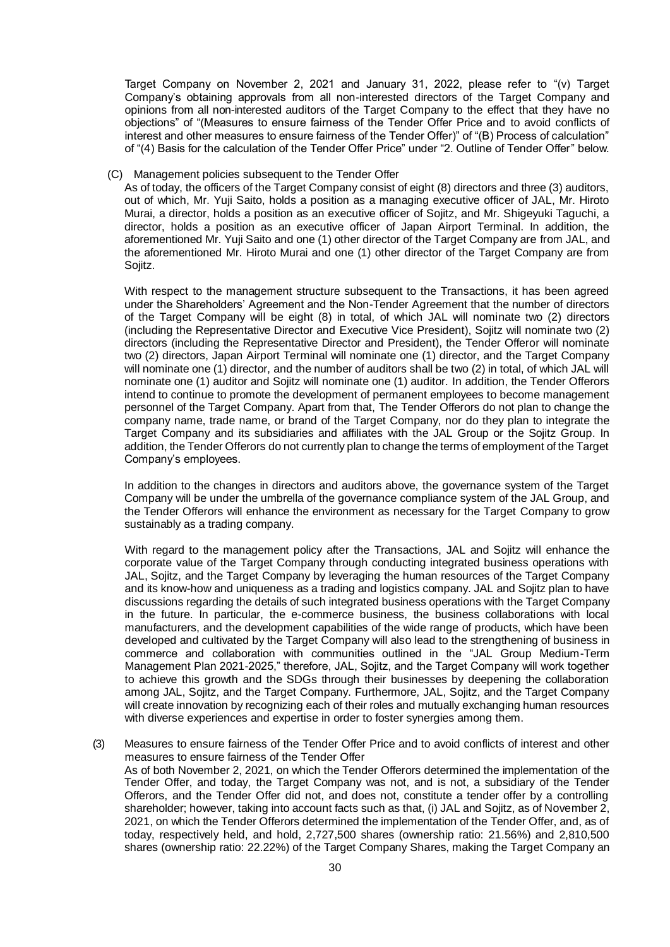Target Company on November 2, 2021 and January 31, 2022, please refer to "(v) Target Company's obtaining approvals from all non-interested directors of the Target Company and opinions from all non-interested auditors of the Target Company to the effect that they have no objections" of "(Measures to ensure fairness of the Tender Offer Price and to avoid conflicts of interest and other measures to ensure fairness of the Tender Offer)" of "(B) Process of calculation" of "(4) Basis for the calculation of the Tender Offer Price" under "2. Outline of Tender Offer" below.

#### (C) Management policies subsequent to the Tender Offer

As of today, the officers of the Target Company consist of eight (8) directors and three (3) auditors, out of which, Mr. Yuji Saito, holds a position as a managing executive officer of JAL, Mr. Hiroto Murai, a director, holds a position as an executive officer of Sojitz, and Mr. Shigeyuki Taguchi, a director, holds a position as an executive officer of Japan Airport Terminal. In addition, the aforementioned Mr. Yuji Saito and one (1) other director of the Target Company are from JAL, and the aforementioned Mr. Hiroto Murai and one (1) other director of the Target Company are from Sojitz.

With respect to the management structure subsequent to the Transactions, it has been agreed under the Shareholders' Agreement and the Non-Tender Agreement that the number of directors of the Target Company will be eight (8) in total, of which JAL will nominate two (2) directors (including the Representative Director and Executive Vice President), Sojitz will nominate two (2) directors (including the Representative Director and President), the Tender Offeror will nominate two (2) directors, Japan Airport Terminal will nominate one (1) director, and the Target Company will nominate one (1) director, and the number of auditors shall be two (2) in total, of which JAL will nominate one (1) auditor and Sojitz will nominate one (1) auditor. In addition, the Tender Offerors intend to continue to promote the development of permanent employees to become management personnel of the Target Company. Apart from that, The Tender Offerors do not plan to change the company name, trade name, or brand of the Target Company, nor do they plan to integrate the Target Company and its subsidiaries and affiliates with the JAL Group or the Sojitz Group. In addition, the Tender Offerors do not currently plan to change the terms of employment of the Target Company's employees.

In addition to the changes in directors and auditors above, the governance system of the Target Company will be under the umbrella of the governance compliance system of the JAL Group, and the Tender Offerors will enhance the environment as necessary for the Target Company to grow sustainably as a trading company.

With regard to the management policy after the Transactions, JAL and Sojitz will enhance the corporate value of the Target Company through conducting integrated business operations with JAL, Sojitz, and the Target Company by leveraging the human resources of the Target Company and its know-how and uniqueness as a trading and logistics company. JAL and Sojitz plan to have discussions regarding the details of such integrated business operations with the Target Company in the future. In particular, the e-commerce business, the business collaborations with local manufacturers, and the development capabilities of the wide range of products, which have been developed and cultivated by the Target Company will also lead to the strengthening of business in commerce and collaboration with communities outlined in the "JAL Group Medium-Term Management Plan 2021-2025," therefore, JAL, Sojitz, and the Target Company will work together to achieve this growth and the SDGs through their businesses by deepening the collaboration among JAL, Sojitz, and the Target Company. Furthermore, JAL, Sojitz, and the Target Company will create innovation by recognizing each of their roles and mutually exchanging human resources with diverse experiences and expertise in order to foster synergies among them.

(3) Measures to ensure fairness of the Tender Offer Price and to avoid conflicts of interest and other measures to ensure fairness of the Tender Offer As of both November 2, 2021, on which the Tender Offerors determined the implementation of the Tender Offer, and today, the Target Company was not, and is not, a subsidiary of the Tender Offerors, and the Tender Offer did not, and does not, constitute a tender offer by a controlling shareholder; however, taking into account facts such as that, (i) JAL and Sojitz, as of November 2, 2021, on which the Tender Offerors determined the implementation of the Tender Offer, and, as of today, respectively held, and hold, 2,727,500 shares (ownership ratio: 21.56%) and 2,810,500 shares (ownership ratio: 22.22%) of the Target Company Shares, making the Target Company an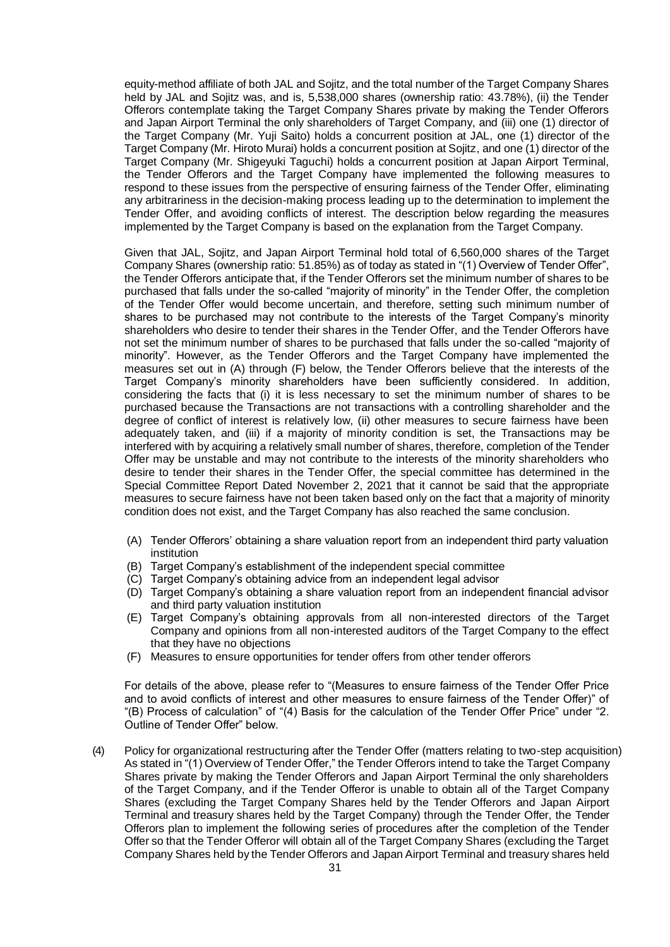equity-method affiliate of both JAL and Sojitz, and the total number of the Target Company Shares held by JAL and Sojitz was, and is, 5,538,000 shares (ownership ratio: 43.78%), (ii) the Tender Offerors contemplate taking the Target Company Shares private by making the Tender Offerors and Japan Airport Terminal the only shareholders of Target Company, and (iii) one (1) director of the Target Company (Mr. Yuji Saito) holds a concurrent position at JAL, one (1) director of the Target Company (Mr. Hiroto Murai) holds a concurrent position at Sojitz, and one (1) director of the Target Company (Mr. Shigeyuki Taguchi) holds a concurrent position at Japan Airport Terminal, the Tender Offerors and the Target Company have implemented the following measures to respond to these issues from the perspective of ensuring fairness of the Tender Offer, eliminating any arbitrariness in the decision-making process leading up to the determination to implement the Tender Offer, and avoiding conflicts of interest. The description below regarding the measures implemented by the Target Company is based on the explanation from the Target Company.

Given that JAL, Sojitz, and Japan Airport Terminal hold total of 6,560,000 shares of the Target Company Shares (ownership ratio: 51.85%) as of today as stated in "(1) Overview of Tender Offer", the Tender Offerors anticipate that, if the Tender Offerors set the minimum number of shares to be purchased that falls under the so-called "majority of minority" in the Tender Offer, the completion of the Tender Offer would become uncertain, and therefore, setting such minimum number of shares to be purchased may not contribute to the interests of the Target Company's minority shareholders who desire to tender their shares in the Tender Offer, and the Tender Offerors have not set the minimum number of shares to be purchased that falls under the so-called "majority of minority". However, as the Tender Offerors and the Target Company have implemented the measures set out in (A) through (F) below, the Tender Offerors believe that the interests of the Target Company's minority shareholders have been sufficiently considered. In addition, considering the facts that (i) it is less necessary to set the minimum number of shares to be purchased because the Transactions are not transactions with a controlling shareholder and the degree of conflict of interest is relatively low, (ii) other measures to secure fairness have been adequately taken, and (iii) if a majority of minority condition is set, the Transactions may be interfered with by acquiring a relatively small number of shares, therefore, completion of the Tender Offer may be unstable and may not contribute to the interests of the minority shareholders who desire to tender their shares in the Tender Offer, the special committee has determined in the Special Committee Report Dated November 2, 2021 that it cannot be said that the appropriate measures to secure fairness have not been taken based only on the fact that a majority of minority condition does not exist, and the Target Company has also reached the same conclusion.

- (A) Tender Offerors' obtaining a share valuation report from an independent third party valuation institution
- (B) Target Company's establishment of the independent special committee
- (C) Target Company's obtaining advice from an independent legal advisor
- (D) Target Company's obtaining a share valuation report from an independent financial advisor and third party valuation institution
- (E) Target Company's obtaining approvals from all non-interested directors of the Target Company and opinions from all non-interested auditors of the Target Company to the effect that they have no objections
- (F) Measures to ensure opportunities for tender offers from other tender offerors

For details of the above, please refer to "(Measures to ensure fairness of the Tender Offer Price and to avoid conflicts of interest and other measures to ensure fairness of the Tender Offer)" of "(B) Process of calculation" of "(4) Basis for the calculation of the Tender Offer Price" under "2. Outline of Tender Offer" below.

(4) Policy for organizational restructuring after the Tender Offer (matters relating to two-step acquisition) As stated in "(1) Overview of Tender Offer," the Tender Offerors intend to take the Target Company Shares private by making the Tender Offerors and Japan Airport Terminal the only shareholders of the Target Company, and if the Tender Offeror is unable to obtain all of the Target Company Shares (excluding the Target Company Shares held by the Tender Offerors and Japan Airport Terminal and treasury shares held by the Target Company) through the Tender Offer, the Tender Offerors plan to implement the following series of procedures after the completion of the Tender Offer so that the Tender Offeror will obtain all of the Target Company Shares (excluding the Target Company Shares held by the Tender Offerors and Japan Airport Terminal and treasury shares held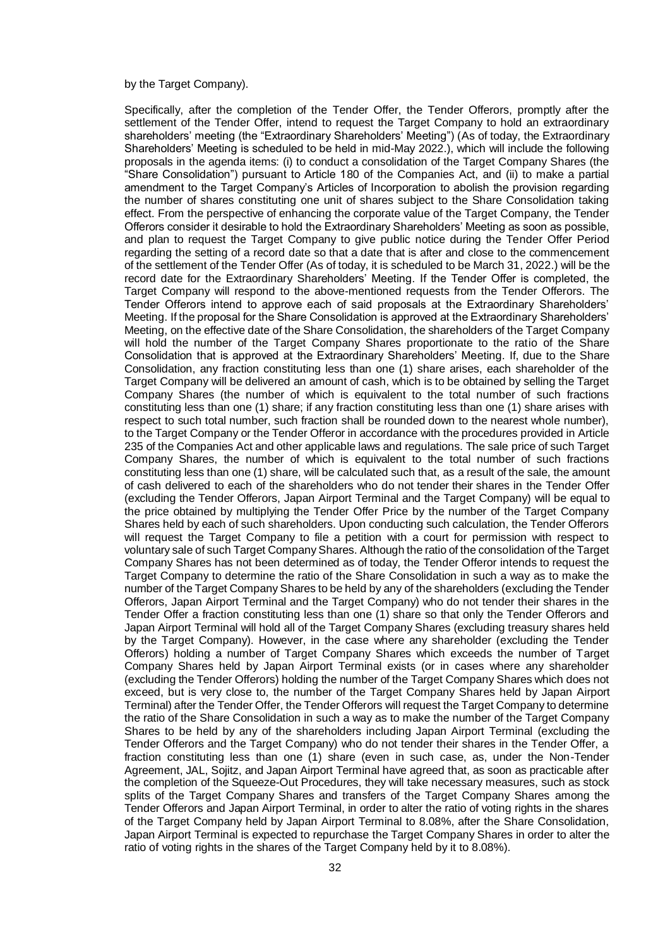#### by the Target Company).

Specifically, after the completion of the Tender Offer, the Tender Offerors, promptly after the settlement of the Tender Offer, intend to request the Target Company to hold an extraordinary shareholders' meeting (the "Extraordinary Shareholders' Meeting") (As of today, the Extraordinary Shareholders' Meeting is scheduled to be held in mid-May 2022.), which will include the following proposals in the agenda items: (i) to conduct a consolidation of the Target Company Shares (the "Share Consolidation") pursuant to Article 180 of the Companies Act, and (ii) to make a partial amendment to the Target Company's Articles of Incorporation to abolish the provision regarding the number of shares constituting one unit of shares subject to the Share Consolidation taking effect. From the perspective of enhancing the corporate value of the Target Company, the Tender Offerors consider it desirable to hold the Extraordinary Shareholders' Meeting as soon as possible, and plan to request the Target Company to give public notice during the Tender Offer Period regarding the setting of a record date so that a date that is after and close to the commencement of the settlement of the Tender Offer (As of today, it is scheduled to be March 31, 2022.) will be the record date for the Extraordinary Shareholders' Meeting. If the Tender Offer is completed, the Target Company will respond to the above-mentioned requests from the Tender Offerors. The Tender Offerors intend to approve each of said proposals at the Extraordinary Shareholders' Meeting. If the proposal for the Share Consolidation is approved at the Extraordinary Shareholders' Meeting, on the effective date of the Share Consolidation, the shareholders of the Target Company will hold the number of the Target Company Shares proportionate to the ratio of the Share Consolidation that is approved at the Extraordinary Shareholders' Meeting. If, due to the Share Consolidation, any fraction constituting less than one (1) share arises, each shareholder of the Target Company will be delivered an amount of cash, which is to be obtained by selling the Target Company Shares (the number of which is equivalent to the total number of such fractions constituting less than one (1) share; if any fraction constituting less than one (1) share arises with respect to such total number, such fraction shall be rounded down to the nearest whole number), to the Target Company or the Tender Offeror in accordance with the procedures provided in Article 235 of the Companies Act and other applicable laws and regulations. The sale price of such Target Company Shares, the number of which is equivalent to the total number of such fractions constituting less than one (1) share, will be calculated such that, as a result of the sale, the amount of cash delivered to each of the shareholders who do not tender their shares in the Tender Offer (excluding the Tender Offerors, Japan Airport Terminal and the Target Company) will be equal to the price obtained by multiplying the Tender Offer Price by the number of the Target Company Shares held by each of such shareholders. Upon conducting such calculation, the Tender Offerors will request the Target Company to file a petition with a court for permission with respect to voluntary sale of such Target Company Shares. Although the ratio of the consolidation of the Target Company Shares has not been determined as of today, the Tender Offeror intends to request the Target Company to determine the ratio of the Share Consolidation in such a way as to make the number of the Target Company Shares to be held by any of the shareholders (excluding the Tender Offerors, Japan Airport Terminal and the Target Company) who do not tender their shares in the Tender Offer a fraction constituting less than one (1) share so that only the Tender Offerors and Japan Airport Terminal will hold all of the Target Company Shares (excluding treasury shares held by the Target Company). However, in the case where any shareholder (excluding the Tender Offerors) holding a number of Target Company Shares which exceeds the number of Target Company Shares held by Japan Airport Terminal exists (or in cases where any shareholder (excluding the Tender Offerors) holding the number of the Target Company Shares which does not exceed, but is very close to, the number of the Target Company Shares held by Japan Airport Terminal) after the Tender Offer, the Tender Offerors will request the Target Company to determine the ratio of the Share Consolidation in such a way as to make the number of the Target Company Shares to be held by any of the shareholders including Japan Airport Terminal (excluding the Tender Offerors and the Target Company) who do not tender their shares in the Tender Offer, a fraction constituting less than one (1) share (even in such case, as, under the Non-Tender Agreement, JAL, Sojitz, and Japan Airport Terminal have agreed that, as soon as practicable after the completion of the Squeeze-Out Procedures, they will take necessary measures, such as stock splits of the Target Company Shares and transfers of the Target Company Shares among the Tender Offerors and Japan Airport Terminal, in order to alter the ratio of voting rights in the shares of the Target Company held by Japan Airport Terminal to 8.08%, after the Share Consolidation, Japan Airport Terminal is expected to repurchase the Target Company Shares in order to alter the ratio of voting rights in the shares of the Target Company held by it to 8.08%).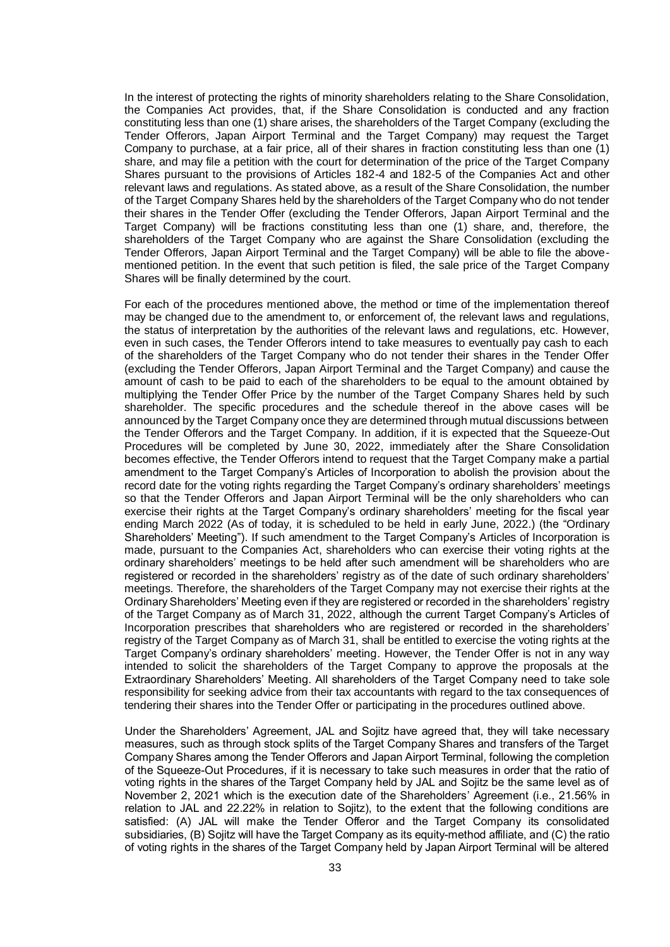In the interest of protecting the rights of minority shareholders relating to the Share Consolidation, the Companies Act provides, that, if the Share Consolidation is conducted and any fraction constituting less than one (1) share arises, the shareholders of the Target Company (excluding the Tender Offerors, Japan Airport Terminal and the Target Company) may request the Target Company to purchase, at a fair price, all of their shares in fraction constituting less than one (1) share, and may file a petition with the court for determination of the price of the Target Company Shares pursuant to the provisions of Articles 182-4 and 182-5 of the Companies Act and other relevant laws and regulations. As stated above, as a result of the Share Consolidation, the number of the Target Company Shares held by the shareholders of the Target Company who do not tender their shares in the Tender Offer (excluding the Tender Offerors, Japan Airport Terminal and the Target Company) will be fractions constituting less than one (1) share, and, therefore, the shareholders of the Target Company who are against the Share Consolidation (excluding the Tender Offerors, Japan Airport Terminal and the Target Company) will be able to file the abovementioned petition. In the event that such petition is filed, the sale price of the Target Company Shares will be finally determined by the court.

For each of the procedures mentioned above, the method or time of the implementation thereof may be changed due to the amendment to, or enforcement of, the relevant laws and regulations, the status of interpretation by the authorities of the relevant laws and regulations, etc. However, even in such cases, the Tender Offerors intend to take measures to eventually pay cash to each of the shareholders of the Target Company who do not tender their shares in the Tender Offer (excluding the Tender Offerors, Japan Airport Terminal and the Target Company) and cause the amount of cash to be paid to each of the shareholders to be equal to the amount obtained by multiplying the Tender Offer Price by the number of the Target Company Shares held by such shareholder. The specific procedures and the schedule thereof in the above cases will be announced by the Target Company once they are determined through mutual discussions between the Tender Offerors and the Target Company. In addition, if it is expected that the Squeeze-Out Procedures will be completed by June 30, 2022, immediately after the Share Consolidation becomes effective, the Tender Offerors intend to request that the Target Company make a partial amendment to the Target Company's Articles of Incorporation to abolish the provision about the record date for the voting rights regarding the Target Company's ordinary shareholders' meetings so that the Tender Offerors and Japan Airport Terminal will be the only shareholders who can exercise their rights at the Target Company's ordinary shareholders' meeting for the fiscal year ending March 2022 (As of today, it is scheduled to be held in early June, 2022.) (the "Ordinary Shareholders' Meeting"). If such amendment to the Target Company's Articles of Incorporation is made, pursuant to the Companies Act, shareholders who can exercise their voting rights at the ordinary shareholders' meetings to be held after such amendment will be shareholders who are registered or recorded in the shareholders' registry as of the date of such ordinary shareholders' meetings. Therefore, the shareholders of the Target Company may not exercise their rights at the Ordinary Shareholders' Meeting even if they are registered or recorded in the shareholders' registry of the Target Company as of March 31, 2022, although the current Target Company's Articles of Incorporation prescribes that shareholders who are registered or recorded in the shareholders' registry of the Target Company as of March 31, shall be entitled to exercise the voting rights at the Target Company's ordinary shareholders' meeting. However, the Tender Offer is not in any way intended to solicit the shareholders of the Target Company to approve the proposals at the Extraordinary Shareholders' Meeting. All shareholders of the Target Company need to take sole responsibility for seeking advice from their tax accountants with regard to the tax consequences of tendering their shares into the Tender Offer or participating in the procedures outlined above.

Under the Shareholders' Agreement, JAL and Sojitz have agreed that, they will take necessary measures, such as through stock splits of the Target Company Shares and transfers of the Target Company Shares among the Tender Offerors and Japan Airport Terminal, following the completion of the Squeeze-Out Procedures, if it is necessary to take such measures in order that the ratio of voting rights in the shares of the Target Company held by JAL and Sojitz be the same level as of November 2, 2021 which is the execution date of the Shareholders' Agreement (i.e., 21.56% in relation to JAL and 22.22% in relation to Sojitz), to the extent that the following conditions are satisfied: (A) JAL will make the Tender Offeror and the Target Company its consolidated subsidiaries, (B) Sojitz will have the Target Company as its equity-method affiliate, and (C) the ratio of voting rights in the shares of the Target Company held by Japan Airport Terminal will be altered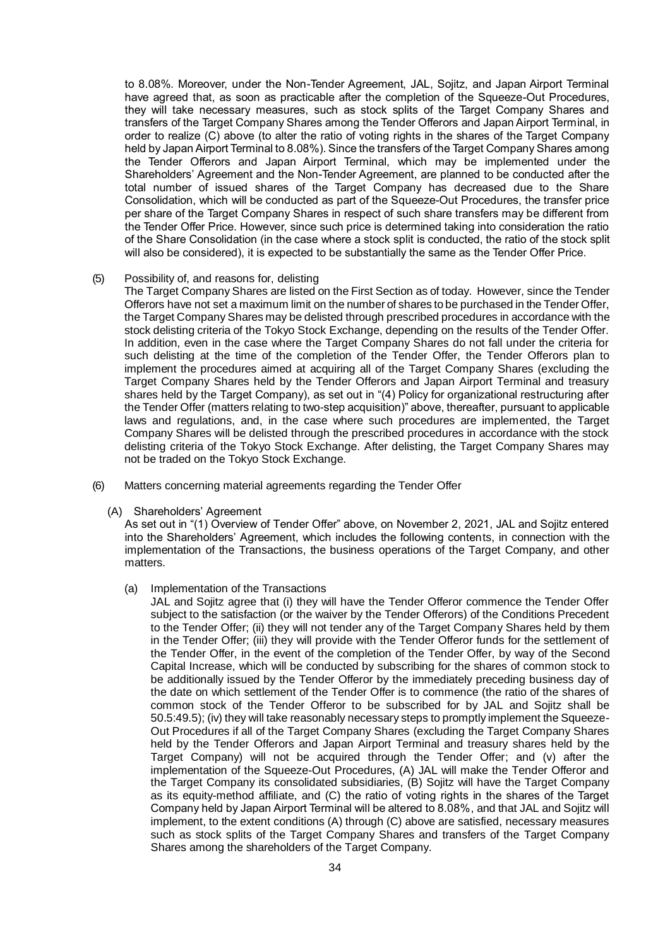to 8.08%. Moreover, under the Non-Tender Agreement, JAL, Sojitz, and Japan Airport Terminal have agreed that, as soon as practicable after the completion of the Squeeze-Out Procedures, they will take necessary measures, such as stock splits of the Target Company Shares and transfers of the Target Company Shares among the Tender Offerors and Japan Airport Terminal, in order to realize (C) above (to alter the ratio of voting rights in the shares of the Target Company held by Japan Airport Terminal to 8.08%). Since the transfers of the Target Company Shares among the Tender Offerors and Japan Airport Terminal, which may be implemented under the Shareholders' Agreement and the Non-Tender Agreement, are planned to be conducted after the total number of issued shares of the Target Company has decreased due to the Share Consolidation, which will be conducted as part of the Squeeze-Out Procedures, the transfer price per share of the Target Company Shares in respect of such share transfers may be different from the Tender Offer Price. However, since such price is determined taking into consideration the ratio of the Share Consolidation (in the case where a stock split is conducted, the ratio of the stock split will also be considered), it is expected to be substantially the same as the Tender Offer Price.

### (5) Possibility of, and reasons for, delisting

The Target Company Shares are listed on the First Section as of today. However, since the Tender Offerors have not set a maximum limit on the number of shares to be purchased in the Tender Offer, the Target Company Shares may be delisted through prescribed procedures in accordance with the stock delisting criteria of the Tokyo Stock Exchange, depending on the results of the Tender Offer. In addition, even in the case where the Target Company Shares do not fall under the criteria for such delisting at the time of the completion of the Tender Offer, the Tender Offerors plan to implement the procedures aimed at acquiring all of the Target Company Shares (excluding the Target Company Shares held by the Tender Offerors and Japan Airport Terminal and treasury shares held by the Target Company), as set out in "(4) Policy for organizational restructuring after the Tender Offer (matters relating to two-step acquisition)" above, thereafter, pursuant to applicable laws and regulations, and, in the case where such procedures are implemented, the Target Company Shares will be delisted through the prescribed procedures in accordance with the stock delisting criteria of the Tokyo Stock Exchange. After delisting, the Target Company Shares may not be traded on the Tokyo Stock Exchange.

- (6) Matters concerning material agreements regarding the Tender Offer
	- (A) Shareholders' Agreement

As set out in "(1) Overview of Tender Offer" above, on November 2, 2021, JAL and Sojitz entered into the Shareholders' Agreement, which includes the following contents, in connection with the implementation of the Transactions, the business operations of the Target Company, and other matters.

# (a) Implementation of the Transactions

JAL and Sojitz agree that (i) they will have the Tender Offeror commence the Tender Offer subject to the satisfaction (or the waiver by the Tender Offerors) of the Conditions Precedent to the Tender Offer; (ii) they will not tender any of the Target Company Shares held by them in the Tender Offer; (iii) they will provide with the Tender Offeror funds for the settlement of the Tender Offer, in the event of the completion of the Tender Offer, by way of the Second Capital Increase, which will be conducted by subscribing for the shares of common stock to be additionally issued by the Tender Offeror by the immediately preceding business day of the date on which settlement of the Tender Offer is to commence (the ratio of the shares of common stock of the Tender Offeror to be subscribed for by JAL and Sojitz shall be 50.5:49.5); (iv) they will take reasonably necessary steps to promptly implement the Squeeze-Out Procedures if all of the Target Company Shares (excluding the Target Company Shares held by the Tender Offerors and Japan Airport Terminal and treasury shares held by the Target Company) will not be acquired through the Tender Offer; and (v) after the implementation of the Squeeze-Out Procedures, (A) JAL will make the Tender Offeror and the Target Company its consolidated subsidiaries, (B) Sojitz will have the Target Company as its equity-method affiliate, and (C) the ratio of voting rights in the shares of the Target Company held by Japan Airport Terminal will be altered to 8.08%, and that JAL and Sojitz will implement, to the extent conditions (A) through (C) above are satisfied, necessary measures such as stock splits of the Target Company Shares and transfers of the Target Company Shares among the shareholders of the Target Company.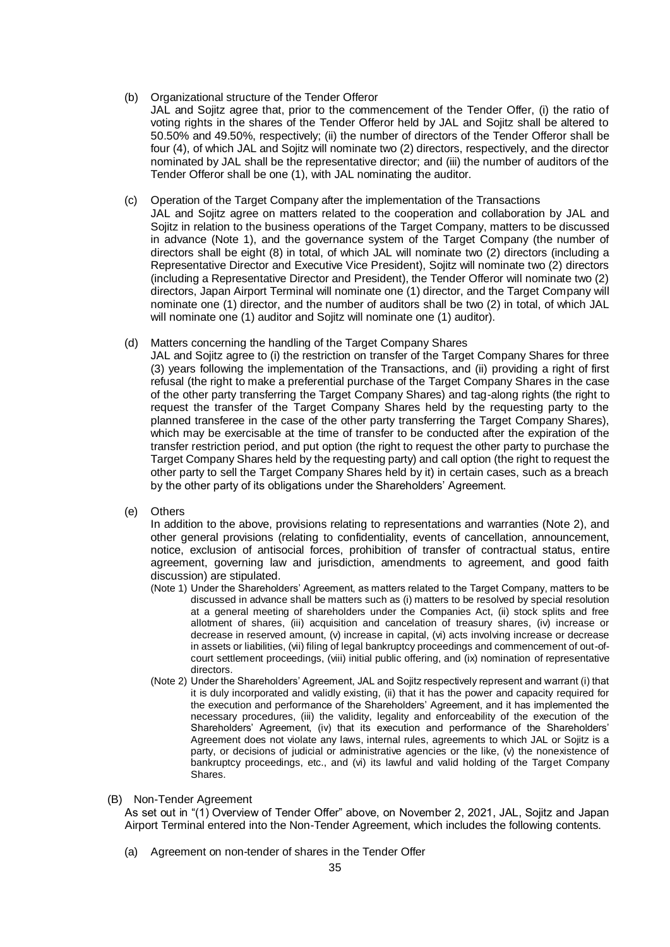# (b) Organizational structure of the Tender Offeror

JAL and Sojitz agree that, prior to the commencement of the Tender Offer, (i) the ratio of voting rights in the shares of the Tender Offeror held by JAL and Sojitz shall be altered to 50.50% and 49.50%, respectively; (ii) the number of directors of the Tender Offeror shall be four (4), of which JAL and Sojitz will nominate two (2) directors, respectively, and the director nominated by JAL shall be the representative director; and (iii) the number of auditors of the Tender Offeror shall be one (1), with JAL nominating the auditor.

# (c) Operation of the Target Company after the implementation of the Transactions

JAL and Sojitz agree on matters related to the cooperation and collaboration by JAL and Sojitz in relation to the business operations of the Target Company, matters to be discussed in advance (Note 1), and the governance system of the Target Company (the number of directors shall be eight (8) in total, of which JAL will nominate two (2) directors (including a Representative Director and Executive Vice President), Sojitz will nominate two (2) directors (including a Representative Director and President), the Tender Offeror will nominate two (2) directors, Japan Airport Terminal will nominate one (1) director, and the Target Company will nominate one (1) director, and the number of auditors shall be two (2) in total, of which JAL will nominate one (1) auditor and Sojitz will nominate one (1) auditor).

# (d) Matters concerning the handling of the Target Company Shares

- JAL and Sojitz agree to (i) the restriction on transfer of the Target Company Shares for three (3) years following the implementation of the Transactions, and (ii) providing a right of first refusal (the right to make a preferential purchase of the Target Company Shares in the case of the other party transferring the Target Company Shares) and tag-along rights (the right to request the transfer of the Target Company Shares held by the requesting party to the planned transferee in the case of the other party transferring the Target Company Shares), which may be exercisable at the time of transfer to be conducted after the expiration of the transfer restriction period, and put option (the right to request the other party to purchase the Target Company Shares held by the requesting party) and call option (the right to request the other party to sell the Target Company Shares held by it) in certain cases, such as a breach by the other party of its obligations under the Shareholders' Agreement.
- (e) Others

In addition to the above, provisions relating to representations and warranties (Note 2), and other general provisions (relating to confidentiality, events of cancellation, announcement, notice, exclusion of antisocial forces, prohibition of transfer of contractual status, entire agreement, governing law and jurisdiction, amendments to agreement, and good faith discussion) are stipulated.

- (Note 1) Under the Shareholders' Agreement, as matters related to the Target Company, matters to be discussed in advance shall be matters such as (i) matters to be resolved by special resolution at a general meeting of shareholders under the Companies Act, (ii) stock splits and free allotment of shares, (iii) acquisition and cancelation of treasury shares, (iv) increase or decrease in reserved amount, (v) increase in capital, (vi) acts involving increase or decrease in assets or liabilities, (vii) filing of legal bankruptcy proceedings and commencement of out-ofcourt settlement proceedings, (viii) initial public offering, and (ix) nomination of representative directors.
- (Note 2) Under the Shareholders' Agreement, JAL and Sojitz respectively represent and warrant (i) that it is duly incorporated and validly existing, (ii) that it has the power and capacity required for the execution and performance of the Shareholders' Agreement, and it has implemented the necessary procedures, (iii) the validity, legality and enforceability of the execution of the Shareholders' Agreement, (iv) that its execution and performance of the Shareholders' Agreement does not violate any laws, internal rules, agreements to which JAL or Sojitz is a party, or decisions of judicial or administrative agencies or the like, (v) the nonexistence of bankruptcy proceedings, etc., and (vi) its lawful and valid holding of the Target Company Shares.

#### (B) Non-Tender Agreement

As set out in "(1) Overview of Tender Offer" above, on November 2, 2021, JAL, Sojitz and Japan Airport Terminal entered into the Non-Tender Agreement, which includes the following contents.

(a) Agreement on non-tender of shares in the Tender Offer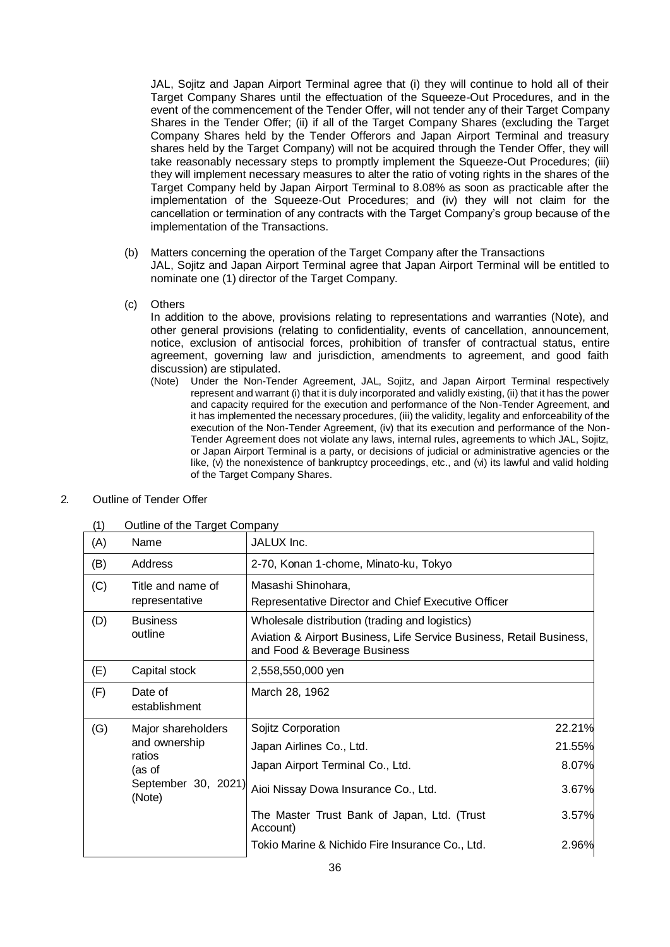JAL, Sojitz and Japan Airport Terminal agree that (i) they will continue to hold all of their Target Company Shares until the effectuation of the Squeeze-Out Procedures, and in the event of the commencement of the Tender Offer, will not tender any of their Target Company Shares in the Tender Offer; (ii) if all of the Target Company Shares (excluding the Target Company Shares held by the Tender Offerors and Japan Airport Terminal and treasury shares held by the Target Company) will not be acquired through the Tender Offer, they will take reasonably necessary steps to promptly implement the Squeeze-Out Procedures; (iii) they will implement necessary measures to alter the ratio of voting rights in the shares of the Target Company held by Japan Airport Terminal to 8.08% as soon as practicable after the implementation of the Squeeze-Out Procedures; and (iv) they will not claim for the cancellation or termination of any contracts with the Target Company's group because of the implementation of the Transactions.

- (b) Matters concerning the operation of the Target Company after the Transactions JAL, Sojitz and Japan Airport Terminal agree that Japan Airport Terminal will be entitled to
- nominate one (1) director of the Target Company.
- (c) Others

In addition to the above, provisions relating to representations and warranties (Note), and other general provisions (relating to confidentiality, events of cancellation, announcement, notice, exclusion of antisocial forces, prohibition of transfer of contractual status, entire agreement, governing law and jurisdiction, amendments to agreement, and good faith discussion) are stipulated.

(Note) Under the Non-Tender Agreement, JAL, Sojitz, and Japan Airport Terminal respectively represent and warrant (i) that it is duly incorporated and validly existing, (ii) that it has the power and capacity required for the execution and performance of the Non-Tender Agreement, and it has implemented the necessary procedures, (iii) the validity, legality and enforceability of the execution of the Non-Tender Agreement, (iv) that its execution and performance of the Non-Tender Agreement does not violate any laws, internal rules, agreements to which JAL, Sojitz, or Japan Airport Terminal is a party, or decisions of judicial or administrative agencies or the like, (v) the nonexistence of bankruptcy proceedings, etc., and (vi) its lawful and valid holding of the Target Company Shares.

| (1)                           | Outline of the Target Company        |                                                                                                                                                        |        |
|-------------------------------|--------------------------------------|--------------------------------------------------------------------------------------------------------------------------------------------------------|--------|
| (A)                           | Name                                 | JALUX Inc.                                                                                                                                             |        |
| (B)                           | Address                              | 2-70, Konan 1-chome, Minato-ku, Tokyo                                                                                                                  |        |
| (C)                           | Title and name of<br>representative  | Masashi Shinohara,<br>Representative Director and Chief Executive Officer                                                                              |        |
| (D)                           | <b>Business</b><br>outline           | Wholesale distribution (trading and logistics)<br>Aviation & Airport Business, Life Service Business, Retail Business,<br>and Food & Beverage Business |        |
| (E)                           | Capital stock                        | 2,558,550,000 yen                                                                                                                                      |        |
| (F)                           | Date of<br>establishment             | March 28, 1962                                                                                                                                         |        |
| (G)                           | Major shareholders                   | Sojitz Corporation                                                                                                                                     | 22.21% |
|                               | and ownership<br>ratios              | Japan Airlines Co., Ltd.                                                                                                                               | 21.55% |
|                               | (as of                               | Japan Airport Terminal Co., Ltd.                                                                                                                       | 8.07%  |
| September 30, 2021)<br>(Note) | Aioi Nissay Dowa Insurance Co., Ltd. | 3.67%                                                                                                                                                  |        |
|                               |                                      | The Master Trust Bank of Japan, Ltd. (Trust<br>Account)                                                                                                | 3.57%  |
|                               |                                      | Tokio Marine & Nichido Fire Insurance Co., Ltd.                                                                                                        | 2.96%  |

# 2. Outline of Tender Offer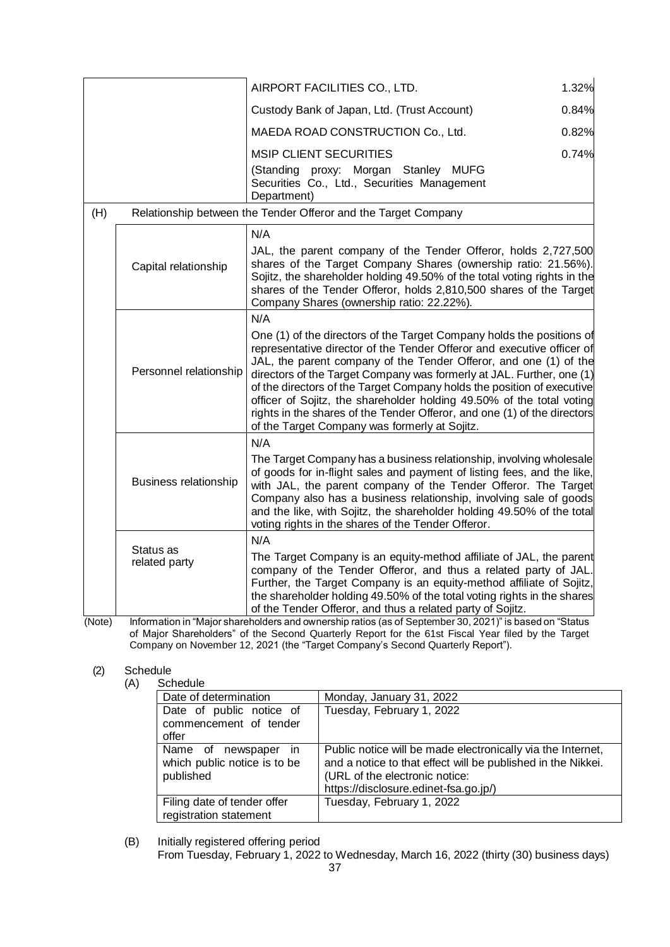|     |                              | AIRPORT FACILITIES CO., LTD.                                                                                                                                                                                                                                                                                                                                                                                                                                                                                                                                                  | 1.32% |
|-----|------------------------------|-------------------------------------------------------------------------------------------------------------------------------------------------------------------------------------------------------------------------------------------------------------------------------------------------------------------------------------------------------------------------------------------------------------------------------------------------------------------------------------------------------------------------------------------------------------------------------|-------|
|     |                              | Custody Bank of Japan, Ltd. (Trust Account)                                                                                                                                                                                                                                                                                                                                                                                                                                                                                                                                   | 0.84% |
|     |                              | MAEDA ROAD CONSTRUCTION Co., Ltd.                                                                                                                                                                                                                                                                                                                                                                                                                                                                                                                                             | 0.82% |
|     |                              | <b>MSIP CLIENT SECURITIES</b><br>(Standing proxy: Morgan Stanley MUFG<br>Securities Co., Ltd., Securities Management<br>Department)                                                                                                                                                                                                                                                                                                                                                                                                                                           | 0.74% |
| (H) |                              | Relationship between the Tender Offeror and the Target Company                                                                                                                                                                                                                                                                                                                                                                                                                                                                                                                |       |
|     | Capital relationship         | N/A<br>JAL, the parent company of the Tender Offeror, holds 2,727,500<br>shares of the Target Company Shares (ownership ratio: 21.56%).<br>Sojitz, the shareholder holding 49.50% of the total voting rights in the<br>shares of the Tender Offeror, holds 2,810,500 shares of the Target<br>Company Shares (ownership ratio: 22.22%).                                                                                                                                                                                                                                        |       |
|     |                              | N/A                                                                                                                                                                                                                                                                                                                                                                                                                                                                                                                                                                           |       |
|     | Personnel relationship       | One (1) of the directors of the Target Company holds the positions of<br>representative director of the Tender Offeror and executive officer of<br>JAL, the parent company of the Tender Offeror, and one (1) of the<br>directors of the Target Company was formerly at JAL. Further, one (1)<br>of the directors of the Target Company holds the position of executive<br>officer of Sojitz, the shareholder holding 49.50% of the total voting<br>rights in the shares of the Tender Offeror, and one (1) of the directors<br>of the Target Company was formerly at Sojitz. |       |
|     |                              | N/A                                                                                                                                                                                                                                                                                                                                                                                                                                                                                                                                                                           |       |
|     | <b>Business relationship</b> | The Target Company has a business relationship, involving wholesale<br>of goods for in-flight sales and payment of listing fees, and the like,<br>with JAL, the parent company of the Tender Offeror. The Target<br>Company also has a business relationship, involving sale of goods<br>and the like, with Sojitz, the shareholder holding 49.50% of the total<br>voting rights in the shares of the Tender Offeror.                                                                                                                                                         |       |
|     |                              | N/A                                                                                                                                                                                                                                                                                                                                                                                                                                                                                                                                                                           |       |
|     | Status as<br>related party   | The Target Company is an equity-method affiliate of JAL, the parent<br>company of the Tender Offeror, and thus a related party of JAL.<br>Further, the Target Company is an equity-method affiliate of Sojitz,<br>the shareholder holding 49.50% of the total voting rights in the shares<br>of the Tender Offeror, and thus a related party of Sojitz.<br>beldere and currently ration (as of Contembor 20, 2024)" is begad on "Clatus                                                                                                                                       |       |

(Note) Information in "Major shareholders and ownership ratios (as of September 30, 2021)" is based on "Status of Major Shareholders" of the Second Quarterly Report for the 61st Fiscal Year filed by the Target Company on November 12, 2021 (the "Target Company's Second Quarterly Report").

# (2) Schedule

| (A) | Schedule |
|-----|----------|
|     |          |

| <u>ounuunu</u>                                                    |                                                                                                                                                                                                        |
|-------------------------------------------------------------------|--------------------------------------------------------------------------------------------------------------------------------------------------------------------------------------------------------|
| Date of determination                                             | Monday, January 31, 2022                                                                                                                                                                               |
| Date of public notice of<br>commencement of tender<br>offer       | Tuesday, February 1, 2022                                                                                                                                                                              |
| Name of newspaper in<br>which public notice is to be<br>published | Public notice will be made electronically via the Internet,<br>and a notice to that effect will be published in the Nikkei.<br>(URL of the electronic notice:<br>https://disclosure.edinet-fsa.go.jp/) |
| Filing date of tender offer<br>registration statement             | Tuesday, February 1, 2022                                                                                                                                                                              |

(B) Initially registered offering period From Tuesday, February 1, 2022 to Wednesday, March 16, 2022 (thirty (30) business days)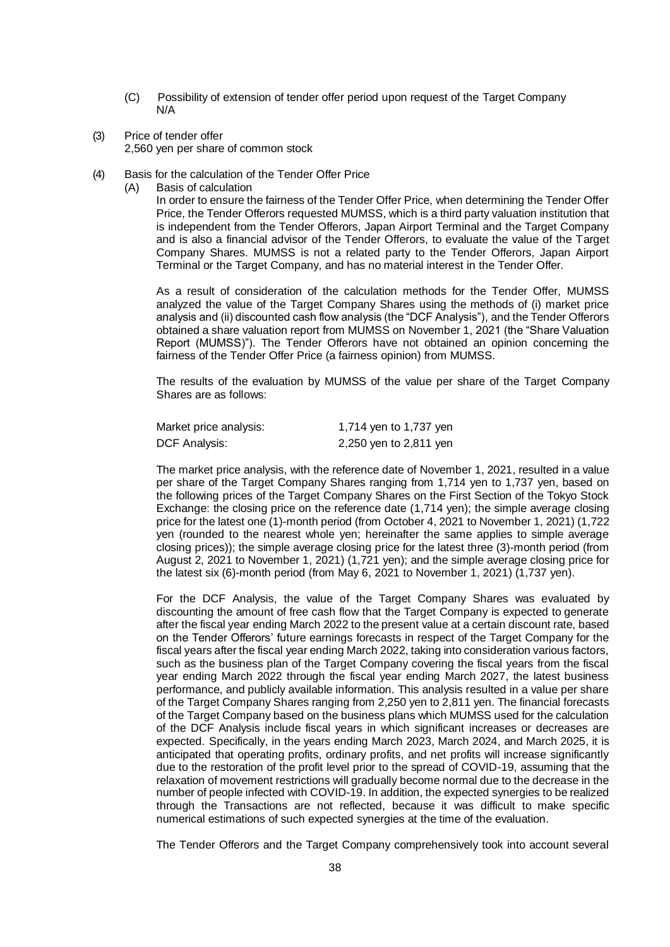- (C) Possibility of extension of tender offer period upon request of the Target Company N/A
- (3) Price of tender offer 2,560 yen per share of common stock
- (4) Basis for the calculation of the Tender Offer Price
	- (A) Basis of calculation

In order to ensure the fairness of the Tender Offer Price, when determining the Tender Offer Price, the Tender Offerors requested MUMSS, which is a third party valuation institution that is independent from the Tender Offerors, Japan Airport Terminal and the Target Company and is also a financial advisor of the Tender Offerors, to evaluate the value of the Target Company Shares. MUMSS is not a related party to the Tender Offerors, Japan Airport Terminal or the Target Company, and has no material interest in the Tender Offer.

As a result of consideration of the calculation methods for the Tender Offer, MUMSS analyzed the value of the Target Company Shares using the methods of (i) market price analysis and (ii) discounted cash flow analysis (the "DCF Analysis"), and the Tender Offerors obtained a share valuation report from MUMSS on November 1, 2021 (the "Share Valuation Report (MUMSS)"). The Tender Offerors have not obtained an opinion concerning the fairness of the Tender Offer Price (a fairness opinion) from MUMSS.

The results of the evaluation by MUMSS of the value per share of the Target Company Shares are as follows:

| Market price analysis: | 1,714 yen to 1,737 yen |
|------------------------|------------------------|
| <b>DCF Analysis:</b>   | 2,250 yen to 2,811 yen |

The market price analysis, with the reference date of November 1, 2021, resulted in a value per share of the Target Company Shares ranging from 1,714 yen to 1,737 yen, based on the following prices of the Target Company Shares on the First Section of the Tokyo Stock Exchange: the closing price on the reference date (1,714 yen); the simple average closing price for the latest one (1)-month period (from October 4, 2021 to November 1, 2021) (1,722 yen (rounded to the nearest whole yen; hereinafter the same applies to simple average closing prices)); the simple average closing price for the latest three (3)-month period (from August 2, 2021 to November 1, 2021) (1,721 yen); and the simple average closing price for the latest six (6)-month period (from May 6, 2021 to November 1, 2021) (1,737 yen).

For the DCF Analysis, the value of the Target Company Shares was evaluated by discounting the amount of free cash flow that the Target Company is expected to generate after the fiscal year ending March 2022 to the present value at a certain discount rate, based on the Tender Offerors' future earnings forecasts in respect of the Target Company for the fiscal years after the fiscal year ending March 2022, taking into consideration various factors, such as the business plan of the Target Company covering the fiscal years from the fiscal year ending March 2022 through the fiscal year ending March 2027, the latest business performance, and publicly available information. This analysis resulted in a value per share of the Target Company Shares ranging from 2,250 yen to 2,811 yen. The financial forecasts of the Target Company based on the business plans which MUMSS used for the calculation of the DCF Analysis include fiscal years in which significant increases or decreases are expected. Specifically, in the years ending March 2023, March 2024, and March 2025, it is anticipated that operating profits, ordinary profits, and net profits will increase significantly due to the restoration of the profit level prior to the spread of COVID-19, assuming that the relaxation of movement restrictions will gradually become normal due to the decrease in the number of people infected with COVID-19. In addition, the expected synergies to be realized through the Transactions are not reflected, because it was difficult to make specific numerical estimations of such expected synergies at the time of the evaluation.

The Tender Offerors and the Target Company comprehensively took into account several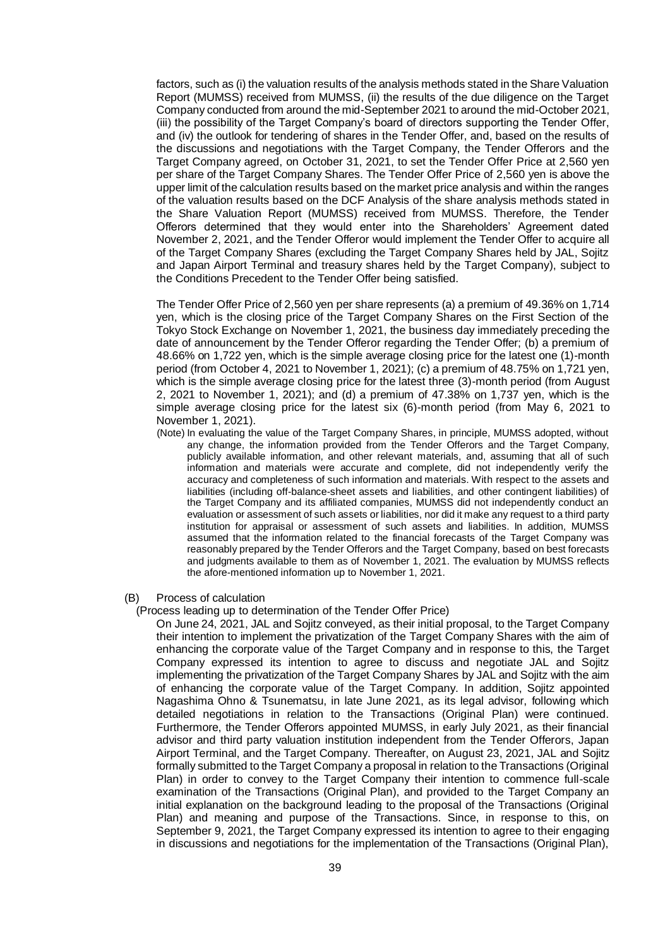factors, such as (i) the valuation results of the analysis methods stated in the Share Valuation Report (MUMSS) received from MUMSS, (ii) the results of the due diligence on the Target Company conducted from around the mid-September 2021 to around the mid-October 2021, (iii) the possibility of the Target Company's board of directors supporting the Tender Offer, and (iv) the outlook for tendering of shares in the Tender Offer, and, based on the results of the discussions and negotiations with the Target Company, the Tender Offerors and the Target Company agreed, on October 31, 2021, to set the Tender Offer Price at 2,560 yen per share of the Target Company Shares. The Tender Offer Price of 2,560 yen is above the upper limit of the calculation results based on the market price analysis and within the ranges of the valuation results based on the DCF Analysis of the share analysis methods stated in the Share Valuation Report (MUMSS) received from MUMSS. Therefore, the Tender Offerors determined that they would enter into the Shareholders' Agreement dated November 2, 2021, and the Tender Offeror would implement the Tender Offer to acquire all of the Target Company Shares (excluding the Target Company Shares held by JAL, Sojitz and Japan Airport Terminal and treasury shares held by the Target Company), subject to the Conditions Precedent to the Tender Offer being satisfied.

The Tender Offer Price of 2,560 yen per share represents (a) a premium of 49.36% on 1,714 yen, which is the closing price of the Target Company Shares on the First Section of the Tokyo Stock Exchange on November 1, 2021, the business day immediately preceding the date of announcement by the Tender Offeror regarding the Tender Offer; (b) a premium of 48.66% on 1,722 yen, which is the simple average closing price for the latest one (1)-month period (from October 4, 2021 to November 1, 2021); (c) a premium of 48.75% on 1,721 yen, which is the simple average closing price for the latest three (3)-month period (from August 2, 2021 to November 1, 2021); and (d) a premium of 47.38% on 1,737 yen, which is the simple average closing price for the latest six (6)-month period (from May 6, 2021 to November 1, 2021).

- (Note) In evaluating the value of the Target Company Shares, in principle, MUMSS adopted, without any change, the information provided from the Tender Offerors and the Target Company, publicly available information, and other relevant materials, and, assuming that all of such information and materials were accurate and complete, did not independently verify the accuracy and completeness of such information and materials. With respect to the assets and liabilities (including off-balance-sheet assets and liabilities, and other contingent liabilities) of the Target Company and its affiliated companies, MUMSS did not independently conduct an evaluation or assessment of such assets or liabilities, nor did it make any request to a third party institution for appraisal or assessment of such assets and liabilities. In addition, MUMSS assumed that the information related to the financial forecasts of the Target Company was reasonably prepared by the Tender Offerors and the Target Company, based on best forecasts and judgments available to them as of November 1, 2021. The evaluation by MUMSS reflects the afore-mentioned information up to November 1, 2021.
- (B) Process of calculation

#### (Process leading up to determination of the Tender Offer Price)

On June 24, 2021, JAL and Sojitz conveyed, as their initial proposal, to the Target Company their intention to implement the privatization of the Target Company Shares with the aim of enhancing the corporate value of the Target Company and in response to this, the Target Company expressed its intention to agree to discuss and negotiate JAL and Sojitz implementing the privatization of the Target Company Shares by JAL and Sojitz with the aim of enhancing the corporate value of the Target Company. In addition, Sojitz appointed Nagashima Ohno & Tsunematsu, in late June 2021, as its legal advisor, following which detailed negotiations in relation to the Transactions (Original Plan) were continued. Furthermore, the Tender Offerors appointed MUMSS, in early July 2021, as their financial advisor and third party valuation institution independent from the Tender Offerors, Japan Airport Terminal, and the Target Company. Thereafter, on August 23, 2021, JAL and Sojitz formally submitted to the Target Company a proposal in relation to the Transactions (Original Plan) in order to convey to the Target Company their intention to commence full-scale examination of the Transactions (Original Plan), and provided to the Target Company an initial explanation on the background leading to the proposal of the Transactions (Original Plan) and meaning and purpose of the Transactions. Since, in response to this, on September 9, 2021, the Target Company expressed its intention to agree to their engaging in discussions and negotiations for the implementation of the Transactions (Original Plan),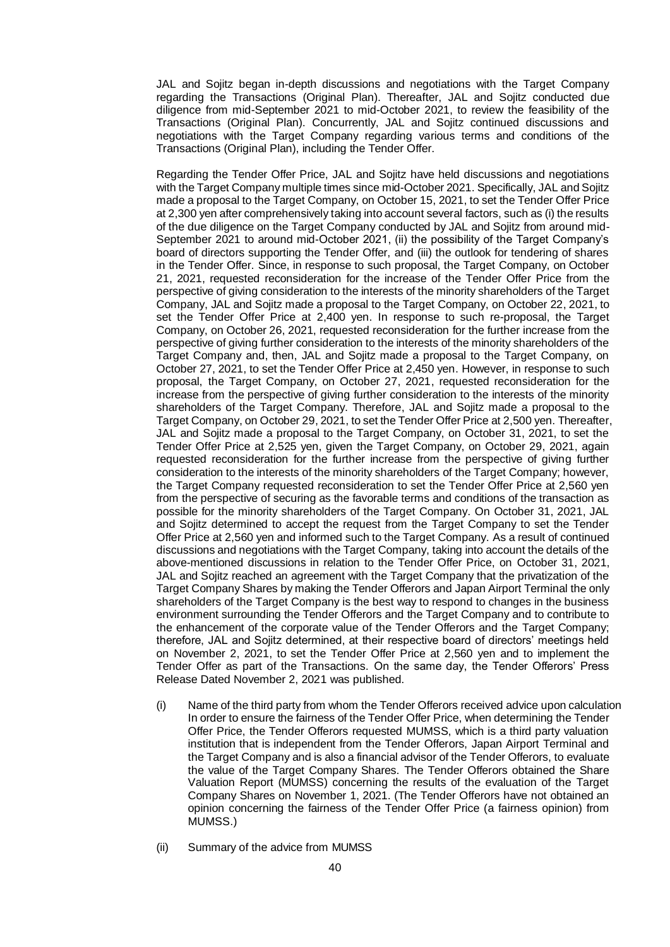JAL and Sojitz began in-depth discussions and negotiations with the Target Company regarding the Transactions (Original Plan). Thereafter, JAL and Sojitz conducted due diligence from mid-September 2021 to mid-October 2021, to review the feasibility of the Transactions (Original Plan). Concurrently, JAL and Sojitz continued discussions and negotiations with the Target Company regarding various terms and conditions of the Transactions (Original Plan), including the Tender Offer.

Regarding the Tender Offer Price, JAL and Sojitz have held discussions and negotiations with the Target Company multiple times since mid-October 2021. Specifically, JAL and Sojitz made a proposal to the Target Company, on October 15, 2021, to set the Tender Offer Price at 2,300 yen after comprehensively taking into account several factors, such as (i) the results of the due diligence on the Target Company conducted by JAL and Sojitz from around mid-September 2021 to around mid-October 2021, (ii) the possibility of the Target Company's board of directors supporting the Tender Offer, and (iii) the outlook for tendering of shares in the Tender Offer. Since, in response to such proposal, the Target Company, on October 21, 2021, requested reconsideration for the increase of the Tender Offer Price from the perspective of giving consideration to the interests of the minority shareholders of the Target Company, JAL and Sojitz made a proposal to the Target Company, on October 22, 2021, to set the Tender Offer Price at 2,400 yen. In response to such re-proposal, the Target Company, on October 26, 2021, requested reconsideration for the further increase from the perspective of giving further consideration to the interests of the minority shareholders of the Target Company and, then, JAL and Sojitz made a proposal to the Target Company, on October 27, 2021, to set the Tender Offer Price at 2,450 yen. However, in response to such proposal, the Target Company, on October 27, 2021, requested reconsideration for the increase from the perspective of giving further consideration to the interests of the minority shareholders of the Target Company. Therefore, JAL and Sojitz made a proposal to the Target Company, on October 29, 2021, to set the Tender Offer Price at 2,500 yen. Thereafter, JAL and Sojitz made a proposal to the Target Company, on October 31, 2021, to set the Tender Offer Price at 2,525 yen, given the Target Company, on October 29, 2021, again requested reconsideration for the further increase from the perspective of giving further consideration to the interests of the minority shareholders of the Target Company; however, the Target Company requested reconsideration to set the Tender Offer Price at 2,560 yen from the perspective of securing as the favorable terms and conditions of the transaction as possible for the minority shareholders of the Target Company. On October 31, 2021, JAL and Sojitz determined to accept the request from the Target Company to set the Tender Offer Price at 2,560 yen and informed such to the Target Company. As a result of continued discussions and negotiations with the Target Company, taking into account the details of the above-mentioned discussions in relation to the Tender Offer Price, on October 31, 2021, JAL and Sojitz reached an agreement with the Target Company that the privatization of the Target Company Shares by making the Tender Offerors and Japan Airport Terminal the only shareholders of the Target Company is the best way to respond to changes in the business environment surrounding the Tender Offerors and the Target Company and to contribute to the enhancement of the corporate value of the Tender Offerors and the Target Company; therefore, JAL and Sojitz determined, at their respective board of directors' meetings held on November 2, 2021, to set the Tender Offer Price at 2,560 yen and to implement the Tender Offer as part of the Transactions. On the same day, the Tender Offerors' Press Release Dated November 2, 2021 was published.

- (i) Name of the third party from whom the Tender Offerors received advice upon calculation In order to ensure the fairness of the Tender Offer Price, when determining the Tender Offer Price, the Tender Offerors requested MUMSS, which is a third party valuation institution that is independent from the Tender Offerors, Japan Airport Terminal and the Target Company and is also a financial advisor of the Tender Offerors, to evaluate the value of the Target Company Shares. The Tender Offerors obtained the Share Valuation Report (MUMSS) concerning the results of the evaluation of the Target Company Shares on November 1, 2021. (The Tender Offerors have not obtained an opinion concerning the fairness of the Tender Offer Price (a fairness opinion) from MUMSS.)
- (ii) Summary of the advice from MUMSS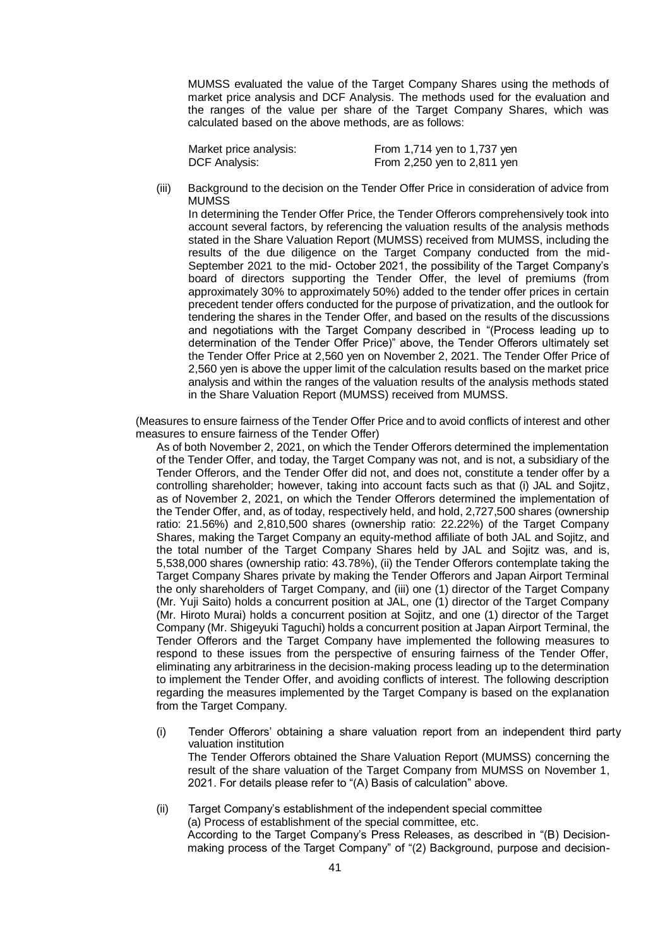MUMSS evaluated the value of the Target Company Shares using the methods of market price analysis and DCF Analysis. The methods used for the evaluation and the ranges of the value per share of the Target Company Shares, which was calculated based on the above methods, are as follows:

| Market price analysis: | From 1,714 yen to 1,737 yen     |
|------------------------|---------------------------------|
| DCF Analysis:          | From $2,250$ yen to $2,811$ yen |

(iii) Background to the decision on the Tender Offer Price in consideration of advice from MUMSS

In determining the Tender Offer Price, the Tender Offerors comprehensively took into account several factors, by referencing the valuation results of the analysis methods stated in the Share Valuation Report (MUMSS) received from MUMSS, including the results of the due diligence on the Target Company conducted from the mid-September 2021 to the mid- October 2021, the possibility of the Target Company's board of directors supporting the Tender Offer, the level of premiums (from approximately 30% to approximately 50%) added to the tender offer prices in certain precedent tender offers conducted for the purpose of privatization, and the outlook for tendering the shares in the Tender Offer, and based on the results of the discussions and negotiations with the Target Company described in "(Process leading up to determination of the Tender Offer Price)" above, the Tender Offerors ultimately set the Tender Offer Price at 2,560 yen on November 2, 2021. The Tender Offer Price of 2,560 yen is above the upper limit of the calculation results based on the market price analysis and within the ranges of the valuation results of the analysis methods stated in the Share Valuation Report (MUMSS) received from MUMSS.

(Measures to ensure fairness of the Tender Offer Price and to avoid conflicts of interest and other measures to ensure fairness of the Tender Offer)

As of both November 2, 2021, on which the Tender Offerors determined the implementation of the Tender Offer, and today, the Target Company was not, and is not, a subsidiary of the Tender Offerors, and the Tender Offer did not, and does not, constitute a tender offer by a controlling shareholder; however, taking into account facts such as that (i) JAL and Sojitz, as of November 2, 2021, on which the Tender Offerors determined the implementation of the Tender Offer, and, as of today, respectively held, and hold, 2,727,500 shares (ownership ratio: 21.56%) and 2,810,500 shares (ownership ratio: 22.22%) of the Target Company Shares, making the Target Company an equity-method affiliate of both JAL and Sojitz, and the total number of the Target Company Shares held by JAL and Sojitz was, and is, 5,538,000 shares (ownership ratio: 43.78%), (ii) the Tender Offerors contemplate taking the Target Company Shares private by making the Tender Offerors and Japan Airport Terminal the only shareholders of Target Company, and (iii) one (1) director of the Target Company (Mr. Yuji Saito) holds a concurrent position at JAL, one (1) director of the Target Company (Mr. Hiroto Murai) holds a concurrent position at Sojitz, and one (1) director of the Target Company (Mr. Shigeyuki Taguchi) holds a concurrent position at Japan Airport Terminal, the Tender Offerors and the Target Company have implemented the following measures to respond to these issues from the perspective of ensuring fairness of the Tender Offer, eliminating any arbitrariness in the decision-making process leading up to the determination to implement the Tender Offer, and avoiding conflicts of interest. The following description regarding the measures implemented by the Target Company is based on the explanation from the Target Company.

- (i) Tender Offerors' obtaining a share valuation report from an independent third party valuation institution The Tender Offerors obtained the Share Valuation Report (MUMSS) concerning the result of the share valuation of the Target Company from MUMSS on November 1, 2021. For details please refer to "(A) Basis of calculation" above.
- (ii) Target Company's establishment of the independent special committee (a) Process of establishment of the special committee, etc. According to the Target Company's Press Releases, as described in "(B) Decisionmaking process of the Target Company" of "(2) Background, purpose and decision-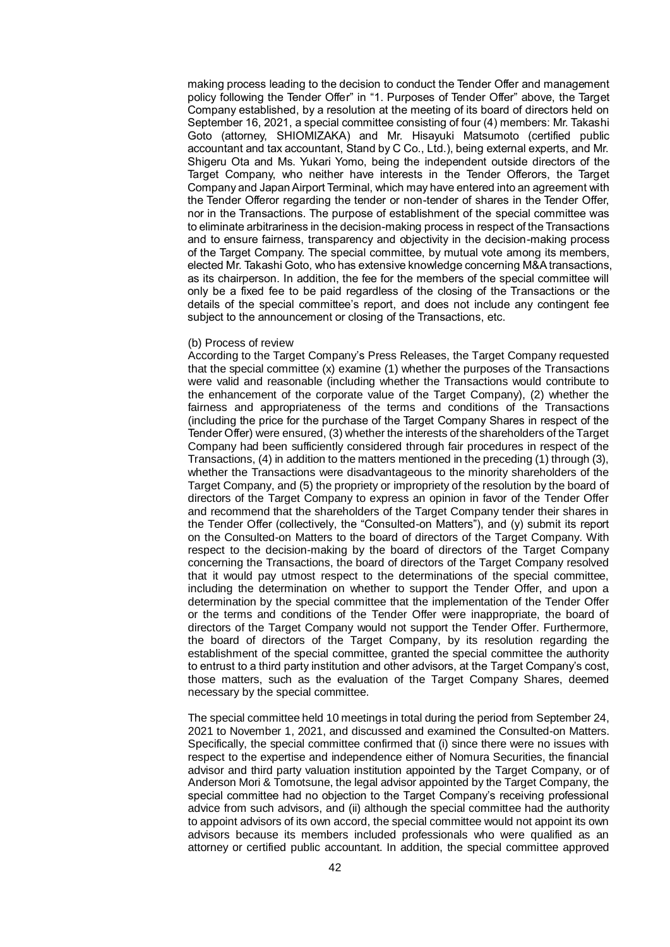making process leading to the decision to conduct the Tender Offer and management policy following the Tender Offer" in "1. Purposes of Tender Offer" above, the Target Company established, by a resolution at the meeting of its board of directors held on September 16, 2021, a special committee consisting of four (4) members: Mr. Takashi Goto (attorney, SHIOMIZAKA) and Mr. Hisayuki Matsumoto (certified public accountant and tax accountant, Stand by C Co., Ltd.), being external experts, and Mr. Shigeru Ota and Ms. Yukari Yomo, being the independent outside directors of the Target Company, who neither have interests in the Tender Offerors, the Target Company and Japan Airport Terminal, which may have entered into an agreement with the Tender Offeror regarding the tender or non-tender of shares in the Tender Offer, nor in the Transactions. The purpose of establishment of the special committee was to eliminate arbitrariness in the decision-making process in respect of the Transactions and to ensure fairness, transparency and objectivity in the decision-making process of the Target Company. The special committee, by mutual vote among its members, elected Mr. Takashi Goto, who has extensive knowledge concerning M&A transactions, as its chairperson. In addition, the fee for the members of the special committee will only be a fixed fee to be paid regardless of the closing of the Transactions or the details of the special committee's report, and does not include any contingent fee subject to the announcement or closing of the Transactions, etc.

#### (b) Process of review

According to the Target Company's Press Releases, the Target Company requested that the special committee (x) examine (1) whether the purposes of the Transactions were valid and reasonable (including whether the Transactions would contribute to the enhancement of the corporate value of the Target Company), (2) whether the fairness and appropriateness of the terms and conditions of the Transactions (including the price for the purchase of the Target Company Shares in respect of the Tender Offer) were ensured, (3) whether the interests of the shareholders of the Target Company had been sufficiently considered through fair procedures in respect of the Transactions, (4) in addition to the matters mentioned in the preceding (1) through (3), whether the Transactions were disadvantageous to the minority shareholders of the Target Company, and (5) the propriety or impropriety of the resolution by the board of directors of the Target Company to express an opinion in favor of the Tender Offer and recommend that the shareholders of the Target Company tender their shares in the Tender Offer (collectively, the "Consulted-on Matters"), and (y) submit its report on the Consulted-on Matters to the board of directors of the Target Company. With respect to the decision-making by the board of directors of the Target Company concerning the Transactions, the board of directors of the Target Company resolved that it would pay utmost respect to the determinations of the special committee, including the determination on whether to support the Tender Offer, and upon a determination by the special committee that the implementation of the Tender Offer or the terms and conditions of the Tender Offer were inappropriate, the board of directors of the Target Company would not support the Tender Offer. Furthermore, the board of directors of the Target Company, by its resolution regarding the establishment of the special committee, granted the special committee the authority to entrust to a third party institution and other advisors, at the Target Company's cost, those matters, such as the evaluation of the Target Company Shares, deemed necessary by the special committee.

The special committee held 10 meetings in total during the period from September 24, 2021 to November 1, 2021, and discussed and examined the Consulted-on Matters. Specifically, the special committee confirmed that (i) since there were no issues with respect to the expertise and independence either of Nomura Securities, the financial advisor and third party valuation institution appointed by the Target Company, or of Anderson Mori & Tomotsune, the legal advisor appointed by the Target Company, the special committee had no objection to the Target Company's receiving professional advice from such advisors, and (ii) although the special committee had the authority to appoint advisors of its own accord, the special committee would not appoint its own advisors because its members included professionals who were qualified as an attorney or certified public accountant. In addition, the special committee approved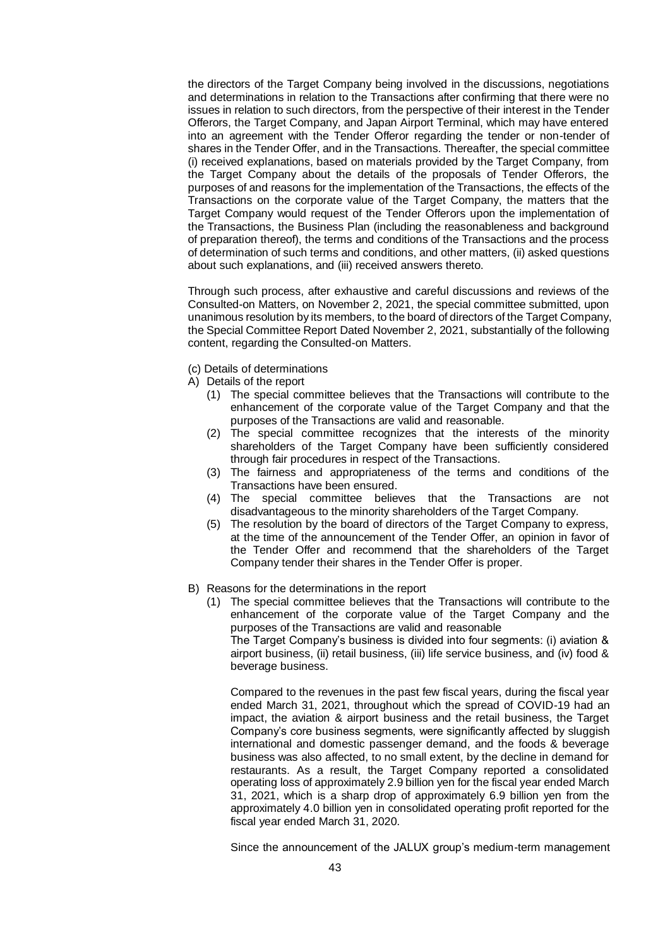the directors of the Target Company being involved in the discussions, negotiations and determinations in relation to the Transactions after confirming that there were no issues in relation to such directors, from the perspective of their interest in the Tender Offerors, the Target Company, and Japan Airport Terminal, which may have entered into an agreement with the Tender Offeror regarding the tender or non-tender of shares in the Tender Offer, and in the Transactions. Thereafter, the special committee (i) received explanations, based on materials provided by the Target Company, from the Target Company about the details of the proposals of Tender Offerors, the purposes of and reasons for the implementation of the Transactions, the effects of the Transactions on the corporate value of the Target Company, the matters that the Target Company would request of the Tender Offerors upon the implementation of the Transactions, the Business Plan (including the reasonableness and background of preparation thereof), the terms and conditions of the Transactions and the process of determination of such terms and conditions, and other matters, (ii) asked questions about such explanations, and (iii) received answers thereto.

Through such process, after exhaustive and careful discussions and reviews of the Consulted-on Matters, on November 2, 2021, the special committee submitted, upon unanimous resolution by its members, to the board of directors of the Target Company, the Special Committee Report Dated November 2, 2021, substantially of the following content, regarding the Consulted-on Matters.

(c) Details of determinations

A) Details of the report

- (1) The special committee believes that the Transactions will contribute to the enhancement of the corporate value of the Target Company and that the purposes of the Transactions are valid and reasonable.
- (2) The special committee recognizes that the interests of the minority shareholders of the Target Company have been sufficiently considered through fair procedures in respect of the Transactions.
- (3) The fairness and appropriateness of the terms and conditions of the Transactions have been ensured.
- (4) The special committee believes that the Transactions are not disadvantageous to the minority shareholders of the Target Company.
- (5) The resolution by the board of directors of the Target Company to express, at the time of the announcement of the Tender Offer, an opinion in favor of the Tender Offer and recommend that the shareholders of the Target Company tender their shares in the Tender Offer is proper.
- B) Reasons for the determinations in the report
	- (1) The special committee believes that the Transactions will contribute to the enhancement of the corporate value of the Target Company and the purposes of the Transactions are valid and reasonable

The Target Company's business is divided into four segments: (i) aviation & airport business, (ii) retail business, (iii) life service business, and (iv) food & beverage business.

Compared to the revenues in the past few fiscal years, during the fiscal year ended March 31, 2021, throughout which the spread of COVID-19 had an impact, the aviation & airport business and the retail business, the Target Company's core business segments, were significantly affected by sluggish international and domestic passenger demand, and the foods & beverage business was also affected, to no small extent, by the decline in demand for restaurants. As a result, the Target Company reported a consolidated operating loss of approximately 2.9 billion yen for the fiscal year ended March 31, 2021, which is a sharp drop of approximately 6.9 billion yen from the approximately 4.0 billion yen in consolidated operating profit reported for the fiscal year ended March 31, 2020.

Since the announcement of the JALUX group's medium-term management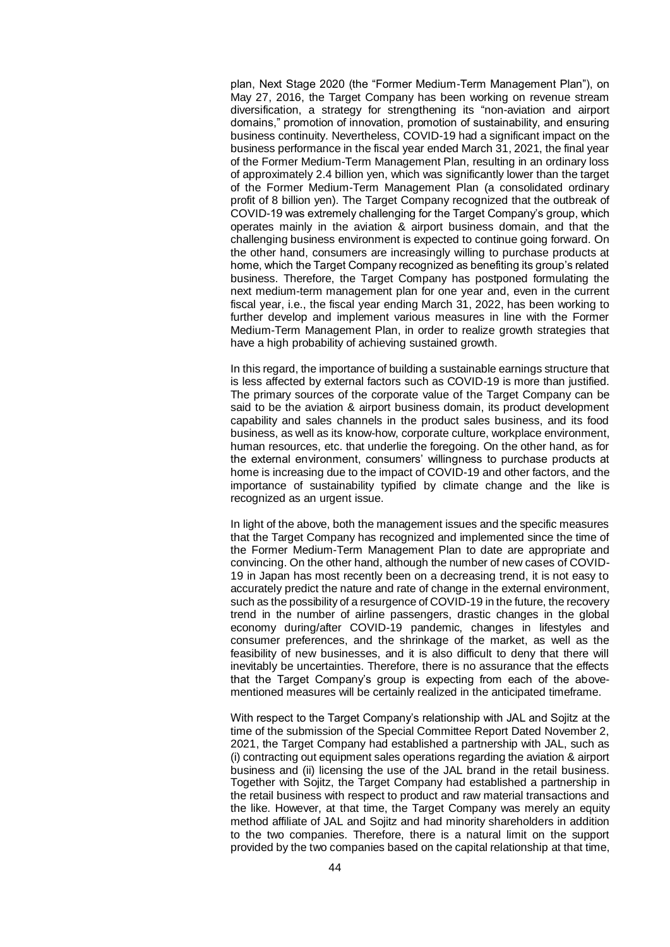plan, Next Stage 2020 (the "Former Medium-Term Management Plan"), on May 27, 2016, the Target Company has been working on revenue stream diversification, a strategy for strengthening its "non-aviation and airport domains," promotion of innovation, promotion of sustainability, and ensuring business continuity. Nevertheless, COVID-19 had a significant impact on the business performance in the fiscal year ended March 31, 2021, the final year of the Former Medium-Term Management Plan, resulting in an ordinary loss of approximately 2.4 billion yen, which was significantly lower than the target of the Former Medium-Term Management Plan (a consolidated ordinary profit of 8 billion yen). The Target Company recognized that the outbreak of COVID-19 was extremely challenging for the Target Company's group, which operates mainly in the aviation & airport business domain, and that the challenging business environment is expected to continue going forward. On the other hand, consumers are increasingly willing to purchase products at home, which the Target Company recognized as benefiting its group's related business. Therefore, the Target Company has postponed formulating the next medium-term management plan for one year and, even in the current fiscal year, i.e., the fiscal year ending March 31, 2022, has been working to further develop and implement various measures in line with the Former Medium-Term Management Plan, in order to realize growth strategies that have a high probability of achieving sustained growth.

In this regard, the importance of building a sustainable earnings structure that is less affected by external factors such as COVID-19 is more than justified. The primary sources of the corporate value of the Target Company can be said to be the aviation & airport business domain, its product development capability and sales channels in the product sales business, and its food business, as well as its know-how, corporate culture, workplace environment, human resources, etc. that underlie the foregoing. On the other hand, as for the external environment, consumers' willingness to purchase products at home is increasing due to the impact of COVID-19 and other factors, and the importance of sustainability typified by climate change and the like is recognized as an urgent issue.

In light of the above, both the management issues and the specific measures that the Target Company has recognized and implemented since the time of the Former Medium-Term Management Plan to date are appropriate and convincing. On the other hand, although the number of new cases of COVID-19 in Japan has most recently been on a decreasing trend, it is not easy to accurately predict the nature and rate of change in the external environment, such as the possibility of a resurgence of COVID-19 in the future, the recovery trend in the number of airline passengers, drastic changes in the global economy during/after COVID-19 pandemic, changes in lifestyles and consumer preferences, and the shrinkage of the market, as well as the feasibility of new businesses, and it is also difficult to deny that there will inevitably be uncertainties. Therefore, there is no assurance that the effects that the Target Company's group is expecting from each of the abovementioned measures will be certainly realized in the anticipated timeframe.

With respect to the Target Company's relationship with JAL and Sojitz at the time of the submission of the Special Committee Report Dated November 2, 2021, the Target Company had established a partnership with JAL, such as (i) contracting out equipment sales operations regarding the aviation & airport business and (ii) licensing the use of the JAL brand in the retail business. Together with Sojitz, the Target Company had established a partnership in the retail business with respect to product and raw material transactions and the like. However, at that time, the Target Company was merely an equity method affiliate of JAL and Sojitz and had minority shareholders in addition to the two companies. Therefore, there is a natural limit on the support provided by the two companies based on the capital relationship at that time,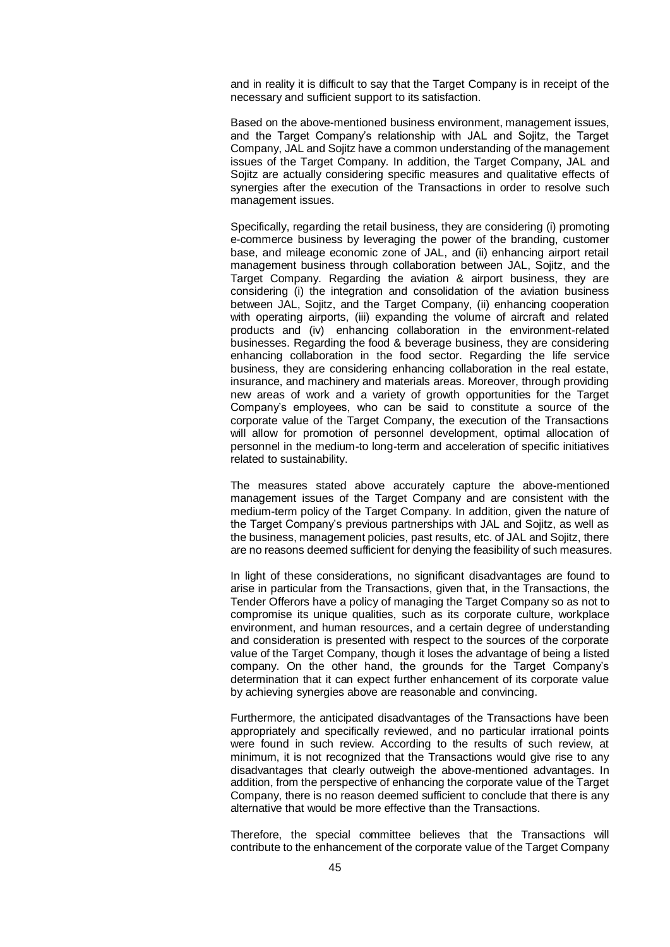and in reality it is difficult to say that the Target Company is in receipt of the necessary and sufficient support to its satisfaction.

Based on the above-mentioned business environment, management issues, and the Target Company's relationship with JAL and Sojitz, the Target Company, JAL and Sojitz have a common understanding of the management issues of the Target Company. In addition, the Target Company, JAL and Sojitz are actually considering specific measures and qualitative effects of synergies after the execution of the Transactions in order to resolve such management issues.

Specifically, regarding the retail business, they are considering (i) promoting e-commerce business by leveraging the power of the branding, customer base, and mileage economic zone of JAL, and (ii) enhancing airport retail management business through collaboration between JAL, Sojitz, and the Target Company. Regarding the aviation & airport business, they are considering (i) the integration and consolidation of the aviation business between JAL, Sojitz, and the Target Company, (ii) enhancing cooperation with operating airports, (iii) expanding the volume of aircraft and related products and (iv) enhancing collaboration in the environment-related businesses. Regarding the food & beverage business, they are considering enhancing collaboration in the food sector. Regarding the life service business, they are considering enhancing collaboration in the real estate, insurance, and machinery and materials areas. Moreover, through providing new areas of work and a variety of growth opportunities for the Target Company's employees, who can be said to constitute a source of the corporate value of the Target Company, the execution of the Transactions will allow for promotion of personnel development, optimal allocation of personnel in the medium-to long-term and acceleration of specific initiatives related to sustainability.

The measures stated above accurately capture the above-mentioned management issues of the Target Company and are consistent with the medium-term policy of the Target Company. In addition, given the nature of the Target Company's previous partnerships with JAL and Sojitz, as well as the business, management policies, past results, etc. of JAL and Sojitz, there are no reasons deemed sufficient for denying the feasibility of such measures.

In light of these considerations, no significant disadvantages are found to arise in particular from the Transactions, given that, in the Transactions, the Tender Offerors have a policy of managing the Target Company so as not to compromise its unique qualities, such as its corporate culture, workplace environment, and human resources, and a certain degree of understanding and consideration is presented with respect to the sources of the corporate value of the Target Company, though it loses the advantage of being a listed company. On the other hand, the grounds for the Target Company's determination that it can expect further enhancement of its corporate value by achieving synergies above are reasonable and convincing.

Furthermore, the anticipated disadvantages of the Transactions have been appropriately and specifically reviewed, and no particular irrational points were found in such review. According to the results of such review, at minimum, it is not recognized that the Transactions would give rise to any disadvantages that clearly outweigh the above-mentioned advantages. In addition, from the perspective of enhancing the corporate value of the Target Company, there is no reason deemed sufficient to conclude that there is any alternative that would be more effective than the Transactions.

Therefore, the special committee believes that the Transactions will contribute to the enhancement of the corporate value of the Target Company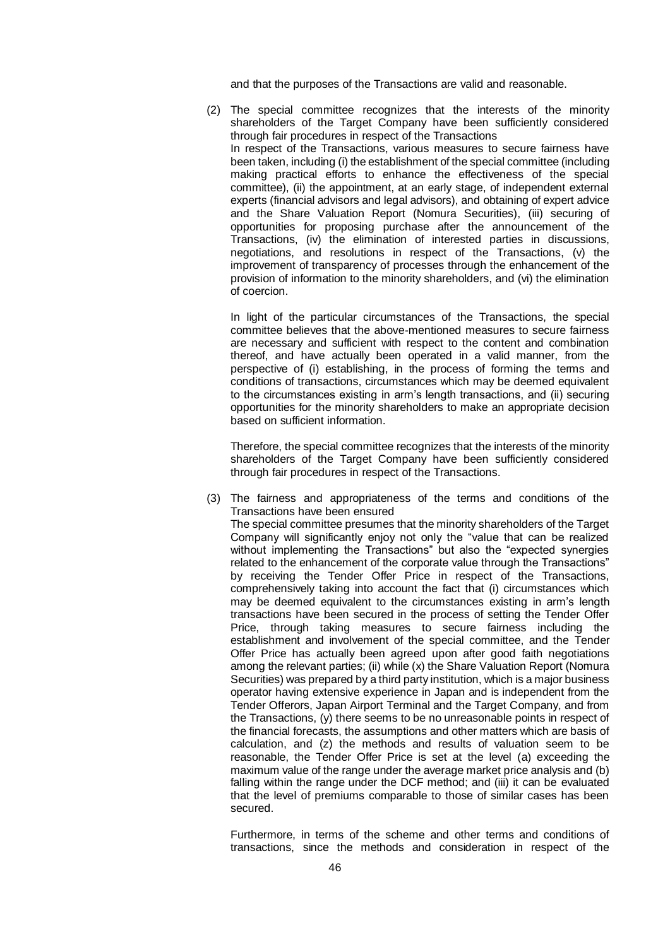and that the purposes of the Transactions are valid and reasonable.

(2) The special committee recognizes that the interests of the minority shareholders of the Target Company have been sufficiently considered through fair procedures in respect of the Transactions In respect of the Transactions, various measures to secure fairness have been taken, including (i) the establishment of the special committee (including making practical efforts to enhance the effectiveness of the special committee), (ii) the appointment, at an early stage, of independent external experts (financial advisors and legal advisors), and obtaining of expert advice and the Share Valuation Report (Nomura Securities), (iii) securing of opportunities for proposing purchase after the announcement of the Transactions, (iv) the elimination of interested parties in discussions, negotiations, and resolutions in respect of the Transactions, (v) the improvement of transparency of processes through the enhancement of the provision of information to the minority shareholders, and (vi) the elimination of coercion.

In light of the particular circumstances of the Transactions, the special committee believes that the above-mentioned measures to secure fairness are necessary and sufficient with respect to the content and combination thereof, and have actually been operated in a valid manner, from the perspective of (i) establishing, in the process of forming the terms and conditions of transactions, circumstances which may be deemed equivalent to the circumstances existing in arm's length transactions, and (ii) securing opportunities for the minority shareholders to make an appropriate decision based on sufficient information.

Therefore, the special committee recognizes that the interests of the minority shareholders of the Target Company have been sufficiently considered through fair procedures in respect of the Transactions.

(3) The fairness and appropriateness of the terms and conditions of the Transactions have been ensured The special committee presumes that the minority shareholders of the Target Company will significantly enjoy not only the "value that can be realized without implementing the Transactions" but also the "expected synergies related to the enhancement of the corporate value through the Transactions" by receiving the Tender Offer Price in respect of the Transactions, comprehensively taking into account the fact that (i) circumstances which may be deemed equivalent to the circumstances existing in arm's length transactions have been secured in the process of setting the Tender Offer Price, through taking measures to secure fairness including the establishment and involvement of the special committee, and the Tender Offer Price has actually been agreed upon after good faith negotiations among the relevant parties; (ii) while (x) the Share Valuation Report (Nomura Securities) was prepared by a third party institution, which is a major business operator having extensive experience in Japan and is independent from the Tender Offerors, Japan Airport Terminal and the Target Company, and from the Transactions, (y) there seems to be no unreasonable points in respect of the financial forecasts, the assumptions and other matters which are basis of calculation, and (z) the methods and results of valuation seem to be reasonable, the Tender Offer Price is set at the level (a) exceeding the maximum value of the range under the average market price analysis and (b) falling within the range under the DCF method; and (iii) it can be evaluated that the level of premiums comparable to those of similar cases has been secured.

Furthermore, in terms of the scheme and other terms and conditions of transactions, since the methods and consideration in respect of the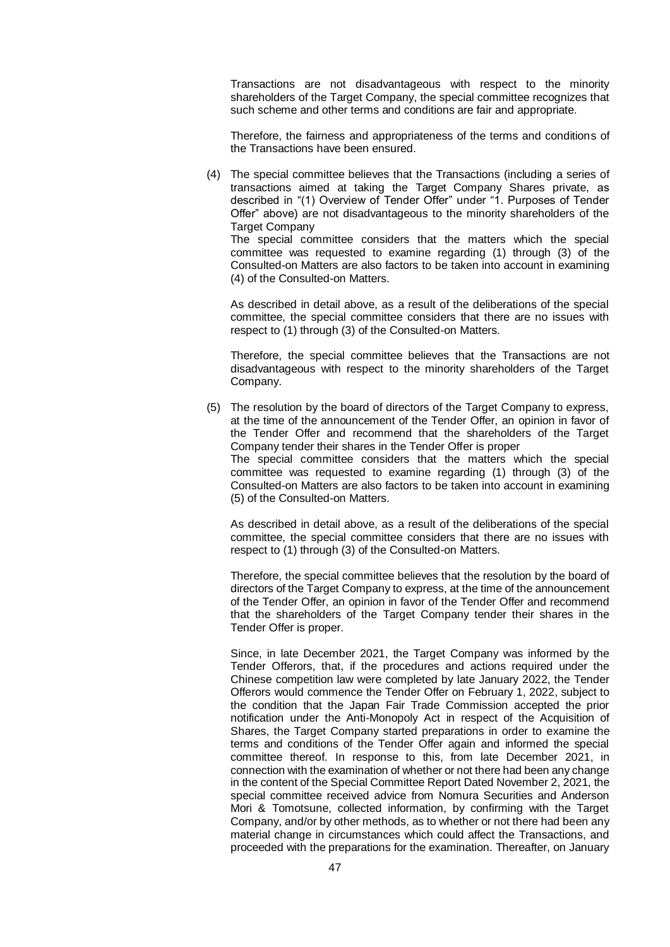Transactions are not disadvantageous with respect to the minority shareholders of the Target Company, the special committee recognizes that such scheme and other terms and conditions are fair and appropriate.

Therefore, the fairness and appropriateness of the terms and conditions of the Transactions have been ensured.

(4) The special committee believes that the Transactions (including a series of transactions aimed at taking the Target Company Shares private, as described in "(1) Overview of Tender Offer" under "1. Purposes of Tender Offer" above) are not disadvantageous to the minority shareholders of the Target Company

The special committee considers that the matters which the special committee was requested to examine regarding (1) through (3) of the Consulted-on Matters are also factors to be taken into account in examining (4) of the Consulted-on Matters.

As described in detail above, as a result of the deliberations of the special committee, the special committee considers that there are no issues with respect to (1) through (3) of the Consulted-on Matters.

Therefore, the special committee believes that the Transactions are not disadvantageous with respect to the minority shareholders of the Target Company.

(5) The resolution by the board of directors of the Target Company to express, at the time of the announcement of the Tender Offer, an opinion in favor of the Tender Offer and recommend that the shareholders of the Target Company tender their shares in the Tender Offer is proper The special committee considers that the matters which the special committee was requested to examine regarding (1) through (3) of the Consulted-on Matters are also factors to be taken into account in examining (5) of the Consulted-on Matters.

As described in detail above, as a result of the deliberations of the special committee, the special committee considers that there are no issues with respect to (1) through (3) of the Consulted-on Matters.

Therefore, the special committee believes that the resolution by the board of directors of the Target Company to express, at the time of the announcement of the Tender Offer, an opinion in favor of the Tender Offer and recommend that the shareholders of the Target Company tender their shares in the Tender Offer is proper.

Since, in late December 2021, the Target Company was informed by the Tender Offerors, that, if the procedures and actions required under the Chinese competition law were completed by late January 2022, the Tender Offerors would commence the Tender Offer on February 1, 2022, subject to the condition that the Japan Fair Trade Commission accepted the prior notification under the Anti-Monopoly Act in respect of the Acquisition of Shares, the Target Company started preparations in order to examine the terms and conditions of the Tender Offer again and informed the special committee thereof. In response to this, from late December 2021, in connection with the examination of whether or not there had been any change in the content of the Special Committee Report Dated November 2, 2021, the special committee received advice from Nomura Securities and Anderson Mori & Tomotsune, collected information, by confirming with the Target Company, and/or by other methods, as to whether or not there had been any material change in circumstances which could affect the Transactions, and proceeded with the preparations for the examination. Thereafter, on January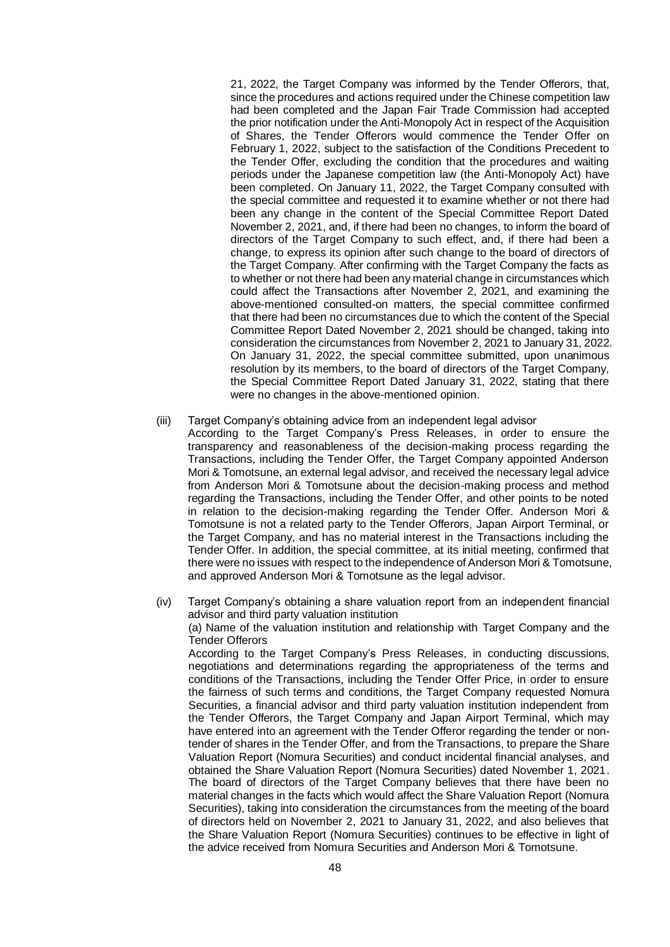21, 2022, the Target Company was informed by the Tender Offerors, that, since the procedures and actions required under the Chinese competition law had been completed and the Japan Fair Trade Commission had accepted the prior notification under the Anti-Monopoly Act in respect of the Acquisition of Shares, the Tender Offerors would commence the Tender Offer on February 1, 2022, subject to the satisfaction of the Conditions Precedent to the Tender Offer, excluding the condition that the procedures and waiting periods under the Japanese competition law (the Anti-Monopoly Act) have been completed. On January 11, 2022, the Target Company consulted with the special committee and requested it to examine whether or not there had been any change in the content of the Special Committee Report Dated November 2, 2021, and, if there had been no changes, to inform the board of directors of the Target Company to such effect, and, if there had been a change, to express its opinion after such change to the board of directors of the Target Company. After confirming with the Target Company the facts as to whether or not there had been any material change in circumstances which could affect the Transactions after November 2, 2021, and examining the above-mentioned consulted-on matters, the special committee confirmed that there had been no circumstances due to which the content of the Special Committee Report Dated November 2, 2021 should be changed, taking into consideration the circumstances from November 2, 2021 to January 31, 2022. On January 31, 2022, the special committee submitted, upon unanimous resolution by its members, to the board of directors of the Target Company, the Special Committee Report Dated January 31, 2022, stating that there were no changes in the above-mentioned opinion.

- (iii) Target Company's obtaining advice from an independent legal advisor
	- According to the Target Company's Press Releases, in order to ensure the transparency and reasonableness of the decision-making process regarding the Transactions, including the Tender Offer, the Target Company appointed Anderson Mori & Tomotsune, an external legal advisor, and received the necessary legal advice from Anderson Mori & Tomotsune about the decision-making process and method regarding the Transactions, including the Tender Offer, and other points to be noted in relation to the decision-making regarding the Tender Offer. Anderson Mori & Tomotsune is not a related party to the Tender Offerors, Japan Airport Terminal, or the Target Company, and has no material interest in the Transactions including the Tender Offer. In addition, the special committee, at its initial meeting, confirmed that there were no issues with respect to the independence of Anderson Mori & Tomotsune, and approved Anderson Mori & Tomotsune as the legal advisor.

(iv) Target Company's obtaining a share valuation report from an independent financial advisor and third party valuation institution (a) Name of the valuation institution and relationship with Target Company and the Tender Offerors According to the Target Company's Press Releases, in conducting discussions, negotiations and determinations regarding the appropriateness of the terms and conditions of the Transactions, including the Tender Offer Price, in order to ensure the fairness of such terms and conditions, the Target Company requested Nomura Securities, a financial advisor and third party valuation institution independent from the Tender Offerors, the Target Company and Japan Airport Terminal, which may have entered into an agreement with the Tender Offeror regarding the tender or nontender of shares in the Tender Offer, and from the Transactions, to prepare the Share Valuation Report (Nomura Securities) and conduct incidental financial analyses, and obtained the Share Valuation Report (Nomura Securities) dated November 1, 2021. The board of directors of the Target Company believes that there have been no material changes in the facts which would affect the Share Valuation Report (Nomura Securities), taking into consideration the circumstances from the meeting of the board of directors held on November 2, 2021 to January 31, 2022, and also believes that the Share Valuation Report (Nomura Securities) continues to be effective in light of the advice received from Nomura Securities and Anderson Mori & Tomotsune.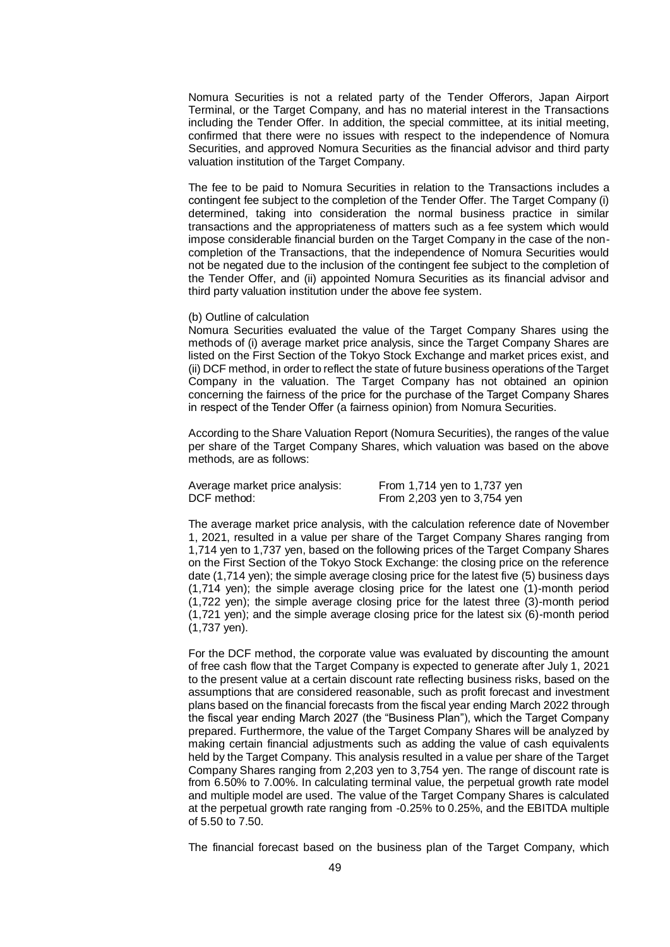Nomura Securities is not a related party of the Tender Offerors, Japan Airport Terminal, or the Target Company, and has no material interest in the Transactions including the Tender Offer. In addition, the special committee, at its initial meeting, confirmed that there were no issues with respect to the independence of Nomura Securities, and approved Nomura Securities as the financial advisor and third party valuation institution of the Target Company.

The fee to be paid to Nomura Securities in relation to the Transactions includes a contingent fee subject to the completion of the Tender Offer. The Target Company (i) determined, taking into consideration the normal business practice in similar transactions and the appropriateness of matters such as a fee system which would impose considerable financial burden on the Target Company in the case of the noncompletion of the Transactions, that the independence of Nomura Securities would not be negated due to the inclusion of the contingent fee subject to the completion of the Tender Offer, and (ii) appointed Nomura Securities as its financial advisor and third party valuation institution under the above fee system.

#### (b) Outline of calculation

Nomura Securities evaluated the value of the Target Company Shares using the methods of (i) average market price analysis, since the Target Company Shares are listed on the First Section of the Tokyo Stock Exchange and market prices exist, and (ii) DCF method, in order to reflect the state of future business operations of the Target Company in the valuation. The Target Company has not obtained an opinion concerning the fairness of the price for the purchase of the Target Company Shares in respect of the Tender Offer (a fairness opinion) from Nomura Securities.

According to the Share Valuation Report (Nomura Securities), the ranges of the value per share of the Target Company Shares, which valuation was based on the above methods, are as follows:

| Average market price analysis: | From 1,714 yen to 1,737 yen |
|--------------------------------|-----------------------------|
| DCF method:                    | From 2,203 yen to 3,754 yen |

The average market price analysis, with the calculation reference date of November 1, 2021, resulted in a value per share of the Target Company Shares ranging from 1,714 yen to 1,737 yen, based on the following prices of the Target Company Shares on the First Section of the Tokyo Stock Exchange: the closing price on the reference date (1,714 yen); the simple average closing price for the latest five (5) business days (1,714 yen); the simple average closing price for the latest one (1)-month period (1,722 yen); the simple average closing price for the latest three (3)-month period (1,721 yen); and the simple average closing price for the latest six (6)-month period (1,737 yen).

For the DCF method, the corporate value was evaluated by discounting the amount of free cash flow that the Target Company is expected to generate after July 1, 2021 to the present value at a certain discount rate reflecting business risks, based on the assumptions that are considered reasonable, such as profit forecast and investment plans based on the financial forecasts from the fiscal year ending March 2022 through the fiscal year ending March 2027 (the "Business Plan"), which the Target Company prepared. Furthermore, the value of the Target Company Shares will be analyzed by making certain financial adjustments such as adding the value of cash equivalents held by the Target Company. This analysis resulted in a value per share of the Target Company Shares ranging from 2,203 yen to 3,754 yen. The range of discount rate is from 6.50% to 7.00%. In calculating terminal value, the perpetual growth rate model and multiple model are used. The value of the Target Company Shares is calculated at the perpetual growth rate ranging from -0.25% to 0.25%, and the EBITDA multiple of 5.50 to 7.50.

The financial forecast based on the business plan of the Target Company, which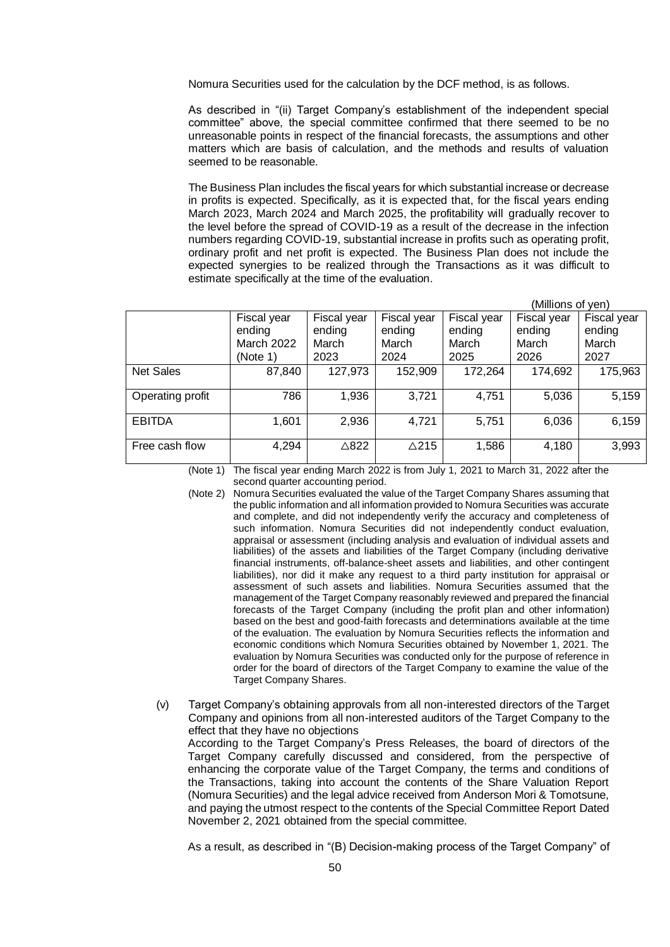Nomura Securities used for the calculation by the DCF method, is as follows.

As described in "(ii) Target Company's establishment of the independent special committee" above, the special committee confirmed that there seemed to be no unreasonable points in respect of the financial forecasts, the assumptions and other matters which are basis of calculation, and the methods and results of valuation seemed to be reasonable.

The Business Plan includes the fiscal years for which substantial increase or decrease in profits is expected. Specifically, as it is expected that, for the fiscal years ending March 2023, March 2024 and March 2025, the profitability will gradually recover to the level before the spread of COVID-19 as a result of the decrease in the infection numbers regarding COVID-19, substantial increase in profits such as operating profit, ordinary profit and net profit is expected. The Business Plan does not include the expected synergies to be realized through the Transactions as it was difficult to estimate specifically at the time of the evaluation.

|                  |                                                 |                                        |                                        |                                        | (Millions of yen)                      |                                        |
|------------------|-------------------------------------------------|----------------------------------------|----------------------------------------|----------------------------------------|----------------------------------------|----------------------------------------|
|                  | Fiscal year<br>ending<br>March 2022<br>(Note 1) | Fiscal year<br>ending<br>March<br>2023 | Fiscal year<br>ending<br>March<br>2024 | Fiscal year<br>ending<br>March<br>2025 | Fiscal year<br>ending<br>March<br>2026 | Fiscal year<br>ending<br>March<br>2027 |
| <b>Net Sales</b> | 87,840                                          | 127,973                                | 152,909                                | 172,264                                | 174,692                                | 175,963                                |
| Operating profit | 786                                             | 1,936                                  | 3,721                                  | 4,751                                  | 5,036                                  | 5,159                                  |
| <b>EBITDA</b>    | 1,601                                           | 2,936                                  | 4,721                                  | 5,751                                  | 6,036                                  | 6,159                                  |
| Free cash flow   | 4,294                                           | $\triangle$ 822                        | $\triangle$ 215                        | 1,586                                  | 4,180                                  | 3,993                                  |

(Note 1) The fiscal year ending March 2022 is from July 1, 2021 to March 31, 2022 after the second quarter accounting period.

- (Note 2) Nomura Securities evaluated the value of the Target Company Shares assuming that the public information and all information provided to Nomura Securities was accurate and complete, and did not independently verify the accuracy and completeness of such information. Nomura Securities did not independently conduct evaluation, appraisal or assessment (including analysis and evaluation of individual assets and liabilities) of the assets and liabilities of the Target Company (including derivative financial instruments, off-balance-sheet assets and liabilities, and other contingent liabilities), nor did it make any request to a third party institution for appraisal or assessment of such assets and liabilities. Nomura Securities assumed that the management of the Target Company reasonably reviewed and prepared the financial forecasts of the Target Company (including the profit plan and other information) based on the best and good-faith forecasts and determinations available at the time of the evaluation. The evaluation by Nomura Securities reflects the information and economic conditions which Nomura Securities obtained by November 1, 2021. The evaluation by Nomura Securities was conducted only for the purpose of reference in order for the board of directors of the Target Company to examine the value of the Target Company Shares.
- (v) Target Company's obtaining approvals from all non-interested directors of the Target Company and opinions from all non-interested auditors of the Target Company to the effect that they have no objections According to the Target Company's Press Releases, the board of directors of the Target Company carefully discussed and considered, from the perspective of enhancing the corporate value of the Target Company, the terms and conditions of the Transactions, taking into account the contents of the Share Valuation Report (Nomura Securities) and the legal advice received from Anderson Mori & Tomotsune, and paying the utmost respect to the contents of the Special Committee Report Dated November 2, 2021 obtained from the special committee.

As a result, as described in "(B) Decision-making process of the Target Company" of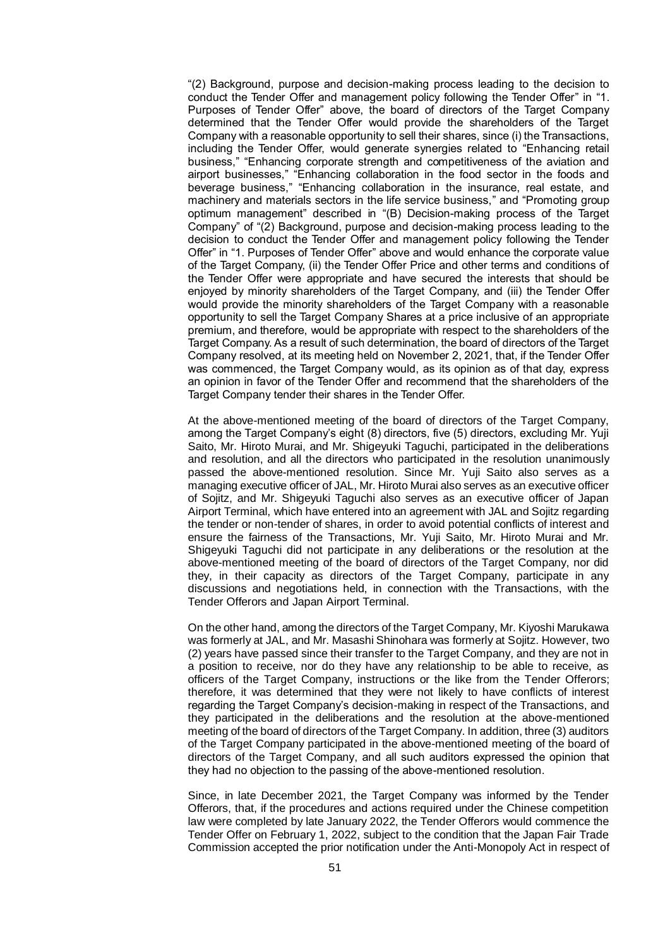"(2) Background, purpose and decision-making process leading to the decision to conduct the Tender Offer and management policy following the Tender Offer" in "1. Purposes of Tender Offer" above, the board of directors of the Target Company determined that the Tender Offer would provide the shareholders of the Target Company with a reasonable opportunity to sell their shares, since (i) the Transactions, including the Tender Offer, would generate synergies related to "Enhancing retail business," "Enhancing corporate strength and competitiveness of the aviation and airport businesses," "Enhancing collaboration in the food sector in the foods and beverage business," "Enhancing collaboration in the insurance, real estate, and machinery and materials sectors in the life service business," and "Promoting group optimum management" described in "(B) Decision-making process of the Target Company" of "(2) Background, purpose and decision-making process leading to the decision to conduct the Tender Offer and management policy following the Tender Offer" in "1. Purposes of Tender Offer" above and would enhance the corporate value of the Target Company, (ii) the Tender Offer Price and other terms and conditions of the Tender Offer were appropriate and have secured the interests that should be enjoyed by minority shareholders of the Target Company, and (iii) the Tender Offer would provide the minority shareholders of the Target Company with a reasonable opportunity to sell the Target Company Shares at a price inclusive of an appropriate premium, and therefore, would be appropriate with respect to the shareholders of the Target Company. As a result of such determination, the board of directors of the Target Company resolved, at its meeting held on November 2, 2021, that, if the Tender Offer was commenced, the Target Company would, as its opinion as of that day, express an opinion in favor of the Tender Offer and recommend that the shareholders of the Target Company tender their shares in the Tender Offer.

At the above-mentioned meeting of the board of directors of the Target Company, among the Target Company's eight (8) directors, five (5) directors, excluding Mr. Yuji Saito, Mr. Hiroto Murai, and Mr. Shigeyuki Taguchi, participated in the deliberations and resolution, and all the directors who participated in the resolution unanimously passed the above-mentioned resolution. Since Mr. Yuji Saito also serves as a managing executive officer of JAL, Mr. Hiroto Murai also serves as an executive officer of Sojitz, and Mr. Shigeyuki Taguchi also serves as an executive officer of Japan Airport Terminal, which have entered into an agreement with JAL and Sojitz regarding the tender or non-tender of shares, in order to avoid potential conflicts of interest and ensure the fairness of the Transactions, Mr. Yuji Saito, Mr. Hiroto Murai and Mr. Shigeyuki Taguchi did not participate in any deliberations or the resolution at the above-mentioned meeting of the board of directors of the Target Company, nor did they, in their capacity as directors of the Target Company, participate in any discussions and negotiations held, in connection with the Transactions, with the Tender Offerors and Japan Airport Terminal.

On the other hand, among the directors of the Target Company, Mr. Kiyoshi Marukawa was formerly at JAL, and Mr. Masashi Shinohara was formerly at Sojitz. However, two (2) years have passed since their transfer to the Target Company, and they are not in a position to receive, nor do they have any relationship to be able to receive, as officers of the Target Company, instructions or the like from the Tender Offerors; therefore, it was determined that they were not likely to have conflicts of interest regarding the Target Company's decision-making in respect of the Transactions, and they participated in the deliberations and the resolution at the above-mentioned meeting of the board of directors of the Target Company. In addition, three (3) auditors of the Target Company participated in the above-mentioned meeting of the board of directors of the Target Company, and all such auditors expressed the opinion that they had no objection to the passing of the above-mentioned resolution.

Since, in late December 2021, the Target Company was informed by the Tender Offerors, that, if the procedures and actions required under the Chinese competition law were completed by late January 2022, the Tender Offerors would commence the Tender Offer on February 1, 2022, subject to the condition that the Japan Fair Trade Commission accepted the prior notification under the Anti-Monopoly Act in respect of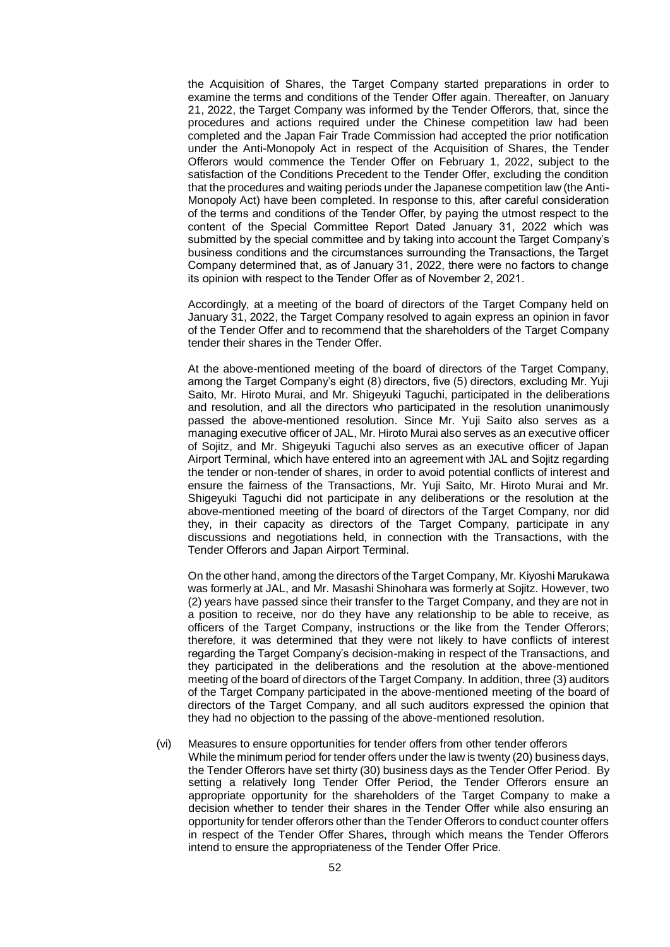the Acquisition of Shares, the Target Company started preparations in order to examine the terms and conditions of the Tender Offer again. Thereafter, on January 21, 2022, the Target Company was informed by the Tender Offerors, that, since the procedures and actions required under the Chinese competition law had been completed and the Japan Fair Trade Commission had accepted the prior notification under the Anti-Monopoly Act in respect of the Acquisition of Shares, the Tender Offerors would commence the Tender Offer on February 1, 2022, subject to the satisfaction of the Conditions Precedent to the Tender Offer, excluding the condition that the procedures and waiting periods under the Japanese competition law (the Anti-Monopoly Act) have been completed. In response to this, after careful consideration of the terms and conditions of the Tender Offer, by paying the utmost respect to the content of the Special Committee Report Dated January 31, 2022 which was submitted by the special committee and by taking into account the Target Company's business conditions and the circumstances surrounding the Transactions, the Target Company determined that, as of January 31, 2022, there were no factors to change its opinion with respect to the Tender Offer as of November 2, 2021.

Accordingly, at a meeting of the board of directors of the Target Company held on January 31, 2022, the Target Company resolved to again express an opinion in favor of the Tender Offer and to recommend that the shareholders of the Target Company tender their shares in the Tender Offer.

At the above-mentioned meeting of the board of directors of the Target Company, among the Target Company's eight (8) directors, five (5) directors, excluding Mr. Yuji Saito, Mr. Hiroto Murai, and Mr. Shigeyuki Taguchi, participated in the deliberations and resolution, and all the directors who participated in the resolution unanimously passed the above-mentioned resolution. Since Mr. Yuji Saito also serves as a managing executive officer of JAL, Mr. Hiroto Murai also serves as an executive officer of Sojitz, and Mr. Shigeyuki Taguchi also serves as an executive officer of Japan Airport Terminal, which have entered into an agreement with JAL and Sojitz regarding the tender or non-tender of shares, in order to avoid potential conflicts of interest and ensure the fairness of the Transactions, Mr. Yuji Saito, Mr. Hiroto Murai and Mr. Shigeyuki Taguchi did not participate in any deliberations or the resolution at the above-mentioned meeting of the board of directors of the Target Company, nor did they, in their capacity as directors of the Target Company, participate in any discussions and negotiations held, in connection with the Transactions, with the Tender Offerors and Japan Airport Terminal.

On the other hand, among the directors of the Target Company, Mr. Kiyoshi Marukawa was formerly at JAL, and Mr. Masashi Shinohara was formerly at Sojitz. However, two (2) years have passed since their transfer to the Target Company, and they are not in a position to receive, nor do they have any relationship to be able to receive, as officers of the Target Company, instructions or the like from the Tender Offerors; therefore, it was determined that they were not likely to have conflicts of interest regarding the Target Company's decision-making in respect of the Transactions, and they participated in the deliberations and the resolution at the above-mentioned meeting of the board of directors of the Target Company. In addition, three (3) auditors of the Target Company participated in the above-mentioned meeting of the board of directors of the Target Company, and all such auditors expressed the opinion that they had no objection to the passing of the above-mentioned resolution.

(vi) Measures to ensure opportunities for tender offers from other tender offerors While the minimum period for tender offers under the law is twenty (20) business days, the Tender Offerors have set thirty (30) business days as the Tender Offer Period. By setting a relatively long Tender Offer Period, the Tender Offerors ensure an appropriate opportunity for the shareholders of the Target Company to make a decision whether to tender their shares in the Tender Offer while also ensuring an opportunity for tender offerors other than the Tender Offerors to conduct counter offers in respect of the Tender Offer Shares, through which means the Tender Offerors intend to ensure the appropriateness of the Tender Offer Price.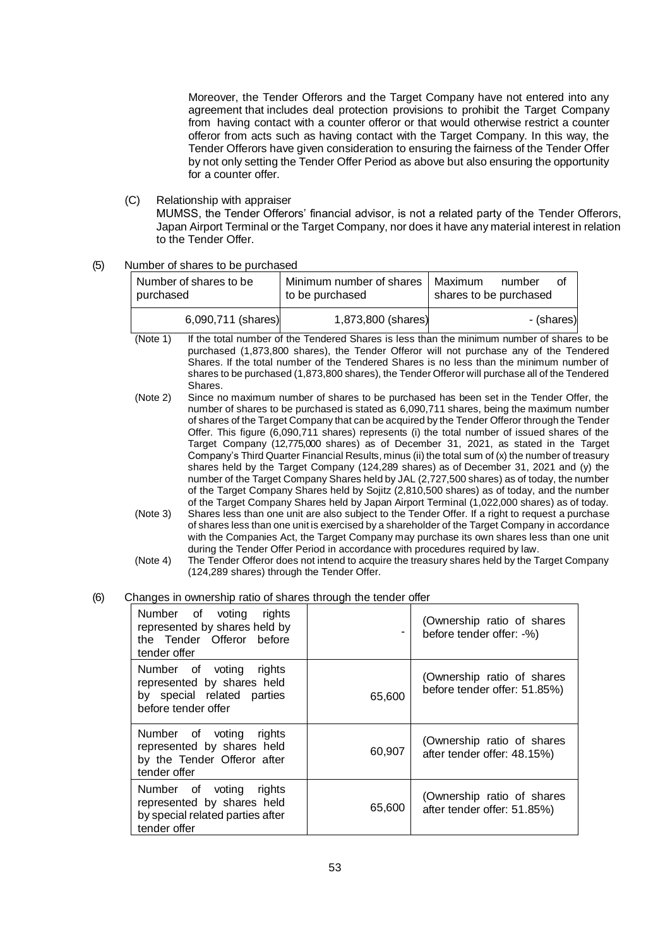Moreover, the Tender Offerors and the Target Company have not entered into any agreement that includes deal protection provisions to prohibit the Target Company from having contact with a counter offeror or that would otherwise restrict a counter offeror from acts such as having contact with the Target Company. In this way, the Tender Offerors have given consideration to ensuring the fairness of the Tender Offer by not only setting the Tender Offer Period as above but also ensuring the opportunity for a counter offer.

(C) Relationship with appraiser

MUMSS, the Tender Offerors' financial advisor, is not a related party of the Tender Offerors, Japan Airport Terminal or the Target Company, nor does it have any material interest in relation to the Tender Offer.

(5) Number of shares to be purchased

| Number of shares to be<br>purchased | Minimum number of shares<br>to be purchased | Maximum<br>number<br>Οf<br>shares to be purchased |  |
|-------------------------------------|---------------------------------------------|---------------------------------------------------|--|
| 6,090,711 (shares)                  | 1,873,800 (shares)                          | - (shares)                                        |  |

- (Note 1) If the total number of the Tendered Shares is less than the minimum number of shares to be purchased (1,873,800 shares), the Tender Offeror will not purchase any of the Tendered Shares. If the total number of the Tendered Shares is no less than the minimum number of shares to be purchased (1,873,800 shares), the Tender Offeror will purchase all of the Tendered Shares.
- (Note 2) Since no maximum number of shares to be purchased has been set in the Tender Offer, the number of shares to be purchased is stated as 6,090,711 shares, being the maximum number of shares of the Target Company that can be acquired by the Tender Offeror through the Tender Offer. This figure (6,090,711 shares) represents (i) the total number of issued shares of the Target Company (12,775,000 shares) as of December 31, 2021, as stated in the Target Company's Third Quarter Financial Results, minus (ii) the total sum of (x) the number of treasury shares held by the Target Company (124,289 shares) as of December 31, 2021 and (y) the number of the Target Company Shares held by JAL (2,727,500 shares) as of today, the number of the Target Company Shares held by Sojitz (2,810,500 shares) as of today, and the number of the Target Company Shares held by Japan Airport Terminal (1,022,000 shares) as of today.
- (Note 3) Shares less than one unit are also subject to the Tender Offer. If a right to request a purchase of shares less than one unit is exercised by a shareholder of the Target Company in accordance with the Companies Act, the Target Company may purchase its own shares less than one unit during the Tender Offer Period in accordance with procedures required by law.
- (Note 4) The Tender Offeror does not intend to acquire the treasury shares held by the Target Company (124,289 shares) through the Tender Offer.
- (6) Changes in ownership ratio of shares through the tender offer

| Number of voting rights<br>represented by shares held by<br>the Tender Offeror before<br>tender offer      |        | (Ownership ratio of shares<br>before tender offer: -%)     |
|------------------------------------------------------------------------------------------------------------|--------|------------------------------------------------------------|
| Number of voting rights<br>represented by shares held<br>by special related parties<br>before tender offer | 65.600 | (Ownership ratio of shares<br>before tender offer: 51.85%) |
| Number of voting rights<br>represented by shares held<br>by the Tender Offeror after<br>tender offer       | 60,907 | (Ownership ratio of shares<br>after tender offer: 48.15%)  |
| Number of voting rights<br>represented by shares held<br>by special related parties after<br>tender offer  | 65,600 | (Ownership ratio of shares<br>after tender offer: 51.85%)  |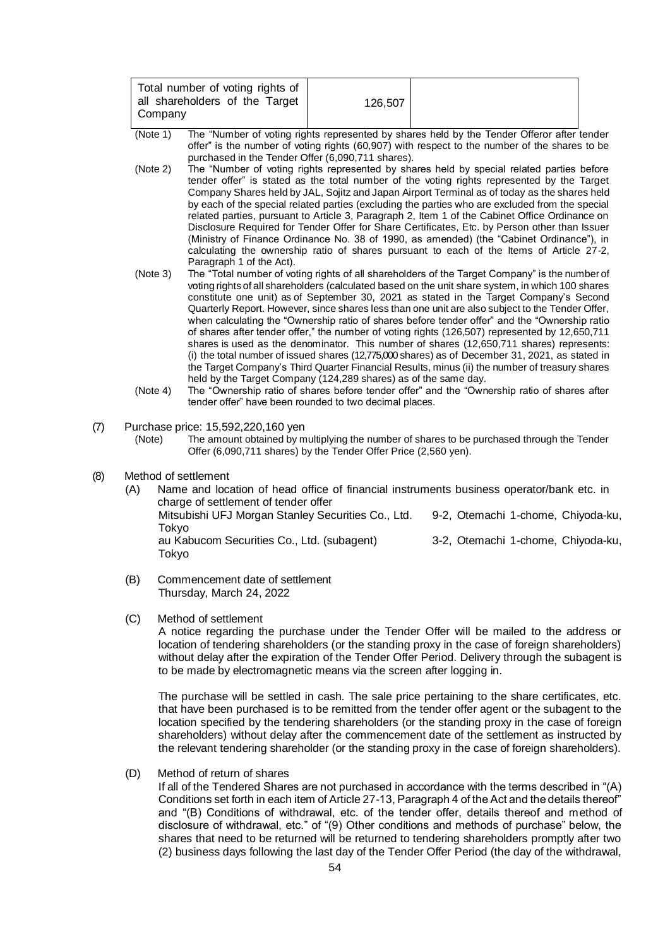- (Note 1) The "Number of voting rights represented by shares held by the Tender Offeror after tender offer" is the number of voting rights (60,907) with respect to the number of the shares to be purchased in the Tender Offer (6,090,711 shares).
- (Note 2) The "Number of voting rights represented by shares held by special related parties before tender offer" is stated as the total number of the voting rights represented by the Target Company Shares held by JAL, Sojitz and Japan Airport Terminal as of today as the shares held by each of the special related parties (excluding the parties who are excluded from the special related parties, pursuant to Article 3, Paragraph 2, Item 1 of the Cabinet Office Ordinance on Disclosure Required for Tender Offer for Share Certificates, Etc. by Person other than Issuer (Ministry of Finance Ordinance No. 38 of 1990, as amended) (the "Cabinet Ordinance"), in calculating the ownership ratio of shares pursuant to each of the Items of Article 27-2, Paragraph 1 of the Act).
- (Note 3) The "Total number of voting rights of all shareholders of the Target Company" is the number of voting rights of all shareholders (calculated based on the unit share system, in which 100 shares constitute one unit) as of September 30, 2021 as stated in the Target Company's Second Quarterly Report. However, since shares less than one unit are also subject to the Tender Offer, when calculating the "Ownership ratio of shares before tender offer" and the "Ownership ratio of shares after tender offer," the number of voting rights (126,507) represented by 12,650,711 shares is used as the denominator. This number of shares (12,650,711 shares) represents: (i) the total number of issued shares (12,775,000 shares) as of December 31, 2021, as stated in the Target Company's Third Quarter Financial Results, minus (ii) the number of treasury shares held by the Target Company (124,289 shares) as of the same day.
- (Note 4) The "Ownership ratio of shares before tender offer" and the "Ownership ratio of shares after tender offer" have been rounded to two decimal places.
- (7) Purchase price:  $15,592,220,160$  yen<br>(Note) The amount obtained by m

The amount obtained by multiplying the number of shares to be purchased through the Tender Offer (6,090,711 shares) by the Tender Offer Price (2,560 yen).

- (8) Method of settlement
	- (A) Name and location of head office of financial instruments business operator/bank etc. in charge of settlement of tender offer Mitsubishi UFJ Morgan Stanley Securities Co., Ltd. 9-2, Otemachi 1-chome, Chiyoda-ku, Tokyo au Kabucom Securities Co., Ltd. (subagent) 3-2, Otemachi 1-chome, Chiyoda-ku, Tokyo
	- (B) Commencement date of settlement Thursday, March 24, 2022
	- (C) Method of settlement

A notice regarding the purchase under the Tender Offer will be mailed to the address or location of tendering shareholders (or the standing proxy in the case of foreign shareholders) without delay after the expiration of the Tender Offer Period. Delivery through the subagent is to be made by electromagnetic means via the screen after logging in.

The purchase will be settled in cash. The sale price pertaining to the share certificates, etc. that have been purchased is to be remitted from the tender offer agent or the subagent to the location specified by the tendering shareholders (or the standing proxy in the case of foreign shareholders) without delay after the commencement date of the settlement as instructed by the relevant tendering shareholder (or the standing proxy in the case of foreign shareholders).

(D) Method of return of shares

If all of the Tendered Shares are not purchased in accordance with the terms described in "(A) Conditions set forth in each item of Article 27-13, Paragraph 4 of the Act and the details thereof" and "(B) Conditions of withdrawal, etc. of the tender offer, details thereof and method of disclosure of withdrawal, etc." of "(9) Other conditions and methods of purchase" below, the shares that need to be returned will be returned to tendering shareholders promptly after two (2) business days following the last day of the Tender Offer Period (the day of the withdrawal,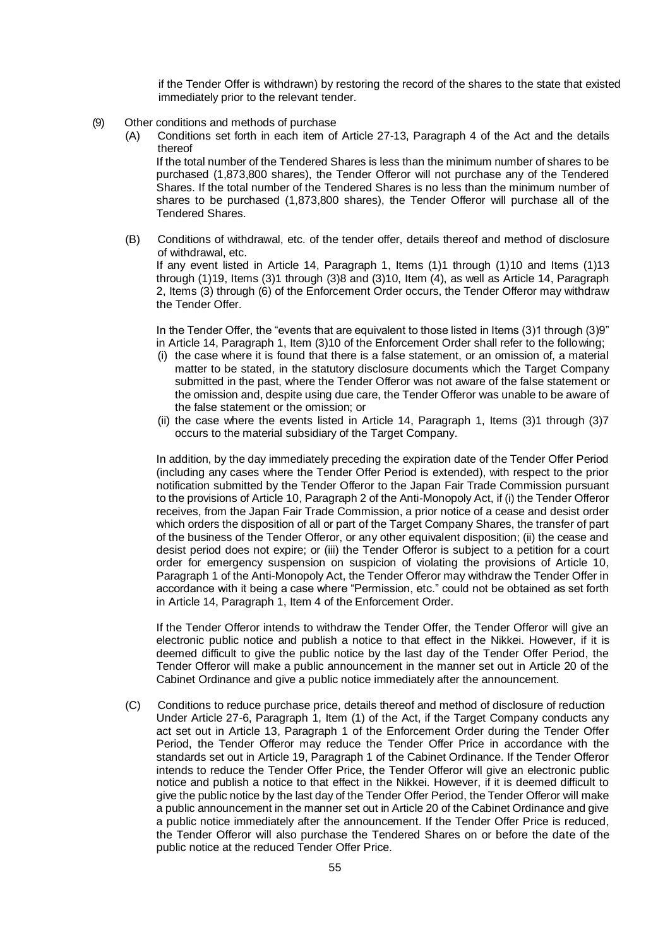if the Tender Offer is withdrawn) by restoring the record of the shares to the state that existed immediately prior to the relevant tender.

- (9) Other conditions and methods of purchase
	- (A) Conditions set forth in each item of Article 27-13, Paragraph 4 of the Act and the details thereof

If the total number of the Tendered Shares is less than the minimum number of shares to be purchased (1,873,800 shares), the Tender Offeror will not purchase any of the Tendered Shares. If the total number of the Tendered Shares is no less than the minimum number of shares to be purchased (1,873,800 shares), the Tender Offeror will purchase all of the Tendered Shares.

(B) Conditions of withdrawal, etc. of the tender offer, details thereof and method of disclosure of withdrawal, etc. If any event listed in Article 14, Paragraph 1, Items (1)1 through (1)10 and Items (1)13 through (1)19, Items (3)1 through (3)8 and (3)10, Item (4), as well as Article 14, Paragraph 2, Items (3) through (6) of the Enforcement Order occurs, the Tender Offeror may withdraw the Tender Offer.

In the Tender Offer, the "events that are equivalent to those listed in Items (3)1 through (3)9" in Article 14, Paragraph 1, Item (3)10 of the Enforcement Order shall refer to the following;

- (i) the case where it is found that there is a false statement, or an omission of, a material matter to be stated, in the statutory disclosure documents which the Target Company submitted in the past, where the Tender Offeror was not aware of the false statement or the omission and, despite using due care, the Tender Offeror was unable to be aware of the false statement or the omission; or
- (ii) the case where the events listed in Article 14, Paragraph 1, Items (3)1 through (3)7 occurs to the material subsidiary of the Target Company.

In addition, by the day immediately preceding the expiration date of the Tender Offer Period (including any cases where the Tender Offer Period is extended), with respect to the prior notification submitted by the Tender Offeror to the Japan Fair Trade Commission pursuant to the provisions of Article 10, Paragraph 2 of the Anti-Monopoly Act, if (i) the Tender Offeror receives, from the Japan Fair Trade Commission, a prior notice of a cease and desist order which orders the disposition of all or part of the Target Company Shares, the transfer of part of the business of the Tender Offeror, or any other equivalent disposition; (ii) the cease and desist period does not expire; or (iii) the Tender Offeror is subject to a petition for a court order for emergency suspension on suspicion of violating the provisions of Article 10, Paragraph 1 of the Anti-Monopoly Act, the Tender Offeror may withdraw the Tender Offer in accordance with it being a case where "Permission, etc." could not be obtained as set forth in Article 14, Paragraph 1, Item 4 of the Enforcement Order.

If the Tender Offeror intends to withdraw the Tender Offer, the Tender Offeror will give an electronic public notice and publish a notice to that effect in the Nikkei. However, if it is deemed difficult to give the public notice by the last day of the Tender Offer Period, the Tender Offeror will make a public announcement in the manner set out in Article 20 of the Cabinet Ordinance and give a public notice immediately after the announcement.

(C) Conditions to reduce purchase price, details thereof and method of disclosure of reduction Under Article 27-6, Paragraph 1, Item (1) of the Act, if the Target Company conducts any act set out in Article 13, Paragraph 1 of the Enforcement Order during the Tender Offer Period, the Tender Offeror may reduce the Tender Offer Price in accordance with the standards set out in Article 19, Paragraph 1 of the Cabinet Ordinance. If the Tender Offeror intends to reduce the Tender Offer Price, the Tender Offeror will give an electronic public notice and publish a notice to that effect in the Nikkei. However, if it is deemed difficult to give the public notice by the last day of the Tender Offer Period, the Tender Offeror will make a public announcement in the manner set out in Article 20 of the Cabinet Ordinance and give a public notice immediately after the announcement. If the Tender Offer Price is reduced, the Tender Offeror will also purchase the Tendered Shares on or before the date of the public notice at the reduced Tender Offer Price.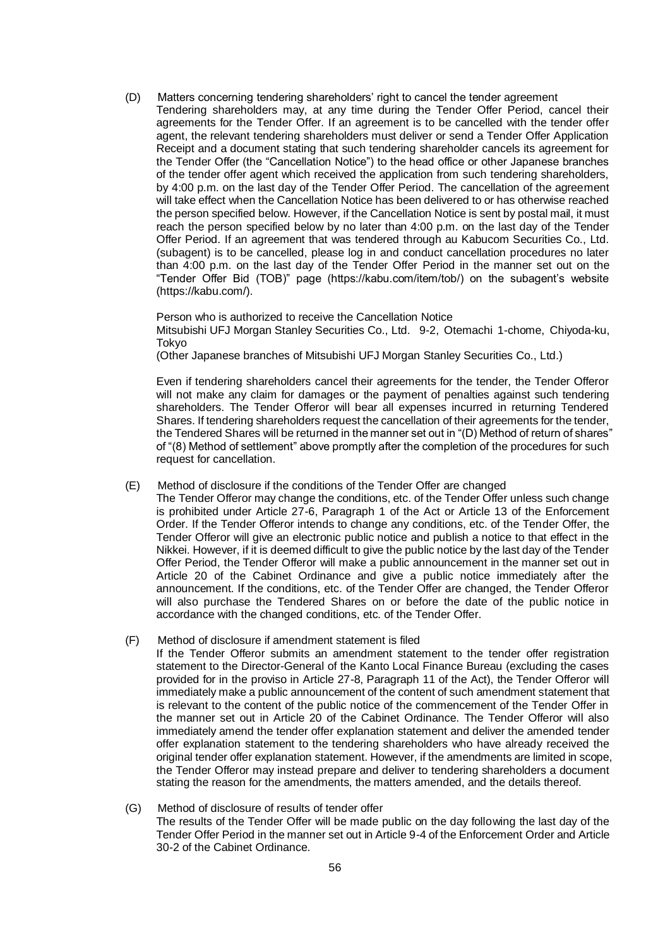- (D) Matters concerning tendering shareholders' right to cancel the tender agreement
	- Tendering shareholders may, at any time during the Tender Offer Period, cancel their agreements for the Tender Offer. If an agreement is to be cancelled with the tender offer agent, the relevant tendering shareholders must deliver or send a Tender Offer Application Receipt and a document stating that such tendering shareholder cancels its agreement for the Tender Offer (the "Cancellation Notice") to the head office or other Japanese branches of the tender offer agent which received the application from such tendering shareholders, by 4:00 p.m. on the last day of the Tender Offer Period. The cancellation of the agreement will take effect when the Cancellation Notice has been delivered to or has otherwise reached the person specified below. However, if the Cancellation Notice is sent by postal mail, it must reach the person specified below by no later than 4:00 p.m. on the last day of the Tender Offer Period. If an agreement that was tendered through au Kabucom Securities Co., Ltd. (subagent) is to be cancelled, please log in and conduct cancellation procedures no later than 4:00 p.m. on the last day of the Tender Offer Period in the manner set out on the "Tender Offer Bid (TOB)" page (https://kabu.com/item/tob/) on the subagent's website (https://kabu.com/).

Person who is authorized to receive the Cancellation Notice Mitsubishi UFJ Morgan Stanley Securities Co., Ltd. 9-2, Otemachi 1-chome, Chiyoda-ku, Tokyo

(Other Japanese branches of Mitsubishi UFJ Morgan Stanley Securities Co., Ltd.)

Even if tendering shareholders cancel their agreements for the tender, the Tender Offeror will not make any claim for damages or the payment of penalties against such tendering shareholders. The Tender Offeror will bear all expenses incurred in returning Tendered Shares. If tendering shareholders request the cancellation of their agreements for the tender, the Tendered Shares will be returned in the manner set out in "(D) Method of return of shares" of "(8) Method of settlement" above promptly after the completion of the procedures for such request for cancellation.

- (E) Method of disclosure if the conditions of the Tender Offer are changed
	- The Tender Offeror may change the conditions, etc. of the Tender Offer unless such change is prohibited under Article 27-6, Paragraph 1 of the Act or Article 13 of the Enforcement Order. If the Tender Offeror intends to change any conditions, etc. of the Tender Offer, the Tender Offeror will give an electronic public notice and publish a notice to that effect in the Nikkei. However, if it is deemed difficult to give the public notice by the last day of the Tender Offer Period, the Tender Offeror will make a public announcement in the manner set out in Article 20 of the Cabinet Ordinance and give a public notice immediately after the announcement. If the conditions, etc. of the Tender Offer are changed, the Tender Offeror will also purchase the Tendered Shares on or before the date of the public notice in accordance with the changed conditions, etc. of the Tender Offer.
- (F) Method of disclosure if amendment statement is filed
	- If the Tender Offeror submits an amendment statement to the tender offer registration statement to the Director-General of the Kanto Local Finance Bureau (excluding the cases provided for in the proviso in Article 27-8, Paragraph 11 of the Act), the Tender Offeror will immediately make a public announcement of the content of such amendment statement that is relevant to the content of the public notice of the commencement of the Tender Offer in the manner set out in Article 20 of the Cabinet Ordinance. The Tender Offeror will also immediately amend the tender offer explanation statement and deliver the amended tender offer explanation statement to the tendering shareholders who have already received the original tender offer explanation statement. However, if the amendments are limited in scope, the Tender Offeror may instead prepare and deliver to tendering shareholders a document stating the reason for the amendments, the matters amended, and the details thereof.
- (G) Method of disclosure of results of tender offer The results of the Tender Offer will be made public on the day following the last day of the Tender Offer Period in the manner set out in Article 9-4 of the Enforcement Order and Article 30-2 of the Cabinet Ordinance.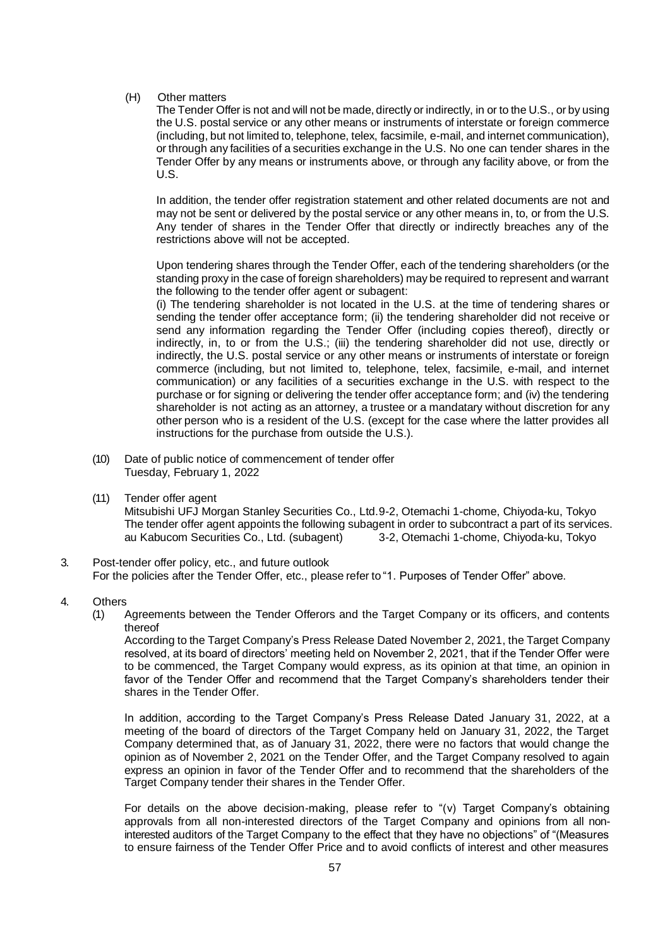(H) Other matters

The Tender Offer is not and will not be made, directly or indirectly, in or to the U.S., or by using the U.S. postal service or any other means or instruments of interstate or foreign commerce (including, but not limited to, telephone, telex, facsimile, e-mail, and internet communication), or through any facilities of a securities exchange in the U.S. No one can tender shares in the Tender Offer by any means or instruments above, or through any facility above, or from the U.S.

In addition, the tender offer registration statement and other related documents are not and may not be sent or delivered by the postal service or any other means in, to, or from the U.S. Any tender of shares in the Tender Offer that directly or indirectly breaches any of the restrictions above will not be accepted.

Upon tendering shares through the Tender Offer, each of the tendering shareholders (or the standing proxy in the case of foreign shareholders) may be required to represent and warrant the following to the tender offer agent or subagent:

(i) The tendering shareholder is not located in the U.S. at the time of tendering shares or sending the tender offer acceptance form; (ii) the tendering shareholder did not receive or send any information regarding the Tender Offer (including copies thereof), directly or indirectly, in, to or from the U.S.; (iii) the tendering shareholder did not use, directly or indirectly, the U.S. postal service or any other means or instruments of interstate or foreign commerce (including, but not limited to, telephone, telex, facsimile, e-mail, and internet communication) or any facilities of a securities exchange in the U.S. with respect to the purchase or for signing or delivering the tender offer acceptance form; and (iv) the tendering shareholder is not acting as an attorney, a trustee or a mandatary without discretion for any other person who is a resident of the U.S. (except for the case where the latter provides all instructions for the purchase from outside the U.S.).

- (10) Date of public notice of commencement of tender offer Tuesday, February 1, 2022
- (11) Tender offer agent

Mitsubishi UFJ Morgan Stanley Securities Co., Ltd.9-2, Otemachi 1-chome, Chiyoda-ku, Tokyo The tender offer agent appoints the following subagent in order to subcontract a part of its services. au Kabucom Securities Co., Ltd. (subagent) 3-2, Otemachi 1-chome, Chiyoda-ku, Tokyo

- 3. Post-tender offer policy, etc., and future outlook For the policies after the Tender Offer, etc., please refer to "1. Purposes of Tender Offer" above.
- 4. Others
	- (1) Agreements between the Tender Offerors and the Target Company or its officers, and contents thereof

According to the Target Company's Press Release Dated November 2, 2021, the Target Company resolved, at its board of directors' meeting held on November 2, 2021, that if the Tender Offer were to be commenced, the Target Company would express, as its opinion at that time, an opinion in favor of the Tender Offer and recommend that the Target Company's shareholders tender their shares in the Tender Offer.

In addition, according to the Target Company's Press Release Dated January 31, 2022, at a meeting of the board of directors of the Target Company held on January 31, 2022, the Target Company determined that, as of January 31, 2022, there were no factors that would change the opinion as of November 2, 2021 on the Tender Offer, and the Target Company resolved to again express an opinion in favor of the Tender Offer and to recommend that the shareholders of the Target Company tender their shares in the Tender Offer.

For details on the above decision-making, please refer to  $\mathsf{``(v)}$  Target Company's obtaining approvals from all non-interested directors of the Target Company and opinions from all noninterested auditors of the Target Company to the effect that they have no objections" of "(Measures to ensure fairness of the Tender Offer Price and to avoid conflicts of interest and other measures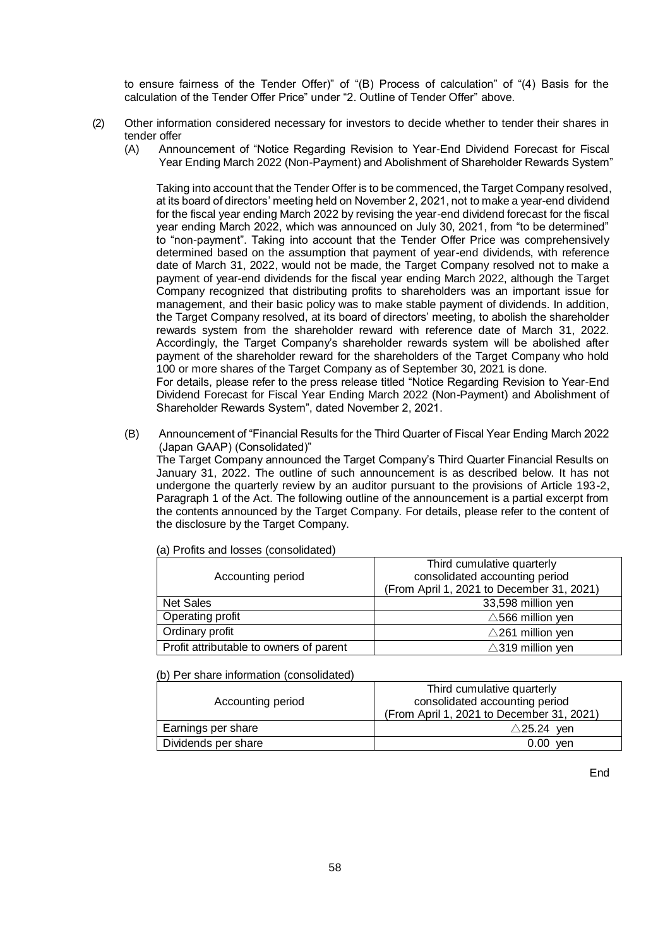to ensure fairness of the Tender Offer)" of "(B) Process of calculation" of "(4) Basis for the calculation of the Tender Offer Price" under "2. Outline of Tender Offer" above.

- (2) Other information considered necessary for investors to decide whether to tender their shares in tender offer
	- (A) Announcement of "Notice Regarding Revision to Year-End Dividend Forecast for Fiscal Year Ending March 2022 (Non-Payment) and Abolishment of Shareholder Rewards System"

Taking into account that the Tender Offer is to be commenced, the Target Company resolved, at its board of directors' meeting held on November 2, 2021, not to make a year-end dividend for the fiscal year ending March 2022 by revising the year-end dividend forecast for the fiscal year ending March 2022, which was announced on July 30, 2021, from "to be determined" to "non-payment". Taking into account that the Tender Offer Price was comprehensively determined based on the assumption that payment of year-end dividends, with reference date of March 31, 2022, would not be made, the Target Company resolved not to make a payment of year-end dividends for the fiscal year ending March 2022, although the Target Company recognized that distributing profits to shareholders was an important issue for management, and their basic policy was to make stable payment of dividends. In addition, the Target Company resolved, at its board of directors' meeting, to abolish the shareholder rewards system from the shareholder reward with reference date of March 31, 2022. Accordingly, the Target Company's shareholder rewards system will be abolished after payment of the shareholder reward for the shareholders of the Target Company who hold 100 or more shares of the Target Company as of September 30, 2021 is done.

For details, please refer to the press release titled "Notice Regarding Revision to Year-End Dividend Forecast for Fiscal Year Ending March 2022 (Non-Payment) and Abolishment of Shareholder Rewards System", dated November 2, 2021.

(B) Announcement of "Financial Results for the Third Quarter of Fiscal Year Ending March 2022 (Japan GAAP) (Consolidated)"

The Target Company announced the Target Company's Third Quarter Financial Results on January 31, 2022. The outline of such announcement is as described below. It has not undergone the quarterly review by an auditor pursuant to the provisions of Article 193-2, Paragraph 1 of the Act. The following outline of the announcement is a partial excerpt from the contents announced by the Target Company. For details, please refer to the content of the disclosure by the Target Company.

| Third cumulative quarterly<br>consolidated accounting period |
|--------------------------------------------------------------|
| (From April 1, 2021 to December 31, 2021)                    |
| 33,598 million yen                                           |
| $\triangle$ 566 million yen                                  |
| $\triangle$ 261 million yen                                  |
| $\triangle$ 319 million yen                                  |
|                                                              |

(a) Profits and losses (consolidated)

# (b) Per share information (consolidated)

| Accounting period   | Third cumulative quarterly<br>consolidated accounting period<br>(From April 1, 2021 to December 31, 2021) |
|---------------------|-----------------------------------------------------------------------------------------------------------|
| Earnings per share  | $\triangle$ 25.24 yen                                                                                     |
| Dividends per share | 0.00<br>ven                                                                                               |

End